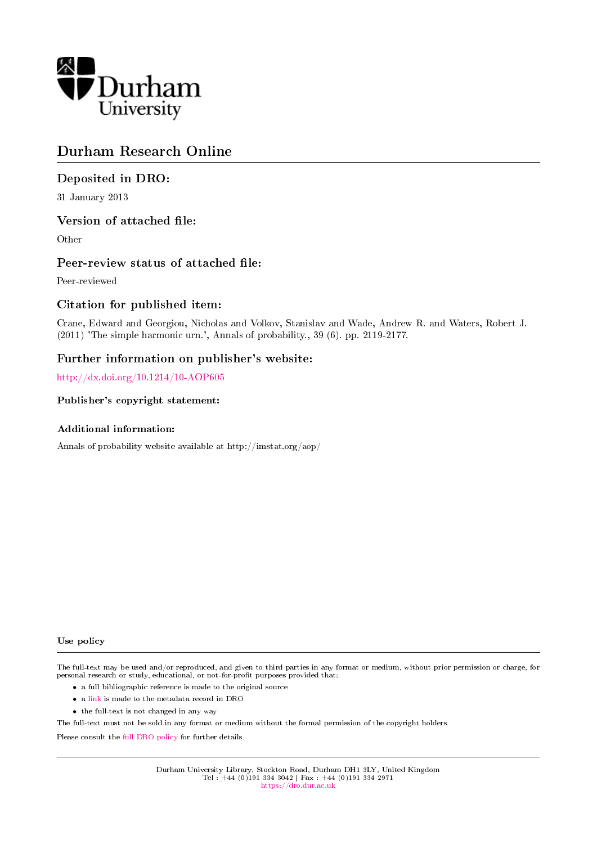

# Durham Research Online

## Deposited in DRO:

31 January 2013

### Version of attached file:

Other

### Peer-review status of attached file:

Peer-reviewed

## Citation for published item:

Crane, Edward and Georgiou, Nicholas and Volkov, Stanislav and Wade, Andrew R. and Waters, Robert J. (2011) 'The simple harmonic urn.', Annals of probability., 39 (6). pp. 2119-2177.

### Further information on publisher's website:

<http://dx.doi.org/10.1214/10-AOP605>

### Publisher's copyright statement:

### Additional information:

Annals of probability website available at http://imstat.org/aop/

#### Use policy

The full-text may be used and/or reproduced, and given to third parties in any format or medium, without prior permission or charge, for personal research or study, educational, or not-for-profit purposes provided that:

- a full bibliographic reference is made to the original source
- a [link](http://dro.dur.ac.uk/10487/) is made to the metadata record in DRO
- the full-text is not changed in any way

The full-text must not be sold in any format or medium without the formal permission of the copyright holders.

Please consult the [full DRO policy](https://dro.dur.ac.uk/policies/usepolicy.pdf) for further details.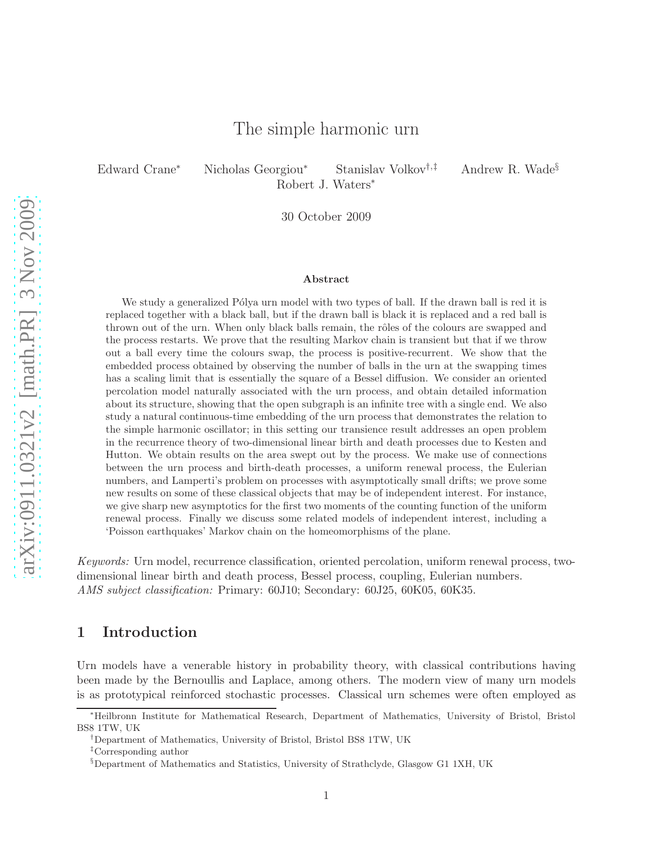# The simple harmonic urn

Edward Crane<sup>∗</sup> Nicholas Georgiou<sup>∗</sup> Stanislav Volkov†,‡ Andrew R. Wade§ Robert J. Waters<sup>∗</sup>

30 October 2009

#### Abstract

We study a generalized Pólya urn model with two types of ball. If the drawn ball is red it is replaced together with a black ball, but if the drawn ball is black it is replaced and a red ball is thrown out of the urn. When only black balls remain, the rôles of the colours are swapped and the process restarts. We prove that the resulting Markov chain is transient but that if we throw out a ball every time the colours swap, the process is positive-recurrent. We show that the embedded process obtained by observing the number of balls in the urn at the swapping times has a scaling limit that is essentially the square of a Bessel diffusion. We consider an oriented percolation model naturally associated with the urn process, and obtain detailed information about its structure, showing that the open subgraph is an infinite tree with a single end. We also study a natural continuous-time embedding of the urn process that demonstrates the relation to the simple harmonic oscillator; in this setting our transience result addresses an open problem in the recurrence theory of two-dimensional linear birth and death processes due to Kesten and Hutton. We obtain results on the area swept out by the process. We make use of connections between the urn process and birth-death processes, a uniform renewal process, the Eulerian numbers, and Lamperti's problem on processes with asymptotically small drifts; we prove some new results on some of these classical objects that may be of independent interest. For instance, we give sharp new asymptotics for the first two moments of the counting function of the uniform renewal process. Finally we discuss some related models of independent interest, including a 'Poisson earthquakes' Markov chain on the homeomorphisms of the plane.

Keywords: Urn model, recurrence classification, oriented percolation, uniform renewal process, twodimensional linear birth and death process, Bessel process, coupling, Eulerian numbers. AMS subject classification: Primary: 60J10; Secondary: 60J25, 60K05, 60K35.

### <span id="page-1-0"></span>1 Introduction

Urn models have a venerable history in probability theory, with classical contributions having been made by the Bernoullis and Laplace, among others. The modern view of many urn models is as prototypical reinforced stochastic processes. Classical urn schemes were often employed as

<sup>∗</sup>Heilbronn Institute for Mathematical Research, Department of Mathematics, University of Bristol, Bristol BS8 1TW, UK

<sup>†</sup>Department of Mathematics, University of Bristol, Bristol BS8 1TW, UK

<sup>‡</sup>Corresponding author

<sup>§</sup>Department of Mathematics and Statistics, University of Strathclyde, Glasgow G1 1XH, UK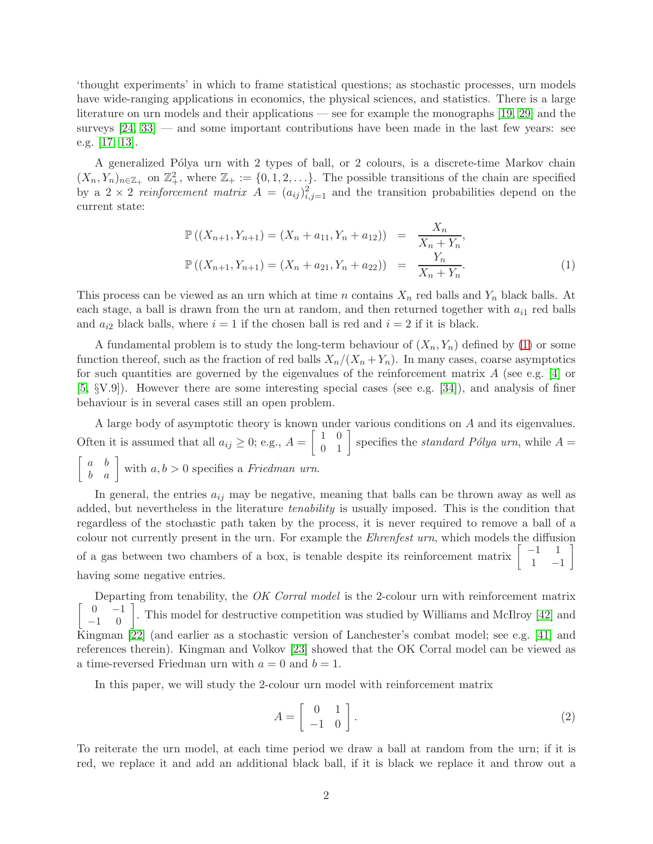'thought experiments' in which to frame statistical questions; as stochastic processes, urn models have wide-ranging applications in economics, the physical sciences, and statistics. There is a large literature on urn models and their applications — see for example the monographs [\[19,](#page-46-0) [29\]](#page-47-0) and the surveys  $[24, 33]$  $[24, 33]$  — and some important contributions have been made in the last few years: see e.g. [\[17,](#page-46-2) [13\]](#page-46-3).

A generalized Pólya urn with 2 types of ball, or 2 colours, is a discrete-time Markov chain  $(X_n, Y_n)_{n \in \mathbb{Z}_+}$  on  $\mathbb{Z}_+^2$ , where  $\mathbb{Z}_+ := \{0, 1, 2, \ldots\}$ . The possible transitions of the chain are specified by a  $2 \times 2$  reinforcement matrix  $A = (a_{ij})_{i,j=1}^2$  and the transition probabilities depend on the current state:

<span id="page-2-0"></span>
$$
\mathbb{P}((X_{n+1}, Y_{n+1}) = (X_n + a_{11}, Y_n + a_{12})) = \frac{X_n}{X_n + Y_n},
$$
  

$$
\mathbb{P}((X_{n+1}, Y_{n+1}) = (X_n + a_{21}, Y_n + a_{22})) = \frac{Y_n}{X_n + Y_n}.
$$
 (1)

This process can be viewed as an urn which at time n contains  $X_n$  red balls and  $Y_n$  black balls. At each stage, a ball is drawn from the urn at random, and then returned together with  $a_{i1}$  red balls and  $a_{i2}$  black balls, where  $i = 1$  if the chosen ball is red and  $i = 2$  if it is black.

A fundamental problem is to study the long-term behaviour of  $(X_n, Y_n)$  defined by [\(1\)](#page-2-0) or some function thereof, such as the fraction of red balls  $X_n/(X_n + Y_n)$ . In many cases, coarse asymptotics for such quantities are governed by the eigenvalues of the reinforcement matrix  $A$  (see e.g. [\[4\]](#page-46-4) or [\[5,](#page-46-5) §V.9]). However there are some interesting special cases (see e.g. [\[34\]](#page-47-2)), and analysis of finer behaviour is in several cases still an open problem.

A large body of asymptotic theory is known under various conditions on A and its eigenvalues. Often it is assumed that all  $a_{ij} \geq 0$ ; e.g.,  $A = \begin{bmatrix} 1 & 0 \\ 0 & 1 \end{bmatrix}$  specifies the *standard Pólya urn*, while  $A =$  $\begin{bmatrix} a & b \\ b & a \end{bmatrix}$  with  $a, b > 0$  specifies a *Friedman urn*.

In general, the entries  $a_{ij}$  may be negative, meaning that balls can be thrown away as well as added, but nevertheless in the literature *tenability* is usually imposed. This is the condition that regardless of the stochastic path taken by the process, it is never required to remove a ball of a colour not currently present in the urn. For example the Ehrenfest urn, which models the diffusion of a gas between two chambers of a box, is tenable despite its reinforcement matrix  $\begin{bmatrix} -1 & 1 \\ 1 & 1 \end{bmatrix}$  $1 -1$ 1 having some negative entries.

Departing from tenability, the OK Corral model is the 2-colour urn with reinforcement matrix  $\begin{bmatrix} 0 & -1 \\ -1 & 0 \end{bmatrix}$ . This model for destructive competition was studied by Williams and McIlroy [\[42\]](#page-47-3) and Kingman [\[22\]](#page-46-6) (and earlier as a stochastic version of Lanchester's combat model; see e.g. [\[41\]](#page-47-4) and references therein). Kingman and Volkov [\[23\]](#page-46-7) showed that the OK Corral model can be viewed as a time-reversed Friedman urn with  $a = 0$  and  $b = 1$ .

In this paper, we will study the 2-colour urn model with reinforcement matrix

<span id="page-2-1"></span>
$$
A = \left[ \begin{array}{cc} 0 & 1 \\ -1 & 0 \end{array} \right].
$$
 (2)

To reiterate the urn model, at each time period we draw a ball at random from the urn; if it is red, we replace it and add an additional black ball, if it is black we replace it and throw out a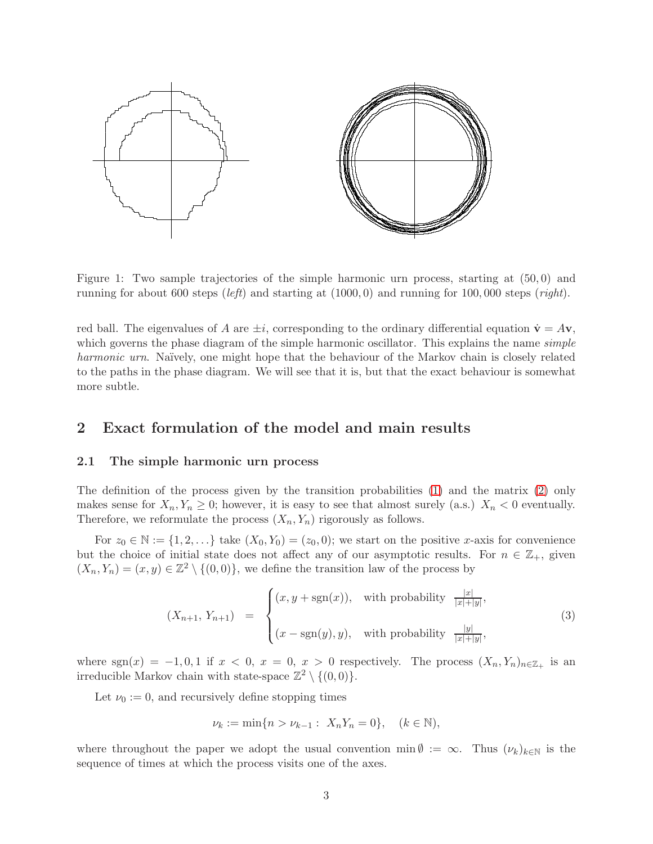

Figure 1: Two sample trajectories of the simple harmonic urn process, starting at (50, 0) and running for about 600 steps (*left*) and starting at  $(1000, 0)$  and running for 100,000 steps (*right*).

red ball. The eigenvalues of A are  $\pm i$ , corresponding to the ordinary differential equation  $\dot{\mathbf{v}} = A\mathbf{v}$ , which governs the phase diagram of the simple harmonic oscillator. This explains the name *simple* harmonic urn. Naïvely, one might hope that the behaviour of the Markov chain is closely related to the paths in the phase diagram. We will see that it is, but that the exact behaviour is somewhat more subtle.

## 2 Exact formulation of the model and main results

### 2.1 The simple harmonic urn process

The definition of the process given by the transition probabilities [\(1\)](#page-2-0) and the matrix [\(2\)](#page-2-1) only makes sense for  $X_n, Y_n \geq 0$ ; however, it is easy to see that almost surely (a.s.)  $X_n < 0$  eventually. Therefore, we reformulate the process  $(X_n, Y_n)$  rigorously as follows.

For  $z_0 \in \mathbb{N} := \{1, 2, \ldots\}$  take  $(X_0, Y_0) = (z_0, 0)$ ; we start on the positive x-axis for convenience but the choice of initial state does not affect any of our asymptotic results. For  $n \in \mathbb{Z}_+$ , given  $(X_n, Y_n) = (x, y) \in \mathbb{Z}^2 \setminus \{(0, 0)\}\)$ , we define the transition law of the process by

<span id="page-3-0"></span>
$$
(X_{n+1}, Y_{n+1}) = \begin{cases} (x, y + \operatorname{sgn}(x)), & \text{with probability } \frac{|x|}{|x| + |y|}, \\ (x - \operatorname{sgn}(y), y), & \text{with probability } \frac{|y|}{|x| + |y|}, \end{cases}
$$
(3)

where sgn(x) = -1, 0, 1 if  $x < 0$ ,  $x = 0$ ,  $x > 0$  respectively. The process  $(X_n, Y_n)_{n \in \mathbb{Z}_+}$  is an irreducible Markov chain with state-space  $\mathbb{Z}^2 \setminus \{(0,0)\}.$ 

Let  $\nu_0 := 0$ , and recursively define stopping times

$$
\nu_k := \min\{n > \nu_{k-1} : X_n Y_n = 0\}, \quad (k \in \mathbb{N}),
$$

where throughout the paper we adopt the usual convention min  $\emptyset := \infty$ . Thus  $(\nu_k)_{k \in \mathbb{N}}$  is the sequence of times at which the process visits one of the axes.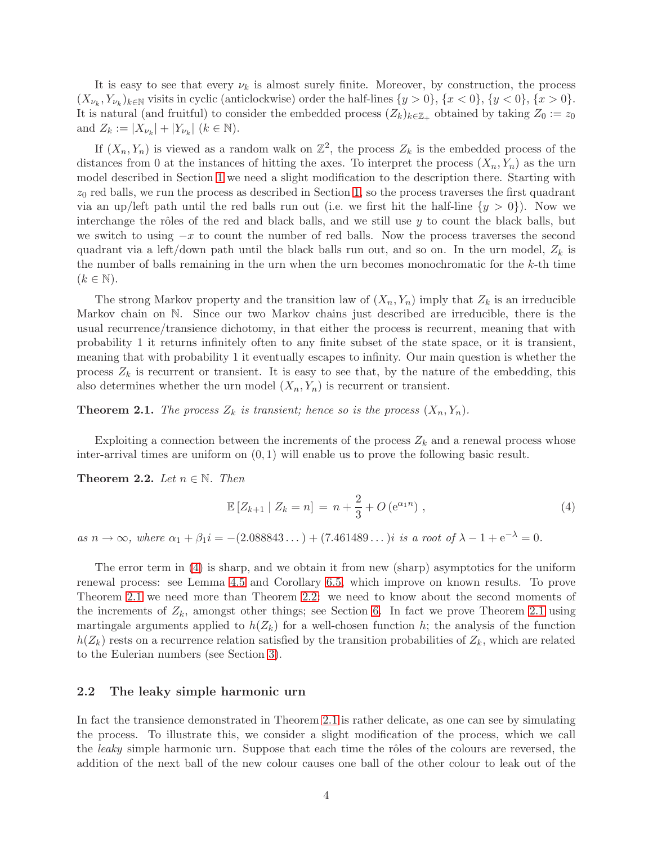It is easy to see that every  $\nu_k$  is almost surely finite. Moreover, by construction, the process  $(X_{\nu_k}, Y_{\nu_k})_{k \in \mathbb{N}}$  visits in cyclic (anticlockwise) order the half-lines  $\{y > 0\}$ ,  $\{x < 0\}$ ,  $\{y < 0\}$ ,  $\{x > 0\}$ . It is natural (and fruitful) to consider the embedded process  $(Z_k)_{k \in \mathbb{Z}_+}$  obtained by taking  $Z_0 := z_0$ and  $Z_k := |X_{\nu_k}| + |Y_{\nu_k}| \ (k \in \mathbb{N}).$ 

If  $(X_n, Y_n)$  is viewed as a random walk on  $\mathbb{Z}^2$ , the process  $Z_k$  is the embedded process of the distances from 0 at the instances of hitting the axes. To interpret the process  $(X_n, Y_n)$  as the urn model described in Section [1](#page-1-0) we need a slight modification to the description there. Starting with  $z_0$  red balls, we run the process as described in Section [1,](#page-1-0) so the process traverses the first quadrant via an up/left path until the red balls run out (i.e. we first hit the half-line  $\{y > 0\}$ ). Now we interchange the rôles of the red and black balls, and we still use  $y$  to count the black balls, but we switch to using  $-x$  to count the number of red balls. Now the process traverses the second quadrant via a left/down path until the black balls run out, and so on. In the urn model,  $Z_k$  is the number of balls remaining in the urn when the urn becomes monochromatic for the k-th time  $(k \in \mathbb{N}).$ 

The strong Markov property and the transition law of  $(X_n, Y_n)$  imply that  $Z_k$  is an irreducible Markov chain on N. Since our two Markov chains just described are irreducible, there is the usual recurrence/transience dichotomy, in that either the process is recurrent, meaning that with probability 1 it returns infinitely often to any finite subset of the state space, or it is transient, meaning that with probability 1 it eventually escapes to infinity. Our main question is whether the process  $Z_k$  is recurrent or transient. It is easy to see that, by the nature of the embedding, this also determines whether the urn model  $(X_n, Y_n)$  is recurrent or transient.

<span id="page-4-1"></span>**Theorem 2.1.** The process  $Z_k$  is transient; hence so is the process  $(X_n, Y_n)$ .

Exploiting a connection between the increments of the process  $Z_k$  and a renewal process whose inter-arrival times are uniform on  $(0, 1)$  will enable us to prove the following basic result.

<span id="page-4-2"></span>Theorem 2.2. Let  $n \in \mathbb{N}$ . Then

<span id="page-4-0"></span>
$$
\mathbb{E}\left[Z_{k+1} \mid Z_k = n\right] = n + \frac{2}{3} + O\left(e^{\alpha_1 n}\right),\tag{4}
$$

as  $n \to \infty$ , where  $\alpha_1 + \beta_1 i = -(2.088843...) + (7.461489...)$  is a root of  $\lambda - 1 + e^{-\lambda} = 0$ .

The error term in [\(4\)](#page-4-0) is sharp, and we obtain it from new (sharp) asymptotics for the uniform renewal process: see Lemma [4.5](#page-19-0) and Corollary [6.5,](#page-23-0) which improve on known results. To prove Theorem [2.1](#page-4-1) we need more than Theorem [2.2:](#page-4-2) we need to know about the second moments of the increments of  $Z_k$ , amongst other things; see Section [6.](#page-21-0) In fact we prove Theorem [2.1](#page-4-1) using martingale arguments applied to  $h(Z_k)$  for a well-chosen function h; the analysis of the function  $h(Z_k)$  rests on a recurrence relation satisfied by the transition probabilities of  $Z_k$ , which are related to the Eulerian numbers (see Section [3\)](#page-13-0).

#### <span id="page-4-3"></span>2.2 The leaky simple harmonic urn

In fact the transience demonstrated in Theorem [2.1](#page-4-1) is rather delicate, as one can see by simulating the process. To illustrate this, we consider a slight modification of the process, which we call the *leaky* simple harmonic urn. Suppose that each time the rôles of the colours are reversed, the addition of the next ball of the new colour causes one ball of the other colour to leak out of the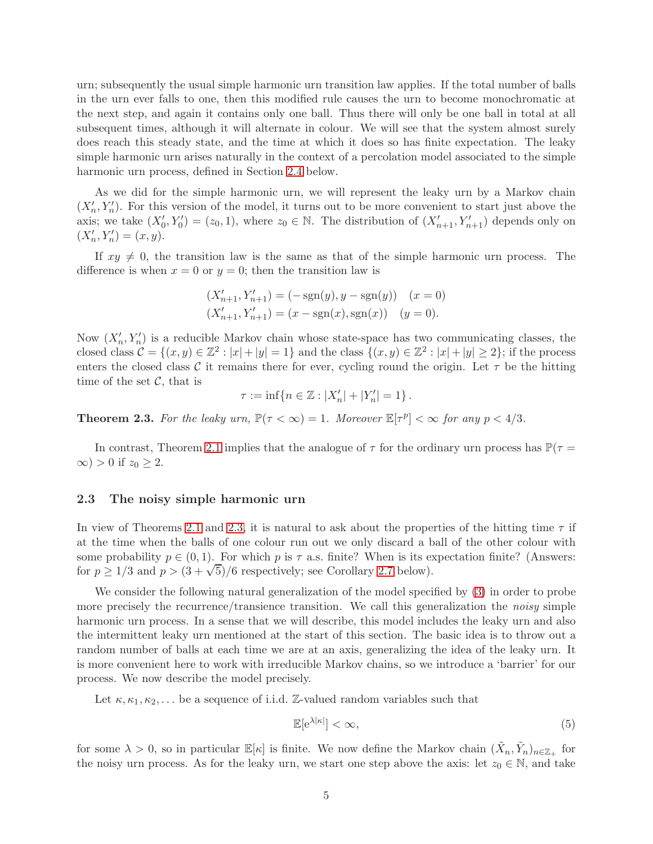urn; subsequently the usual simple harmonic urn transition law applies. If the total number of balls in the urn ever falls to one, then this modified rule causes the urn to become monochromatic at the next step, and again it contains only one ball. Thus there will only be one ball in total at all subsequent times, although it will alternate in colour. We will see that the system almost surely does reach this steady state, and the time at which it does so has finite expectation. The leaky simple harmonic urn arises naturally in the context of a percolation model associated to the simple harmonic urn process, defined in Section [2.4](#page-8-0) below.

As we did for the simple harmonic urn, we will represent the leaky urn by a Markov chain  $(X'_n, Y'_n)$ . For this version of the model, it turns out to be more convenient to start just above the axis; we take  $(X'_0, Y'_0) = (z_0, 1)$ , where  $z_0 \in \mathbb{N}$ . The distribution of  $(X'_{n+1}, Y'_{n+1})$  depends only on  $(X'_n, Y'_n) = (x, y).$ 

If  $xy \neq 0$ , the transition law is the same as that of the simple harmonic urn process. The difference is when  $x = 0$  or  $y = 0$ ; then the transition law is

$$
(X'_{n+1}, Y'_{n+1}) = (-\operatorname{sgn}(y), y - \operatorname{sgn}(y)) \quad (x = 0)
$$
  

$$
(X'_{n+1}, Y'_{n+1}) = (x - \operatorname{sgn}(x), \operatorname{sgn}(x)) \quad (y = 0).
$$

Now  $(X'_n, Y'_n)$  is a reducible Markov chain whose state-space has two communicating classes, the closed class  $\mathcal{C} = \{(x, y) \in \mathbb{Z}^2 : |x| + |y| = 1\}$  and the class  $\{(x, y) \in \mathbb{Z}^2 : |x| + |y| \ge 2\}$ ; if the process enters the closed class C it remains there for ever, cycling round the origin. Let  $\tau$  be the hitting time of the set  $\mathcal{C}$ , that is

$$
\tau := \inf \{ n \in \mathbb{Z} : |X'_n| + |Y'_n| = 1 \} .
$$

<span id="page-5-0"></span>**Theorem 2.3.** For the leaky urn,  $\mathbb{P}(\tau < \infty) = 1$ . Moreover  $\mathbb{E}[\tau^p] < \infty$  for any  $p < 4/3$ .

In contrast, Theorem [2.1](#page-4-1) implies that the analogue of  $\tau$  for the ordinary urn process has  $\mathbb{P}(\tau =$  $\infty$ ) > 0 if  $z_0 \geq 2$ .

#### <span id="page-5-2"></span>2.3 The noisy simple harmonic urn

In view of Theorems [2.1](#page-4-1) and [2.3,](#page-5-0) it is natural to ask about the properties of the hitting time  $\tau$  if at the time when the balls of one colour run out we only discard a ball of the other colour with some probability  $p \in (0, 1)$ . For which p is  $\tau$  a.s. finite? When is its expectation finite? (Answers: for  $p \ge 1/3$  and  $p > (3 + \sqrt{5})/6$  respectively; see Corollary [2.7](#page-7-0) below).

We consider the following natural generalization of the model specified by [\(3\)](#page-3-0) in order to probe more precisely the recurrence/transience transition. We call this generalization the *noisy* simple harmonic urn process. In a sense that we will describe, this model includes the leaky urn and also the intermittent leaky urn mentioned at the start of this section. The basic idea is to throw out a random number of balls at each time we are at an axis, generalizing the idea of the leaky urn. It is more convenient here to work with irreducible Markov chains, so we introduce a 'barrier' for our process. We now describe the model precisely.

Let  $\kappa, \kappa_1, \kappa_2, \ldots$  be a sequence of i.i.d. Z-valued random variables such that

<span id="page-5-1"></span>
$$
\mathbb{E}[\mathrm{e}^{\lambda|\kappa|}] < \infty,\tag{5}
$$

for some  $\lambda > 0$ , so in particular  $\mathbb{E}[\kappa]$  is finite. We now define the Markov chain  $(\tilde{X}_n, \tilde{Y}_n)_{n \in \mathbb{Z}_+}$  for the noisy urn process. As for the leaky urn, we start one step above the axis: let  $z_0 \in \mathbb{N}$ , and take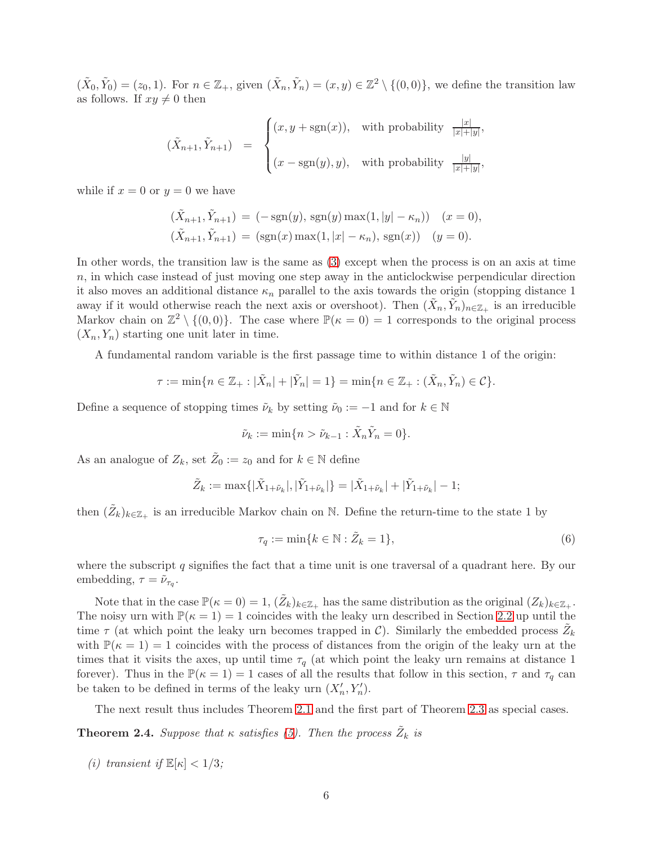$(\tilde{X}_0, \tilde{Y}_0) = (z_0, 1)$ . For  $n \in \mathbb{Z}_+$ , given  $(\tilde{X}_n, \tilde{Y}_n) = (x, y) \in \mathbb{Z}^2 \setminus \{(0, 0)\}$ , we define the transition law as follows. If  $xy \neq 0$  then

$$
(\tilde{X}_{n+1}, \tilde{Y}_{n+1}) = \begin{cases} (x, y + \text{sgn}(x)), & \text{with probability } \frac{|x|}{|x| + |y|}, \\ (x - \text{sgn}(y), y), & \text{with probability } \frac{|y|}{|x| + |y|}, \end{cases}
$$

while if  $x = 0$  or  $y = 0$  we have

$$
(\tilde{X}_{n+1}, \tilde{Y}_{n+1}) = (-\operatorname{sgn}(y), \operatorname{sgn}(y) \max(1, |y| - \kappa_n)) \quad (x = 0),
$$
  

$$
(\tilde{X}_{n+1}, \tilde{Y}_{n+1}) = (\operatorname{sgn}(x) \max(1, |x| - \kappa_n), \operatorname{sgn}(x)) \quad (y = 0).
$$

In other words, the transition law is the same as [\(3\)](#page-3-0) except when the process is on an axis at time n, in which case instead of just moving one step away in the anticlockwise perpendicular direction it also moves an additional distance  $\kappa_n$  parallel to the axis towards the origin (stopping distance 1 away if it would otherwise reach the next axis or overshoot). Then  $(\tilde{X}_n, \tilde{Y}_n)_{n \in \mathbb{Z}_+}$  is an irreducible Markov chain on  $\mathbb{Z}^2 \setminus \{(0,0)\}.$  The case where  $\mathbb{P}(\kappa = 0) = 1$  corresponds to the original process  $(X_n, Y_n)$  starting one unit later in time.

A fundamental random variable is the first passage time to within distance 1 of the origin:

$$
\tau := \min\{n \in \mathbb{Z}_+ : |\tilde{X}_n| + |\tilde{Y}_n| = 1\} = \min\{n \in \mathbb{Z}_+ : (\tilde{X}_n, \tilde{Y}_n) \in \mathcal{C}\}.
$$

Define a sequence of stopping times  $\tilde{\nu}_k$  by setting  $\tilde{\nu}_0 := -1$  and for  $k \in \mathbb{N}$ 

$$
\tilde{\nu}_k := \min\{n > \tilde{\nu}_{k-1} : \tilde{X}_n \tilde{Y}_n = 0\}.
$$

As an analogue of  $Z_k$ , set  $\tilde{Z}_0 := z_0$  and for  $k \in \mathbb{N}$  define

$$
\tilde{Z}_k := \max\{|\tilde{X}_{1+\tilde{\nu}_k}|, |\tilde{Y}_{1+\tilde{\nu}_k}|\} = |\tilde{X}_{1+\tilde{\nu}_k}| + |\tilde{Y}_{1+\tilde{\nu}_k}| - 1;
$$

then  $(\tilde{Z}_k)_{k \in \mathbb{Z}_+}$  is an irreducible Markov chain on N. Define the return-time to the state 1 by

<span id="page-6-1"></span>
$$
\tau_q := \min\{k \in \mathbb{N} : \tilde{Z}_k = 1\},\tag{6}
$$

where the subscript  $q$  signifies the fact that a time unit is one traversal of a quadrant here. By our embedding,  $\tau = \tilde{\nu}_{\tau_q}$ .

Note that in the case  $\mathbb{P}(\kappa = 0) = 1$ ,  $(\tilde{Z}_k)_{k \in \mathbb{Z}_+}$  has the same distribution as the original  $(Z_k)_{k \in \mathbb{Z}_+}$ . The noisy urn with  $\mathbb{P}(\kappa = 1) = 1$  coincides with the leaky urn described in Section [2.2](#page-4-3) up until the time  $\tau$  (at which point the leaky urn becomes trapped in C). Similarly the embedded process  $\tilde{Z}_k$ with  $\mathbb{P}(\kappa = 1) = 1$  coincides with the process of distances from the origin of the leaky urn at the times that it visits the axes, up until time  $\tau_q$  (at which point the leaky urn remains at distance 1 forever). Thus in the  $\mathbb{P}(\kappa = 1) = 1$  cases of all the results that follow in this section,  $\tau$  and  $\tau_q$  can be taken to be defined in terms of the leaky urn  $(X'_n, Y'_n)$ .

The next result thus includes Theorem [2.1](#page-4-1) and the first part of Theorem [2.3](#page-5-0) as special cases.

<span id="page-6-0"></span>**Theorem 2.4.** Suppose that  $\kappa$  satisfies [\(5\)](#page-5-1). Then the process  $\tilde{Z}_k$  is

(i) transient if  $\mathbb{E}[\kappa] < 1/3$ ;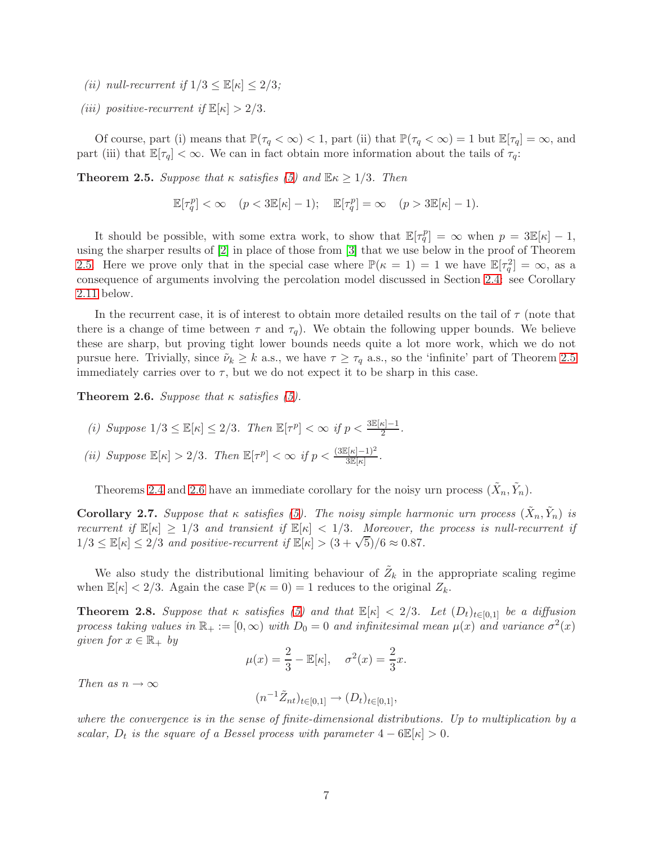- (ii) null-recurrent if  $1/3 \leq \mathbb{E}[\kappa] \leq 2/3$ ;
- (iii) positive-recurrent if  $\mathbb{E}[\kappa] > 2/3$ .

Of course, part (i) means that  $\mathbb{P}(\tau_q < \infty) < 1$ , part (ii) that  $\mathbb{P}(\tau_q < \infty) = 1$  but  $\mathbb{E}[\tau_q] = \infty$ , and part (iii) that  $\mathbb{E}[\tau_q]<\infty$ . We can in fact obtain more information about the tails of  $\tau_q$ :

<span id="page-7-1"></span>**Theorem 2.5.** Suppose that  $\kappa$  satisfies [\(5\)](#page-5-1) and  $\mathbb{E} \kappa \geq 1/3$ . Then

 $\mathbb{E}[\tau_q^p] < \infty \quad (p < 3\mathbb{E}[\kappa]-1); \quad \mathbb{E}[\tau_q^p] = \infty \quad (p > 3\mathbb{E}[\kappa]-1).$ 

It should be possible, with some extra work, to show that  $\mathbb{E}[\tau_q^p] = \infty$  when  $p = 3\mathbb{E}[\kappa] - 1$ , using the sharper results of [\[2\]](#page-45-0) in place of those from [\[3\]](#page-45-1) that we use below in the proof of Theorem [2.5.](#page-7-1) Here we prove only that in the special case where  $\mathbb{P}(\kappa = 1) = 1$  we have  $\mathbb{E}[\tau_q^2] = \infty$ , as a consequence of arguments involving the percolation model discussed in Section [2.4:](#page-8-0) see Corollary [2.11](#page-8-1) below.

In the recurrent case, it is of interest to obtain more detailed results on the tail of  $\tau$  (note that there is a change of time between  $\tau$  and  $\tau_q$ ). We obtain the following upper bounds. We believe these are sharp, but proving tight lower bounds needs quite a lot more work, which we do not pursue here. Trivially, since  $\tilde{\nu}_k \geq k$  a.s., we have  $\tau \geq \tau_q$  a.s., so the 'infinite' part of Theorem [2.5](#page-7-1) immediately carries over to  $\tau$ , but we do not expect it to be sharp in this case.

<span id="page-7-2"></span>**Theorem 2.6.** Suppose that  $\kappa$  satisfies [\(5\)](#page-5-1).

- (i) Suppose  $1/3 \leq \mathbb{E}[\kappa] \leq 2/3$ . Then  $\mathbb{E}[\tau^p] < \infty$  if  $p < \frac{3\mathbb{E}[\kappa]-1}{2}$ .
- (ii) Suppose  $\mathbb{E}[\kappa] > 2/3$ . Then  $\mathbb{E}[\tau^p] < \infty$  if  $p < \frac{3\mathbb{E}[\kappa]-1)^2}{3\mathbb{E}[\kappa]}$ .

Theorems [2.4](#page-6-0) and [2.6](#page-7-2) have an immediate corollary for the noisy urn process  $(\tilde{X}_n, \tilde{Y}_n)$ .

<span id="page-7-0"></span>**Corollary 2.7.** Suppose that  $\kappa$  satisfies [\(5\)](#page-5-1). The noisy simple harmonic urn process  $(\tilde{X}_n, \tilde{Y}_n)$  is recurrent if  $\mathbb{E}[\kappa] \geq 1/3$  and transient if  $\mathbb{E}[\kappa] < 1/3$ . Moreover, the process is null-recurrent if  $1/3 \leq \mathbb{E}[\kappa] \leq 2/3$  and positive-recurrent if  $\mathbb{E}[\kappa] > (3 + \sqrt{5})/6 \approx 0.87$ .

We also study the distributional limiting behaviour of  $\tilde{Z}_k$  in the appropriate scaling regime when  $\mathbb{E}[\kappa] < 2/3$ . Again the case  $\mathbb{P}(\kappa = 0) = 1$  reduces to the original  $Z_k$ .

<span id="page-7-3"></span>**Theorem 2.8.** Suppose that  $\kappa$  satisfies [\(5\)](#page-5-1) and that  $\mathbb{E}[\kappa] < 2/3$ . Let  $(D_t)_{t\in[0,1]}$  be a diffusion process taking values in  $\mathbb{R}_+ := [0, \infty)$  with  $D_0 = 0$  and infinitesimal mean  $\mu(x)$  and variance  $\sigma^2(x)$ given for  $x \in \mathbb{R}_+$  by

$$
\mu(x) = \frac{2}{3} - \mathbb{E}[\kappa], \quad \sigma^2(x) = \frac{2}{3}x.
$$

Then as  $n \to \infty$ 

$$
(n^{-1}\tilde{Z}_{nt})_{t\in[0,1]}\to (D_t)_{t\in[0,1]},
$$

where the convergence is in the sense of finite-dimensional distributions. Up to multiplication by a scalar,  $D_t$  is the square of a Bessel process with parameter  $4 - 6\mathbb{E}[\kappa] > 0$ .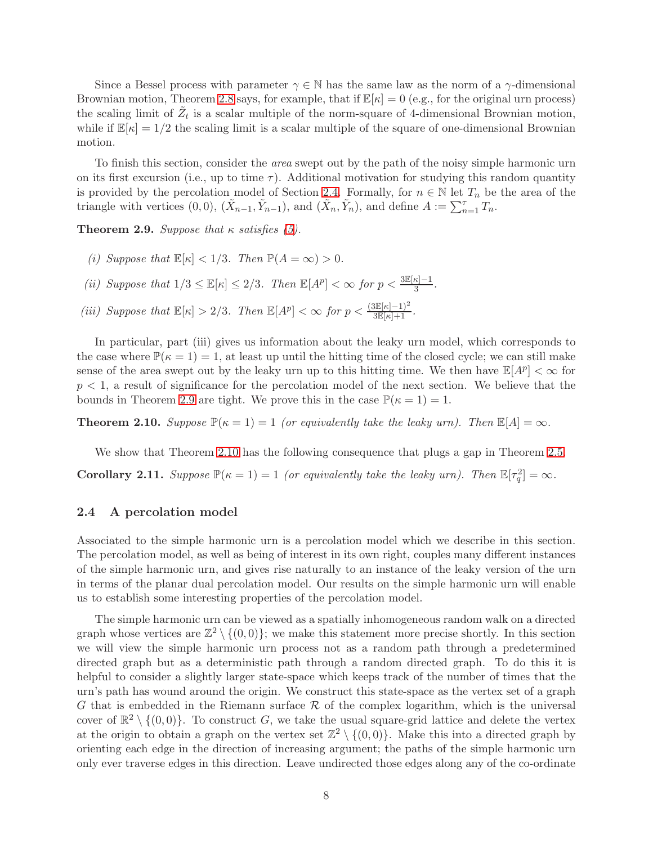Since a Bessel process with parameter  $\gamma \in \mathbb{N}$  has the same law as the norm of a  $\gamma$ -dimensional Brownian motion, Theorem [2.8](#page-7-3) says, for example, that if  $\mathbb{E}[\kappa] = 0$  (e.g., for the original urn process) the scaling limit of  $\tilde{Z}_t$  is a scalar multiple of the norm-square of 4-dimensional Brownian motion, while if  $\mathbb{E}[\kappa] = 1/2$  the scaling limit is a scalar multiple of the square of one-dimensional Brownian motion.

To finish this section, consider the area swept out by the path of the noisy simple harmonic urn on its first excursion (i.e., up to time  $\tau$ ). Additional motivation for studying this random quantity is provided by the percolation model of Section [2.4.](#page-8-0) Formally, for  $n \in \mathbb{N}$  let  $T_n$  be the area of the triangle with vertices  $(0,0)$ ,  $(\tilde{X}_{n-1}, \tilde{Y}_{n-1})$ , and  $(\tilde{X}_n, \tilde{Y}_n)$ , and define  $A := \sum_{n=1}^{\tau} T_n$ .

<span id="page-8-2"></span>**Theorem 2.9.** Suppose that  $\kappa$  satisfies [\(5\)](#page-5-1).

- (i) Suppose that  $\mathbb{E}[\kappa] < 1/3$ . Then  $\mathbb{P}(A = \infty) > 0$ .
- (ii) Suppose that  $1/3 \leq \mathbb{E}[\kappa] \leq 2/3$ . Then  $\mathbb{E}[A^p] < \infty$  for  $p < \frac{3\mathbb{E}[\kappa]-1}{3}$ .
- (iii) Suppose that  $\mathbb{E}[\kappa] > 2/3$ . Then  $\mathbb{E}[A^p] < \infty$  for  $p < \frac{3\mathbb{E}[\kappa]-1)^2}{3\mathbb{E}[\kappa]+1}$ .

In particular, part (iii) gives us information about the leaky urn model, which corresponds to the case where  $\mathbb{P}(\kappa = 1) = 1$ , at least up until the hitting time of the closed cycle; we can still make sense of the area swept out by the leaky urn up to this hitting time. We then have  $\mathbb{E}[A^p] < \infty$  for  $p < 1$ , a result of significance for the percolation model of the next section. We believe that the bounds in Theorem [2.9](#page-8-2) are tight. We prove this in the case  $\mathbb{P}(\kappa = 1) = 1$ .

<span id="page-8-3"></span>**Theorem 2.10.** Suppose  $\mathbb{P}(\kappa = 1) = 1$  (or equivalently take the leaky urn). Then  $\mathbb{E}[A] = \infty$ .

We show that Theorem [2.10](#page-8-3) has the following consequence that plugs a gap in Theorem [2.5.](#page-7-1)

<span id="page-8-1"></span><span id="page-8-0"></span>**Corollary 2.11.** Suppose  $\mathbb{P}(\kappa = 1) = 1$  (or equivalently take the leaky urn). Then  $\mathbb{E}[\tau_q^2] = \infty$ .

#### 2.4 A percolation model

Associated to the simple harmonic urn is a percolation model which we describe in this section. The percolation model, as well as being of interest in its own right, couples many different instances of the simple harmonic urn, and gives rise naturally to an instance of the leaky version of the urn in terms of the planar dual percolation model. Our results on the simple harmonic urn will enable us to establish some interesting properties of the percolation model.

The simple harmonic urn can be viewed as a spatially inhomogeneous random walk on a directed graph whose vertices are  $\mathbb{Z}^2 \setminus \{(0,0)\}$ ; we make this statement more precise shortly. In this section we will view the simple harmonic urn process not as a random path through a predetermined directed graph but as a deterministic path through a random directed graph. To do this it is helpful to consider a slightly larger state-space which keeps track of the number of times that the urn's path has wound around the origin. We construct this state-space as the vertex set of a graph G that is embedded in the Riemann surface  $\mathcal R$  of the complex logarithm, which is the universal cover of  $\mathbb{R}^2 \setminus \{(0,0)\}.$  To construct G, we take the usual square-grid lattice and delete the vertex at the origin to obtain a graph on the vertex set  $\mathbb{Z}^2 \setminus \{(0,0)\}$ . Make this into a directed graph by orienting each edge in the direction of increasing argument; the paths of the simple harmonic urn only ever traverse edges in this direction. Leave undirected those edges along any of the co-ordinate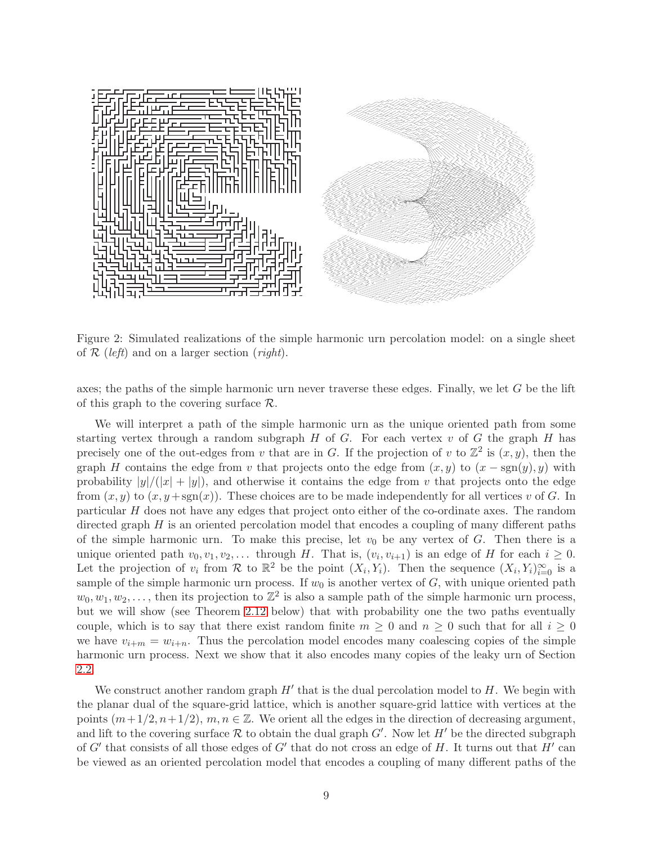

Figure 2: Simulated realizations of the simple harmonic urn percolation model: on a single sheet of  $\mathcal R$  (left) and on a larger section (right).

axes; the paths of the simple harmonic urn never traverse these edges. Finally, we let  $G$  be the lift of this graph to the covering surface  $\mathcal{R}$ .

We will interpret a path of the simple harmonic urn as the unique oriented path from some starting vertex through a random subgraph  $H$  of  $G$ . For each vertex  $v$  of  $G$  the graph  $H$  has precisely one of the out-edges from v that are in G. If the projection of v to  $\mathbb{Z}^2$  is  $(x, y)$ , then the graph H contains the edge from v that projects onto the edge from  $(x, y)$  to  $(x - \text{sgn}(y), y)$  with probability  $|y|/(|x| + |y|)$ , and otherwise it contains the edge from v that projects onto the edge from  $(x, y)$  to  $(x, y + sgn(x))$ . These choices are to be made independently for all vertices v of G. In particular H does not have any edges that project onto either of the co-ordinate axes. The random directed graph  $H$  is an oriented percolation model that encodes a coupling of many different paths of the simple harmonic urn. To make this precise, let  $v_0$  be any vertex of G. Then there is a unique oriented path  $v_0, v_1, v_2, \ldots$  through H. That is,  $(v_i, v_{i+1})$  is an edge of H for each  $i \geq 0$ . Let the projection of  $v_i$  from R to  $\mathbb{R}^2$  be the point  $(X_i, Y_i)$ . Then the sequence  $(X_i, Y_i)_{i=0}^{\infty}$  is a sample of the simple harmonic urn process. If  $w_0$  is another vertex of  $G$ , with unique oriented path  $w_0, w_1, w_2, \ldots$ , then its projection to  $\mathbb{Z}^2$  is also a sample path of the simple harmonic urn process, but we will show (see Theorem [2.12](#page-10-0) below) that with probability one the two paths eventually couple, which is to say that there exist random finite  $m \geq 0$  and  $n \geq 0$  such that for all  $i \geq 0$ we have  $v_{i+m} = w_{i+n}$ . Thus the percolation model encodes many coalescing copies of the simple harmonic urn process. Next we show that it also encodes many copies of the leaky urn of Section [2.2.](#page-4-3)

We construct another random graph  $H'$  that is the dual percolation model to  $H$ . We begin with the planar dual of the square-grid lattice, which is another square-grid lattice with vertices at the points  $(m+1/2,n+1/2), m,n \in \mathbb{Z}$ . We orient all the edges in the direction of decreasing argument, and lift to the covering surface  $R$  to obtain the dual graph  $G'$ . Now let  $H'$  be the directed subgraph of  $G'$  that consists of all those edges of  $G'$  that do not cross an edge of H. It turns out that  $H'$  can be viewed as an oriented percolation model that encodes a coupling of many different paths of the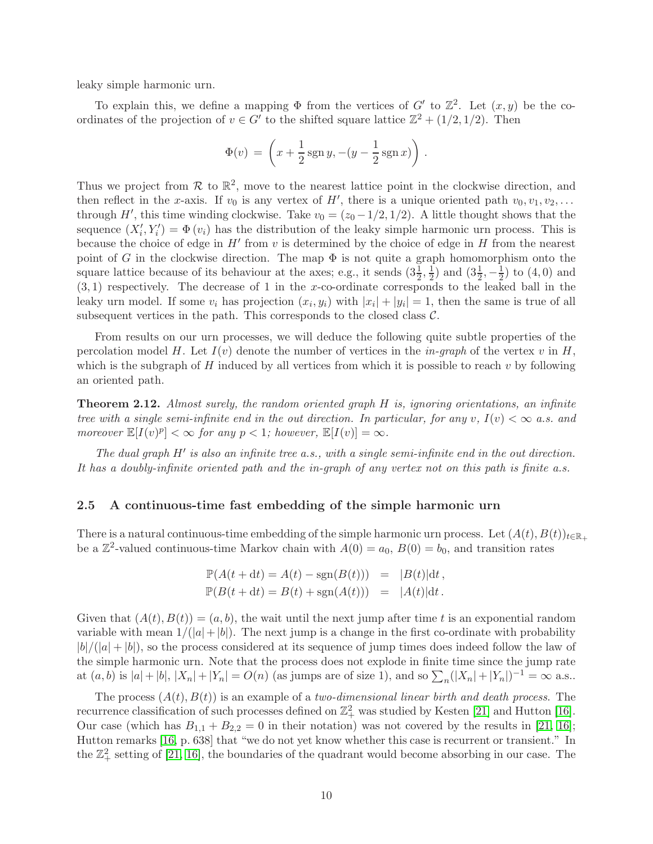leaky simple harmonic urn.

To explain this, we define a mapping  $\Phi$  from the vertices of G' to  $\mathbb{Z}^2$ . Let  $(x, y)$  be the coordinates of the projection of  $v \in G'$  to the shifted square lattice  $\mathbb{Z}^2 + (1/2, 1/2)$ . Then

$$
\Phi(v) = \left(x + \frac{1}{2}\operatorname{sgn} y, -(y - \frac{1}{2}\operatorname{sgn} x)\right).
$$

Thus we project from  $\mathcal R$  to  $\mathbb R^2$ , move to the nearest lattice point in the clockwise direction, and then reflect in the x-axis. If  $v_0$  is any vertex of H', there is a unique oriented path  $v_0, v_1, v_2, \ldots$ through H', this time winding clockwise. Take  $v_0 = (z_0 - 1/2, 1/2)$ . A little thought shows that the sequence  $(X'_i, Y'_i) = \Phi(v_i)$  has the distribution of the leaky simple harmonic urn process. This is because the choice of edge in  $H'$  from  $v$  is determined by the choice of edge in  $H$  from the nearest point of G in the clockwise direction. The map  $\Phi$  is not quite a graph homomorphism onto the square lattice because of its behaviour at the axes; e.g., it sends  $(3\frac{1}{2}, \frac{1}{2})$  $(\frac{1}{2})$  and  $(3\frac{1}{2}, -\frac{1}{2})$  to  $(4, 0)$  and  $(3, 1)$  respectively. The decrease of 1 in the x-co-ordinate corresponds to the leaked ball in the leaky urn model. If some  $v_i$  has projection  $(x_i, y_i)$  with  $|x_i| + |y_i| = 1$ , then the same is true of all subsequent vertices in the path. This corresponds to the closed class  $C$ .

From results on our urn processes, we will deduce the following quite subtle properties of the percolation model H. Let  $I(v)$  denote the number of vertices in the *in-graph* of the vertex v in H, which is the subgraph of  $H$  induced by all vertices from which it is possible to reach  $v$  by following an oriented path.

<span id="page-10-0"></span>**Theorem 2.12.** Almost surely, the random oriented graph H is, ignoring orientations, an infinite tree with a single semi-infinite end in the out direction. In particular, for any v,  $I(v) < \infty$  a.s. and moreover  $\mathbb{E}[I(v)^p] < \infty$  for any  $p < 1$ ; however,  $\mathbb{E}[I(v)] = \infty$ .

The dual graph H' is also an infinite tree a.s., with a single semi-infinite end in the out direction. It has a doubly-infinite oriented path and the in-graph of any vertex not on this path is finite a.s.

#### <span id="page-10-1"></span>2.5 A continuous-time fast embedding of the simple harmonic urn

There is a natural continuous-time embedding of the simple harmonic urn process. Let  $(A(t),B(t))_{t\in\mathbb{R}_+}$ be a  $\mathbb{Z}^2$ -valued continuous-time Markov chain with  $A(0) = a_0, B(0) = b_0$ , and transition rates

$$
\mathbb{P}(A(t+dt) = A(t) - \text{sgn}(B(t))) = |B(t)|dt,
$$
  

$$
\mathbb{P}(B(t+dt) = B(t) + \text{sgn}(A(t))) = |A(t)|dt.
$$

Given that  $(A(t),B(t)) = (a,b)$ , the wait until the next jump after time t is an exponential random variable with mean  $1/(|a|+|b|)$ . The next jump is a change in the first co-ordinate with probability  $|b|/(|a|+|b|)$ , so the process considered at its sequence of jump times does indeed follow the law of the simple harmonic urn. Note that the process does not explode in finite time since the jump rate at  $(a, b)$  is  $|a| + |b|$ ,  $|X_n| + |Y_n| = O(n)$  (as jumps are of size 1), and so  $\sum_n (|X_n| + |Y_n|)^{-1} = \infty$  a.s..

The process  $(A(t),B(t))$  is an example of a two-dimensional linear birth and death process. The recurrence classification of such processes defined on  $\mathbb{Z}_+^2$  was studied by Kesten [\[21\]](#page-46-8) and Hutton [\[16\]](#page-46-9). Our case (which has  $B_{1,1} + B_{2,2} = 0$  in their notation) was not covered by the results in [\[21,](#page-46-8) [16\]](#page-46-9); Hutton remarks [\[16,](#page-46-9) p. 638] that "we do not yet know whether this case is recurrent or transient." In the  $\mathbb{Z}_+^2$  setting of [\[21,](#page-46-8) [16\]](#page-46-9), the boundaries of the quadrant would become absorbing in our case. The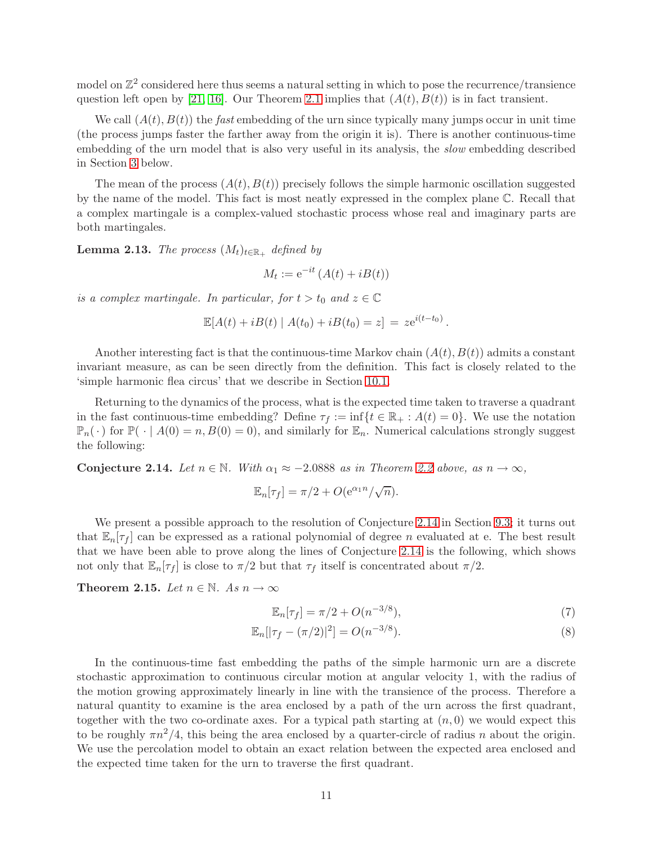model on  $\mathbb{Z}^2$  considered here thus seems a natural setting in which to pose the recurrence/transience question left open by [\[21,](#page-46-8) [16\]](#page-46-9). Our Theorem [2.1](#page-4-1) implies that  $(A(t),B(t))$  is in fact transient.

We call  $(A(t),B(t))$  the fast embedding of the urn since typically many jumps occur in unit time (the process jumps faster the farther away from the origin it is). There is another continuous-time embedding of the urn model that is also very useful in its analysis, the slow embedding described in Section [3](#page-13-0) below.

The mean of the process  $(A(t),B(t))$  precisely follows the simple harmonic oscillation suggested by the name of the model. This fact is most neatly expressed in the complex plane C. Recall that a complex martingale is a complex-valued stochastic process whose real and imaginary parts are both martingales.

<span id="page-11-2"></span>**Lemma 2.13.** The process  $(M_t)_{t \in \mathbb{R}_+}$  defined by

$$
M_t := e^{-it} \left( A(t) + iB(t) \right)
$$

is a complex martingale. In particular, for  $t > t_0$  and  $z \in \mathbb{C}$ 

$$
\mathbb{E}[A(t) + iB(t) | A(t_0) + iB(t_0) = z] = ze^{i(t-t_0)}.
$$

Another interesting fact is that the continuous-time Markov chain  $(A(t),B(t))$  admits a constant invariant measure, as can be seen directly from the definition. This fact is closely related to the 'simple harmonic flea circus' that we describe in Section [10.1.](#page-38-0)

Returning to the dynamics of the process, what is the expected time taken to traverse a quadrant in the fast continuous-time embedding? Define  $\tau_f := \inf\{t \in \mathbb{R}_+ : A(t) = 0\}$ . We use the notation  $\mathbb{P}_n(\cdot)$  for  $\mathbb{P}(\cdot | A(0) = n, B(0) = 0)$ , and similarly for  $\mathbb{E}_n$ . Numerical calculations strongly suggest the following:

<span id="page-11-0"></span>**Conjecture 2.14.** Let  $n \in \mathbb{N}$ . With  $\alpha_1 \approx -2.0888$  as in Theorem [2.2](#page-4-2) above, as  $n \to \infty$ ,

$$
\mathbb{E}_n[\tau_f] = \pi/2 + O(e^{\alpha_1 n}/\sqrt{n}).
$$

We present a possible approach to the resolution of Conjecture [2.14](#page-11-0) in Section [9.3;](#page-36-0) it turns out that  $\mathbb{E}_n[\tau_f]$  can be expressed as a rational polynomial of degree *n* evaluated at e. The best result that we have been able to prove along the lines of Conjecture [2.14](#page-11-0) is the following, which shows not only that  $\mathbb{E}_n[\tau_f]$  is close to  $\pi/2$  but that  $\tau_f$  itself is concentrated about  $\pi/2$ .

<span id="page-11-1"></span>Theorem 2.15. Let  $n \in \mathbb{N}$ . As  $n \to \infty$ 

<span id="page-11-4"></span><span id="page-11-3"></span>
$$
\mathbb{E}_n[\tau_f] = \pi/2 + O(n^{-3/8}),\tag{7}
$$

$$
\mathbb{E}_n[|\tau_f - (\pi/2)|^2] = O(n^{-3/8}).\tag{8}
$$

In the continuous-time fast embedding the paths of the simple harmonic urn are a discrete stochastic approximation to continuous circular motion at angular velocity 1, with the radius of the motion growing approximately linearly in line with the transience of the process. Therefore a natural quantity to examine is the area enclosed by a path of the urn across the first quadrant, together with the two co-ordinate axes. For a typical path starting at  $(n, 0)$  we would expect this to be roughly  $\pi n^2/4$ , this being the area enclosed by a quarter-circle of radius n about the origin. We use the percolation model to obtain an exact relation between the expected area enclosed and the expected time taken for the urn to traverse the first quadrant.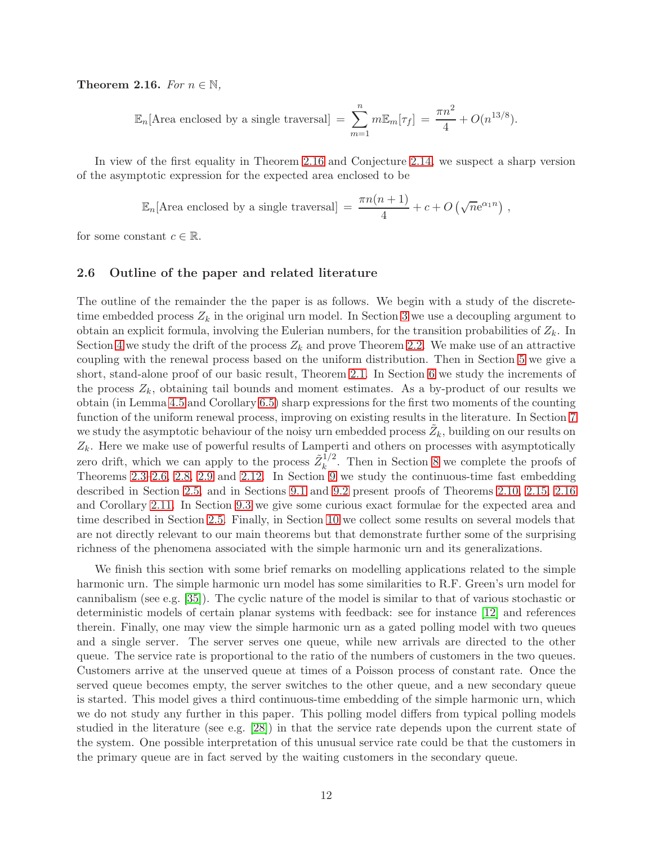<span id="page-12-0"></span>Theorem 2.16. For  $n \in \mathbb{N}$ ,

$$
\mathbb{E}_n[\text{Area enclosed by a single traversal}] = \sum_{m=1}^n m \mathbb{E}_m[\tau_f] = \frac{\pi n^2}{4} + O(n^{13/8}).
$$

In view of the first equality in Theorem [2.16](#page-12-0) and Conjecture [2.14,](#page-11-0) we suspect a sharp version of the asymptotic expression for the expected area enclosed to be

$$
\mathbb{E}_n[\text{Area enclosed by a single traversal}] = \frac{\pi n(n+1)}{4} + c + O\left(\sqrt{n}e^{\alpha_1 n}\right),
$$

for some constant  $c \in \mathbb{R}$ .

#### 2.6 Outline of the paper and related literature

The outline of the remainder the the paper is as follows. We begin with a study of the discretetime embedded process  $Z_k$  in the original urn model. In Section [3](#page-13-0) we use a decoupling argument to obtain an explicit formula, involving the Eulerian numbers, for the transition probabilities of  $Z_k$ . In Section [4](#page-17-0) we study the drift of the process  $Z_k$  and prove Theorem [2.2.](#page-4-2) We make use of an attractive coupling with the renewal process based on the uniform distribution. Then in Section [5](#page-20-0) we give a short, stand-alone proof of our basic result, Theorem [2.1.](#page-4-1) In Section [6](#page-21-0) we study the increments of the process  $Z_k$ , obtaining tail bounds and moment estimates. As a by-product of our results we obtain (in Lemma [4.5](#page-19-0) and Corollary [6.5\)](#page-23-0) sharp expressions for the first two moments of the counting function of the uniform renewal process, improving on existing results in the literature. In Section [7](#page-24-0) we study the asymptotic behaviour of the noisy urn embedded process  $\tilde{Z}_k$ , building on our results on  $Z_k$ . Here we make use of powerful results of Lamperti and others on processes with asymptotically zero drift, which we can apply to the process  $\tilde{Z}_{k}^{1/2}$  $\frac{1}{k}$ . Then in Section [8](#page-28-0) we complete the proofs of Theorems [2.3–](#page-5-0)[2.6,](#page-7-2) [2.8,](#page-7-3) [2.9](#page-8-2) and [2.12.](#page-10-0) In Section [9](#page-32-0) we study the continuous-time fast embedding described in Section [2.5,](#page-10-1) and in Sections [9.1](#page-32-1) and [9.2](#page-34-0) present proofs of Theorems [2.10,](#page-8-3) [2.15,](#page-11-1) [2.16](#page-12-0) and Corollary [2.11.](#page-8-1) In Section [9.3](#page-36-0) we give some curious exact formulae for the expected area and time described in Section [2.5.](#page-10-1) Finally, in Section [10](#page-38-1) we collect some results on several models that are not directly relevant to our main theorems but that demonstrate further some of the surprising richness of the phenomena associated with the simple harmonic urn and its generalizations.

We finish this section with some brief remarks on modelling applications related to the simple harmonic urn. The simple harmonic urn model has some similarities to R.F. Green's urn model for cannibalism (see e.g. [\[35\]](#page-47-5)). The cyclic nature of the model is similar to that of various stochastic or deterministic models of certain planar systems with feedback: see for instance [\[12\]](#page-46-10) and references therein. Finally, one may view the simple harmonic urn as a gated polling model with two queues and a single server. The server serves one queue, while new arrivals are directed to the other queue. The service rate is proportional to the ratio of the numbers of customers in the two queues. Customers arrive at the unserved queue at times of a Poisson process of constant rate. Once the served queue becomes empty, the server switches to the other queue, and a new secondary queue is started. This model gives a third continuous-time embedding of the simple harmonic urn, which we do not study any further in this paper. This polling model differs from typical polling models studied in the literature (see e.g. [\[28\]](#page-47-6)) in that the service rate depends upon the current state of the system. One possible interpretation of this unusual service rate could be that the customers in the primary queue are in fact served by the waiting customers in the secondary queue.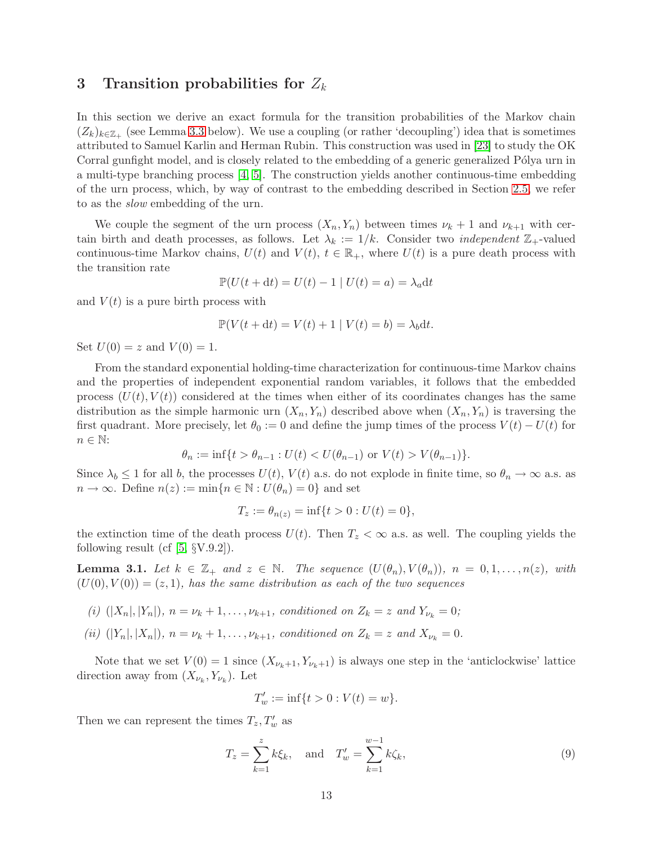### <span id="page-13-0"></span>3 Transition probabilities for  $Z_k$

In this section we derive an exact formula for the transition probabilities of the Markov chain  $(Z_k)_{k \in \mathbb{Z}_+}$  (see Lemma [3.3](#page-14-0) below). We use a coupling (or rather 'decoupling') idea that is sometimes attributed to Samuel Karlin and Herman Rubin. This construction was used in [\[23\]](#page-46-7) to study the OK Corral gunfight model, and is closely related to the embedding of a generic generalized Pólya urn in a multi-type branching process [\[4,](#page-46-4) [5\]](#page-46-5). The construction yields another continuous-time embedding of the urn process, which, by way of contrast to the embedding described in Section [2.5,](#page-10-1) we refer to as the slow embedding of the urn.

We couple the segment of the urn process  $(X_n, Y_n)$  between times  $\nu_k + 1$  and  $\nu_{k+1}$  with certain birth and death processes, as follows. Let  $\lambda_k := 1/k$ . Consider two *independent*  $\mathbb{Z}_+$ -valued continuous-time Markov chains,  $U(t)$  and  $V(t)$ ,  $t \in \mathbb{R}_+$ , where  $U(t)$  is a pure death process with the transition rate

$$
\mathbb{P}(U(t+dt) = U(t) - 1 \mid U(t) = a) = \lambda_a \mathrm{d}t
$$

and  $V(t)$  is a pure birth process with

$$
\mathbb{P}(V(t+dt) = V(t) + 1 | V(t) = b) = \lambda_b dt.
$$

Set  $U(0) = z$  and  $V(0) = 1$ .

From the standard exponential holding-time characterization for continuous-time Markov chains and the properties of independent exponential random variables, it follows that the embedded process  $(U(t), V(t))$  considered at the times when either of its coordinates changes has the same distribution as the simple harmonic urn  $(X_n, Y_n)$  described above when  $(X_n, Y_n)$  is traversing the first quadrant. More precisely, let  $\theta_0 := 0$  and define the jump times of the process  $V(t) - U(t)$  for  $n \in \mathbb{N}$ :

$$
\theta_n := \inf\{t > \theta_{n-1} : U(t) < U(\theta_{n-1}) \text{ or } V(t) > V(\theta_{n-1})\}.
$$

Since  $\lambda_b \leq 1$  for all b, the processes  $U(t)$ ,  $V(t)$  a.s. do not explode in finite time, so  $\theta_n \to \infty$  a.s. as  $n \to \infty$ . Define  $n(z) := \min\{n \in \mathbb{N} : U(\theta_n) = 0\}$  and set

$$
T_z := \theta_{n(z)} = \inf\{t > 0 : U(t) = 0\},\,
$$

the extinction time of the death process  $U(t)$ . Then  $T_z < \infty$  a.s. as well. The coupling yields the following result (cf  $[5, \S V.9.2]$ ).

<span id="page-13-2"></span>**Lemma 3.1.** Let  $k \in \mathbb{Z}_+$  and  $z \in \mathbb{N}$ . The sequence  $(U(\theta_n), V(\theta_n))$ ,  $n = 0, 1, \ldots, n(z)$ , with  $(U(0), V(0)) = (z, 1)$ , has the same distribution as each of the two sequences

- (i)  $(|X_n|, |Y_n|), n = \nu_k + 1, \ldots, \nu_{k+1}$ , conditioned on  $Z_k = z$  and  $Y_{\nu_k} = 0$ ;
- (ii)  $(|Y_n|, |X_n|), n = \nu_k + 1, \ldots, \nu_{k+1}$ , conditioned on  $Z_k = z$  and  $X_{\nu_k} = 0$ .

Note that we set  $V(0) = 1$  since  $(X_{\nu_k+1}, Y_{\nu_k+1})$  is always one step in the 'anticlockwise' lattice direction away from  $(X_{\nu_k}, Y_{\nu_k})$ . Let

$$
T'_{w} := \inf\{t > 0 : V(t) = w\}.
$$

Then we can represent the times  $T_z, T'_w$  as

<span id="page-13-1"></span>
$$
T_z = \sum_{k=1}^{z} k \xi_k, \text{ and } T'_w = \sum_{k=1}^{w-1} k \zeta_k,
$$
\n(9)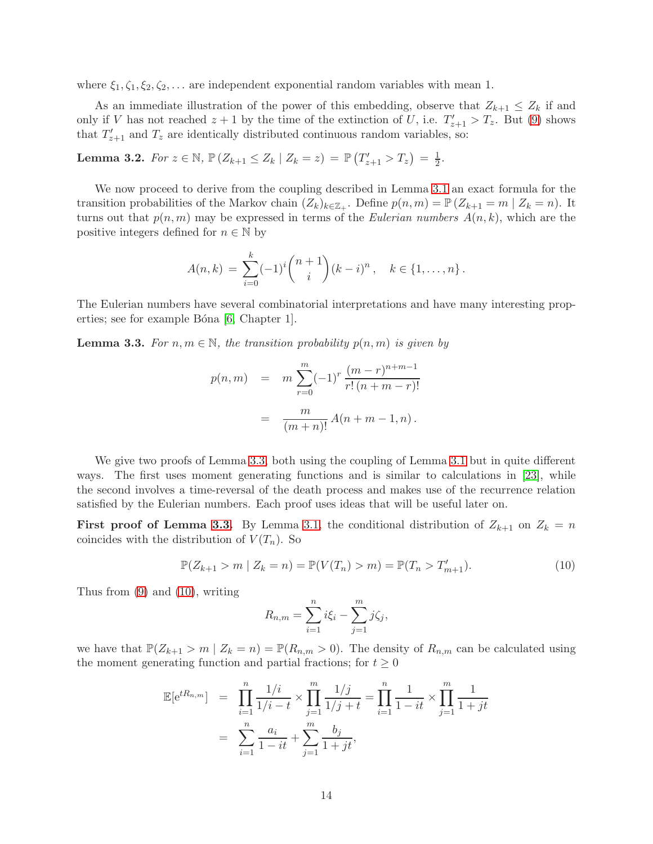where  $\xi_1, \zeta_1, \xi_2, \zeta_2, \ldots$  are independent exponential random variables with mean 1.

As an immediate illustration of the power of this embedding, observe that  $Z_{k+1} \leq Z_k$  if and only if V has not reached  $z + 1$  by the time of the extinction of U, i.e.  $T'_{z+1} > T_z$ . But [\(9\)](#page-13-1) shows that  $T'_{z+1}$  and  $T_z$  are identically distributed continuous random variables, so:

Lemma 3.2. For  $z \in \mathbb{N}$ ,  $\mathbb{P}(Z_{k+1} \leq Z_k | Z_k = z) = \mathbb{P}(T'_{z+1} > T_z) = \frac{1}{2}$ .

We now proceed to derive from the coupling described in Lemma [3.1](#page-13-2) an exact formula for the transition probabilities of the Markov chain  $(Z_k)_{k \in \mathbb{Z}_+}$ . Define  $p(n,m) = \mathbb{P}(Z_{k+1} = m | Z_k = n)$ . It turns out that  $p(n,m)$  may be expressed in terms of the *Eulerian numbers*  $A(n,k)$ , which are the positive integers defined for  $n \in \mathbb{N}$  by

$$
A(n,k) = \sum_{i=0}^{k} (-1)^{i} {n+1 \choose i} (k-i)^{n}, \quad k \in \{1, ..., n\}.
$$

The Eulerian numbers have several combinatorial interpretations and have many interesting prop-erties; see for example Bóna [\[6,](#page-46-11) Chapter 1].

<span id="page-14-0"></span>**Lemma 3.3.** For  $n, m \in \mathbb{N}$ , the transition probability  $p(n,m)$  is given by

$$
p(n,m) = m \sum_{r=0}^{m} (-1)^r \frac{(m-r)^{n+m-1}}{r!(n+m-r)!}
$$

$$
= \frac{m}{(m+n)!} A(n+m-1,n).
$$

We give two proofs of Lemma [3.3,](#page-14-0) both using the coupling of Lemma [3.1](#page-13-2) but in quite different ways. The first uses moment generating functions and is similar to calculations in [\[23\]](#page-46-7), while the second involves a time-reversal of the death process and makes use of the recurrence relation satisfied by the Eulerian numbers. Each proof uses ideas that will be useful later on.

**First proof of Lemma [3.3.](#page-14-0)** By Lemma [3.1,](#page-13-2) the conditional distribution of  $Z_{k+1}$  on  $Z_k = n$ coincides with the distribution of  $V(T_n)$ . So

<span id="page-14-1"></span>
$$
\mathbb{P}(Z_{k+1} > m \mid Z_k = n) = \mathbb{P}(V(T_n) > m) = \mathbb{P}(T_n > T'_{m+1}).
$$
\n(10)

Thus from [\(9\)](#page-13-1) and [\(10\)](#page-14-1), writing

$$
R_{n,m} = \sum_{i=1}^{n} i\xi_i - \sum_{j=1}^{m} j\zeta_j,
$$

we have that  $\mathbb{P}(Z_{k+1} > m | Z_k = n) = \mathbb{P}(R_{n,m} > 0)$ . The density of  $R_{n,m}$  can be calculated using the moment generating function and partial fractions; for  $t \geq 0$ 

$$
\mathbb{E}[e^{tR_{n,m}}] = \prod_{i=1}^{n} \frac{1/i}{1/i - t} \times \prod_{j=1}^{m} \frac{1/j}{1/j + t} = \prod_{i=1}^{n} \frac{1}{1 - it} \times \prod_{j=1}^{m} \frac{1}{1 + jt}
$$

$$
= \sum_{i=1}^{n} \frac{a_i}{1 - it} + \sum_{j=1}^{m} \frac{b_j}{1 + jt},
$$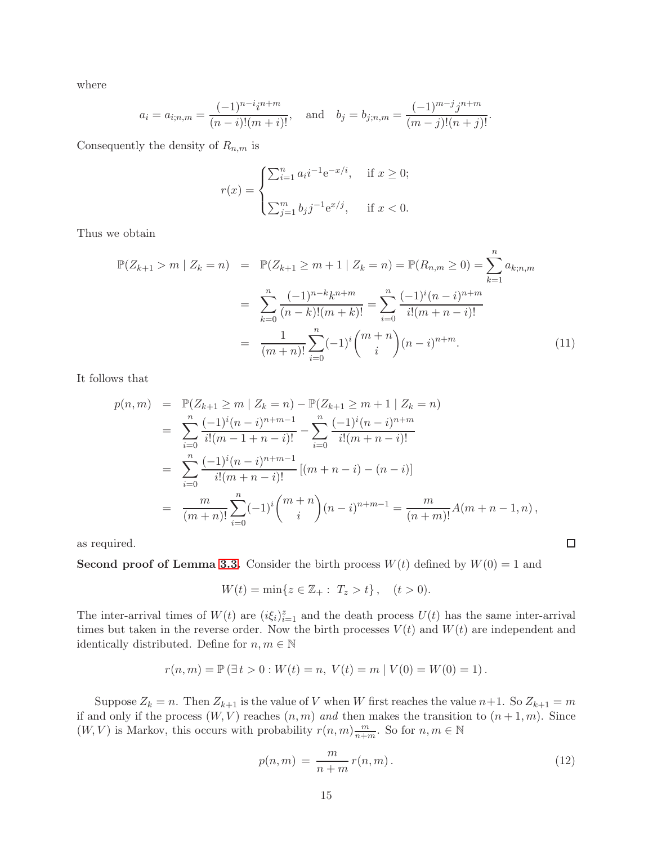where

$$
a_i = a_{i;n,m} = \frac{(-1)^{n-i}i^{n+m}}{(n-i)!(m+i)!}
$$
, and  $b_j = b_{j;n,m} = \frac{(-1)^{m-j}j^{n+m}}{(m-j)!(n+j)!}$ .

Consequently the density of  $R_{n,m}$  is

$$
r(x) = \begin{cases} \sum_{i=1}^{n} a_i i^{-1} e^{-x/i}, & \text{if } x \ge 0; \\ \sum_{j=1}^{m} b_j j^{-1} e^{x/j}, & \text{if } x < 0. \end{cases}
$$

Thus we obtain

<span id="page-15-1"></span>
$$
\mathbb{P}(Z_{k+1} > m \mid Z_k = n) = \mathbb{P}(Z_{k+1} \ge m+1 \mid Z_k = n) = \mathbb{P}(R_{n,m} \ge 0) = \sum_{k=1}^n a_{k;n,m}
$$

$$
= \sum_{k=0}^n \frac{(-1)^{n-k} k^{n+m}}{(n-k)!(m+k)!} = \sum_{i=0}^n \frac{(-1)^i (n-i)^{n+m}}{i!(m+n-i)!}
$$

$$
= \frac{1}{(m+n)!} \sum_{i=0}^n (-1)^i {m+n \choose i} (n-i)^{n+m}.
$$
(11)

It follows that

$$
p(n,m) = \mathbb{P}(Z_{k+1} \ge m \mid Z_k = n) - \mathbb{P}(Z_{k+1} \ge m+1 \mid Z_k = n)
$$
  
\n
$$
= \sum_{i=0}^{n} \frac{(-1)^i (n-i)^{n+m-1}}{i!(m-1+n-i)!} - \sum_{i=0}^{n} \frac{(-1)^i (n-i)^{n+m}}{i!(m+n-i)!}
$$
  
\n
$$
= \sum_{i=0}^{n} \frac{(-1)^i (n-i)^{n+m-1}}{i!(m+n-i)!} [(m+n-i) - (n-i)]
$$
  
\n
$$
= \frac{m}{(m+n)!} \sum_{i=0}^{n} (-1)^i {m+n \choose i} (n-i)^{n+m-1} = \frac{m}{(n+m)!} A(m+n-1, n),
$$

as required.

**Second proof of Lemma [3.3.](#page-14-0)** Consider the birth process  $W(t)$  defined by  $W(0) = 1$  and

$$
W(t) = \min\{z \in \mathbb{Z}_+ : T_z > t\}, \quad (t > 0).
$$

The inter-arrival times of  $W(t)$  are  $(i\xi_i)_{i=1}^z$  and the death process  $U(t)$  has the same inter-arrival times but taken in the reverse order. Now the birth processes  $V(t)$  and  $W(t)$  are independent and identically distributed. Define for  $n, m \in \mathbb{N}$ 

$$
r(n,m) = \mathbb{P}(\exists t > 0 : W(t) = n, V(t) = m | V(0) = W(0) = 1).
$$

Suppose  $Z_k = n$ . Then  $Z_{k+1}$  is the value of V when W first reaches the value  $n+1$ . So  $Z_{k+1} = m$ if and only if the process  $(W, V)$  reaches  $(n, m)$  and then makes the transition to  $(n + 1, m)$ . Since  $(W, V)$  is Markov, this occurs with probability  $r(n, m) \frac{m}{n+4}$  $\frac{m}{n+m}$ . So for  $n, m \in \mathbb{N}$ 

<span id="page-15-0"></span>
$$
p(n,m) = \frac{m}{n+m} r(n,m). \tag{12}
$$

 $\Box$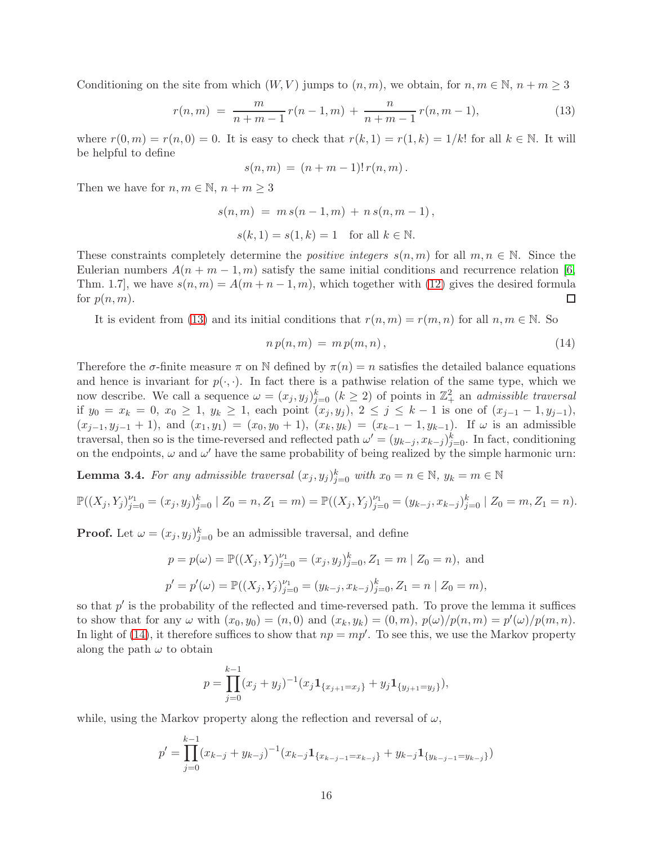Conditioning on the site from which  $(W, V)$  jumps to  $(n, m)$ , we obtain, for  $n, m \in \mathbb{N}, n + m \geq 3$ 

<span id="page-16-0"></span>
$$
r(n,m) = \frac{m}{n+m-1}r(n-1,m) + \frac{n}{n+m-1}r(n,m-1),
$$
\n(13)

where  $r(0,m) = r(n,0) = 0$ . It is easy to check that  $r(k, 1) = r(1,k) = 1/k!$  for all  $k \in \mathbb{N}$ . It will be helpful to define

$$
s(n,m) = (n+m-1)! r(n,m).
$$

Then we have for  $n, m \in \mathbb{N}, n + m \geq 3$ 

$$
s(n, m) = m s(n - 1, m) + n s(n, m - 1),
$$
  

$$
s(k, 1) = s(1, k) = 1 \text{ for all } k \in \mathbb{N}.
$$

These constraints completely determine the *positive integers*  $s(n,m)$  for all  $m,n \in \mathbb{N}$ . Since the Eulerian numbers  $A(n + m - 1, m)$  satisfy the same initial conditions and recurrence relation [\[6,](#page-46-11) Thm. 1.7], we have  $s(n,m) = A(m+n-1,m)$ , which together with [\(12\)](#page-15-0) gives the desired formula for  $p(n,m)$ . for  $p(n,m)$ .

It is evident from [\(13\)](#page-16-0) and its initial conditions that  $r(n,m) = r(m,n)$  for all  $n,m \in \mathbb{N}$ . So

<span id="page-16-1"></span>
$$
n p(n,m) = m p(m,n), \qquad (14)
$$

Therefore the  $\sigma$ -finite measure  $\pi$  on N defined by  $\pi(n) = n$  satisfies the detailed balance equations and hence is invariant for  $p(\cdot, \cdot)$ . In fact there is a pathwise relation of the same type, which we now describe. We call a sequence  $\omega = (x_j, y_j)_{j=0}^k$   $(k \geq 2)$  of points in  $\mathbb{Z}_+^2$  an *admissible traversal* if  $y_0 = x_k = 0, x_0 \ge 1, y_k \ge 1$ , each point  $(x_j, y_j), 2 \le j \le k-1$  is one of  $(x_{j-1}-1, y_{j-1}),$  $(x_{j-1},y_{j-1}+1)$ , and  $(x_1,y_1) = (x_0,y_0+1)$ ,  $(x_k,y_k) = (x_{k-1}-1,y_{k-1})$ . If  $\omega$  is an admissible traversal, then so is the time-reversed and reflected path  $\omega' = (y_{k-j}, x_{k-j})_{j=0}^k$ . In fact, conditioning on the endpoints,  $\omega$  and  $\omega'$  have the same probability of being realized by the simple harmonic urn:

<span id="page-16-2"></span>**Lemma 3.4.** For any admissible traversal  $(x_j, y_j)_{j=0}^k$  with  $x_0 = n \in \mathbb{N}$ ,  $y_k = m \in \mathbb{N}$ 

$$
\mathbb{P}((X_j,Y_j)_{j=0}^{\nu_1} = (x_j,y_j)_{j=0}^k \mid Z_0 = n, Z_1 = m) = \mathbb{P}((X_j,Y_j)_{j=0}^{\nu_1} = (y_{k-j}, x_{k-j})_{j=0}^k \mid Z_0 = m, Z_1 = n).
$$

**Proof.** Let  $\omega = (x_j, y_j)_{j=0}^k$  be an admissible traversal, and define

$$
p = p(\omega) = \mathbb{P}((X_j, Y_j)_{j=0}^{\nu_1} = (x_j, y_j)_{j=0}^k, Z_1 = m | Z_0 = n), \text{ and}
$$
  

$$
p' = p'(\omega) = \mathbb{P}((X_j, Y_j)_{j=0}^{\nu_1} = (y_{k-j}, x_{k-j})_{j=0}^k, Z_1 = n | Z_0 = m),
$$

so that  $p'$  is the probability of the reflected and time-reversed path. To prove the lemma it suffices to show that for any  $\omega$  with  $(x_0, y_0) = (n, 0)$  and  $(x_k, y_k) = (0, m)$ ,  $p(\omega)/p(n, m) = p'(\omega)/p(m, n)$ . In light of [\(14\)](#page-16-1), it therefore suffices to show that  $np = mp'$ . To see this, we use the Markov property along the path  $\omega$  to obtain

$$
p = \prod_{j=0}^{k-1} (x_j + y_j)^{-1} (x_j \mathbf{1}_{\{x_{j+1} = x_j\}} + y_j \mathbf{1}_{\{y_{j+1} = y_j\}}),
$$

while, using the Markov property along the reflection and reversal of  $\omega$ ,

$$
p' = \prod_{j=0}^{k-1} (x_{k-j} + y_{k-j})^{-1} (x_{k-j} \mathbf{1}_{\{x_{k-j-1} = x_{k-j}\}} + y_{k-j} \mathbf{1}_{\{y_{k-j-1} = y_{k-j}\}})
$$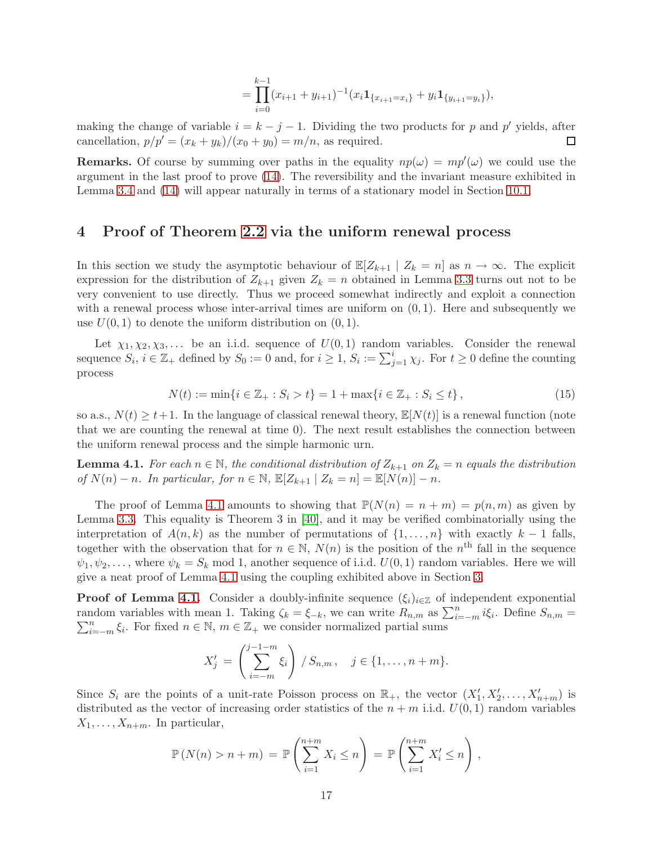$$
= \prod_{i=0}^{k-1} (x_{i+1} + y_{i+1})^{-1} (x_i \mathbf{1}_{\{x_{i+1} = x_i\}} + y_i \mathbf{1}_{\{y_{i+1} = y_i\}}),
$$

making the change of variable  $i = k - j - 1$ . Dividing the two products for p and p' yields, after cancellation,  $p/p' = (x_k + y_k)/(x_0 + y_0) = m/n$ , as required.  $\Box$ 

**Remarks.** Of course by summing over paths in the equality  $np(\omega) = mp'(\omega)$  we could use the argument in the last proof to prove [\(14\)](#page-16-1). The reversibility and the invariant measure exhibited in Lemma [3.4](#page-16-2) and [\(14\)](#page-16-1) will appear naturally in terms of a stationary model in Section [10.1.](#page-38-0)

### <span id="page-17-0"></span>4 Proof of Theorem [2.2](#page-4-2) via the uniform renewal process

In this section we study the asymptotic behaviour of  $\mathbb{E}[Z_{k+1} | Z_k = n]$  as  $n \to \infty$ . The explicit expression for the distribution of  $Z_{k+1}$  given  $Z_k = n$  obtained in Lemma [3.3](#page-14-0) turns out not to be very convenient to use directly. Thus we proceed somewhat indirectly and exploit a connection with a renewal process whose inter-arrival times are uniform on  $(0, 1)$ . Here and subsequently we use  $U(0, 1)$  to denote the uniform distribution on  $(0, 1)$ .

Let  $\chi_1, \chi_2, \chi_3, \ldots$  be an i.i.d. sequence of  $U(0, 1)$  random variables. Consider the renewal sequence  $S_i$ ,  $i \in \mathbb{Z}_+$  defined by  $S_0 := 0$  and, for  $i \geq 1$ ,  $S_i := \sum_{j=1}^i \chi_j$ . For  $t \geq 0$  define the counting process

<span id="page-17-2"></span>
$$
N(t) := \min\{i \in \mathbb{Z}_+ : S_i > t\} = 1 + \max\{i \in \mathbb{Z}_+ : S_i \le t\},\tag{15}
$$

so a.s.,  $N(t) \geq t+1$ . In the language of classical renewal theory,  $\mathbb{E}[N(t)]$  is a renewal function (note that we are counting the renewal at time 0). The next result establishes the connection between the uniform renewal process and the simple harmonic urn.

<span id="page-17-1"></span>**Lemma 4.1.** For each  $n \in \mathbb{N}$ , the conditional distribution of  $Z_{k+1}$  on  $Z_k = n$  equals the distribution of  $N(n) - n$ . In particular, for  $n \in \mathbb{N}$ ,  $\mathbb{E}[Z_{k+1} | Z_k = n] = \mathbb{E}[N(n)] - n$ .

The proof of Lemma [4.1](#page-17-1) amounts to showing that  $\mathbb{P}(N(n) = n + m) = p(n,m)$  as given by Lemma [3.3.](#page-14-0) This equality is Theorem 3 in [\[40\]](#page-47-7), and it may be verified combinatorially using the interpretation of  $A(n,k)$  as the number of permutations of  $\{1,\ldots,n\}$  with exactly  $k-1$  falls, together with the observation that for  $n \in \mathbb{N}$ ,  $N(n)$  is the position of the  $n<sup>th</sup>$  fall in the sequence  $\psi_1, \psi_2, \ldots$ , where  $\psi_k = S_k \text{ mod } 1$ , another sequence of i.i.d.  $U(0, 1)$  random variables. Here we will give a neat proof of Lemma [4.1](#page-17-1) using the coupling exhibited above in Section [3.](#page-13-0)

**Proof of Lemma [4.1.](#page-17-1)** Consider a doubly-infinite sequence  $(\xi_i)_{i\in\mathbb{Z}}$  of independent exponential random variables with mean 1. Taking  $\zeta_k = \xi_{-k}$ , we can write  $R_{n,m}$  as  $\sum_{i=-m}^{n} i\xi_i$ . Define  $S_{n,m}$  $\sum_{i=-m}^{n} \xi_i$ . For fixed  $n \in \mathbb{N}$ ,  $m \in \mathbb{Z}_+$  we consider normalized partial sums

$$
X'_{j} = \left(\sum_{i=-m}^{j-1-m} \xi_{i}\right) / S_{n,m}, \quad j \in \{1, ..., n+m\}.
$$

Since  $S_i$  are the points of a unit-rate Poisson process on  $\mathbb{R}_+$ , the vector  $(X'_1, X'_2, \ldots, X'_{n+m})$  is distributed as the vector of increasing order statistics of the  $n + m$  i.i.d.  $U(0, 1)$  random variables  $X_1,\ldots,X_{n+m}$ . In particular,

$$
\mathbb{P}(N(n) > n + m) = \mathbb{P}\left(\sum_{i=1}^{n+m} X_i \le n\right) = \mathbb{P}\left(\sum_{i=1}^{n+m} X'_i \le n\right),
$$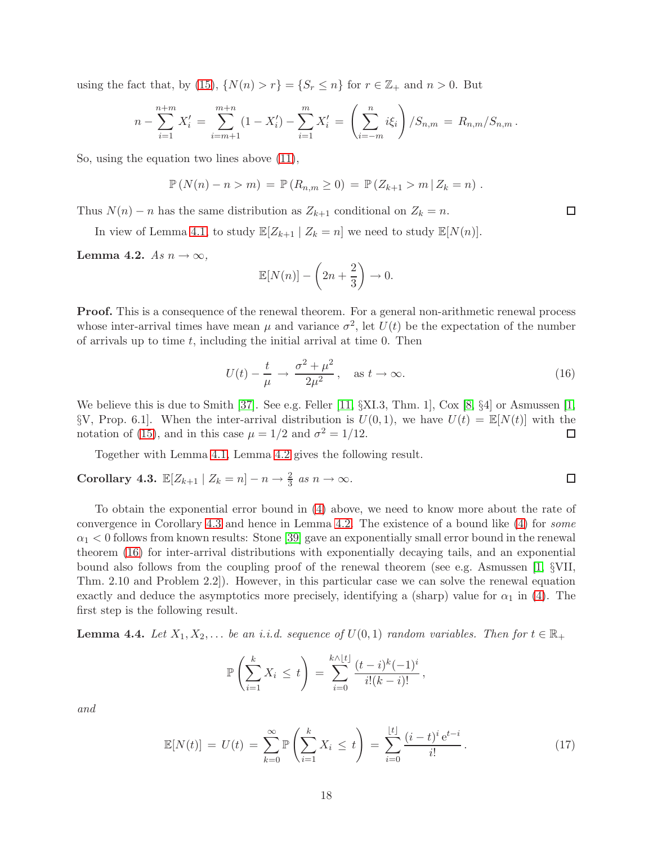using the fact that, by [\(15\)](#page-17-2),  $\{N(n) > r\} = \{S_r \leq n\}$  for  $r \in \mathbb{Z}_+$  and  $n > 0$ . But

$$
n - \sum_{i=1}^{n+m} X'_i = \sum_{i=m+1}^{m+n} (1 - X'_i) - \sum_{i=1}^{m} X'_i = \left(\sum_{i=-m}^{n} i\xi_i\right) / S_{n,m} = R_{n,m} / S_{n,m}.
$$

So, using the equation two lines above [\(11\)](#page-15-1),

$$
\mathbb{P}(N(n) - n > m) = \mathbb{P}(R_{n,m} \ge 0) = \mathbb{P}(Z_{k+1} > m | Z_k = n).
$$

Thus  $N(n) - n$  has the same distribution as  $Z_{k+1}$  conditional on  $Z_k = n$ .

In view of Lemma [4.1,](#page-17-1) to study  $\mathbb{E}[Z_{k+1} | Z_k = n]$  we need to study  $\mathbb{E}[N(n)]$ .

<span id="page-18-0"></span>Lemma 4.2. As  $n \to \infty$ ,

$$
\mathbb{E}[N(n)] - \left(2n + \frac{2}{3}\right) \to 0.
$$

Proof. This is a consequence of the renewal theorem. For a general non-arithmetic renewal process whose inter-arrival times have mean  $\mu$  and variance  $\sigma^2$ , let  $U(t)$  be the expectation of the number of arrivals up to time  $t$ , including the initial arrival at time 0. Then

<span id="page-18-2"></span>
$$
U(t) - \frac{t}{\mu} \to \frac{\sigma^2 + \mu^2}{2\mu^2}, \quad \text{as } t \to \infty.
$$
 (16)

 $\Box$ 

We believe this is due to Smith [\[37\]](#page-47-8). See e.g. Feller [\[11,](#page-46-12)  $\S$ XI.3, Thm. 1], Cox [\[8,](#page-46-13)  $\S$ 4] or Asmussen [\[1,](#page-45-2) §V, Prop. 6.1]. When the inter-arrival distribution is  $U(0, 1)$ , we have  $U(t) = \mathbb{E}[N(t)]$  with the notation of (15), and in this case  $\mu = 1/2$  and  $\sigma^2 = 1/12$ . notation of [\(15\)](#page-17-2), and in this case  $\mu = 1/2$  and  $\sigma^2 = 1/12$ .

Together with Lemma [4.1,](#page-17-1) Lemma [4.2](#page-18-0) gives the following result.

<span id="page-18-1"></span>Corollary 4.3. 
$$
\mathbb{E}[Z_{k+1} | Z_k = n] - n \to \frac{2}{3} \text{ as } n \to \infty.
$$

To obtain the exponential error bound in [\(4\)](#page-4-0) above, we need to know more about the rate of convergence in Corollary [4.3](#page-18-1) and hence in Lemma [4.2.](#page-18-0) The existence of a bound like [\(4\)](#page-4-0) for some  $\alpha_1$  < 0 follows from known results: Stone [\[39\]](#page-47-9) gave an exponentially small error bound in the renewal theorem [\(16\)](#page-18-2) for inter-arrival distributions with exponentially decaying tails, and an exponential bound also follows from the coupling proof of the renewal theorem (see e.g. Asmussen [\[1,](#page-45-2) §VII, Thm. 2.10 and Problem 2.2]). However, in this particular case we can solve the renewal equation exactly and deduce the asymptotics more precisely, identifying a (sharp) value for  $\alpha_1$  in [\(4\)](#page-4-0). The first step is the following result.

**Lemma 4.4.** Let  $X_1, X_2, \ldots$  be an i.i.d. sequence of  $U(0, 1)$  random variables. Then for  $t \in \mathbb{R}_+$ 

$$
\mathbb{P}\left(\sum_{i=1}^k X_i \leq t\right) = \sum_{i=0}^{k \wedge \lfloor t \rfloor} \frac{(t-i)^k (-1)^i}{i!(k-i)!},
$$

and

<span id="page-18-3"></span>
$$
\mathbb{E}[N(t)] = U(t) = \sum_{k=0}^{\infty} \mathbb{P}\left(\sum_{i=1}^{k} X_i \le t\right) = \sum_{i=0}^{\lfloor t \rfloor} \frac{(i-t)^i e^{t-i}}{i!}.
$$
 (17)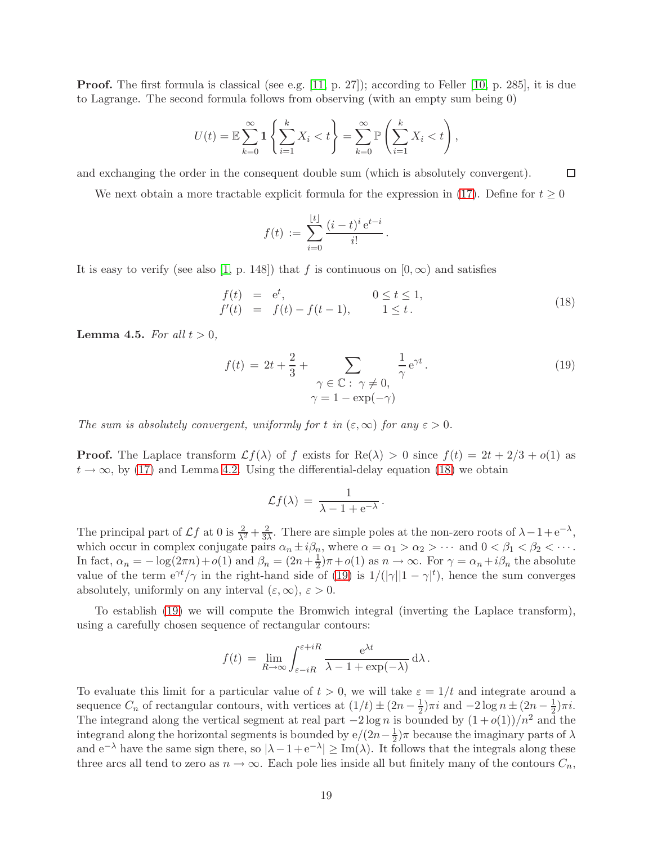**Proof.** The first formula is classical (see e.g. [\[11,](#page-46-12) p. 27]); according to Feller [\[10,](#page-46-14) p. 285], it is due to Lagrange. The second formula follows from observing (with an empty sum being 0)

$$
U(t) = \mathbb{E}\sum_{k=0}^{\infty} \mathbf{1}\left\{\sum_{i=1}^{k} X_i < t\right\} = \sum_{k=0}^{\infty} \mathbb{P}\left(\sum_{i=1}^{k} X_i < t\right),
$$

 $\Box$ and exchanging the order in the consequent double sum (which is absolutely convergent).

We next obtain a more tractable explicit formula for the expression in [\(17\)](#page-18-3). Define for  $t \geq 0$ 

$$
f(t) := \sum_{i=0}^{\lfloor t \rfloor} \frac{(i-t)^i e^{t-i}}{i!}.
$$

It is easy to verify (see also [\[1,](#page-45-2) p. 148]) that f is continuous on  $(0, \infty)$  and satisfies

<span id="page-19-1"></span>
$$
f(t) = e^{t}, \t 0 \le t \le 1,f'(t) = f(t) - f(t - 1), \t 1 \le t.
$$
\t(18)

<span id="page-19-0"></span>**Lemma 4.5.** For all  $t > 0$ ,

<span id="page-19-2"></span>
$$
f(t) = 2t + \frac{2}{3} + \sum_{\substack{\gamma \in \mathbb{C} \colon \gamma \neq 0, \\ \gamma = 1 - \exp(-\gamma)}} \frac{1}{\gamma} e^{\gamma t}.
$$
 (19)

The sum is absolutely convergent, uniformly for t in  $(\varepsilon,\infty)$  for any  $\varepsilon > 0$ .

**Proof.** The Laplace transform  $\mathcal{L}f(\lambda)$  of f exists for Re( $\lambda$ ) > 0 since  $f(t) = 2t + 2/3 + o(1)$  as  $t \to \infty$ , by [\(17\)](#page-18-3) and Lemma [4.2.](#page-18-0) Using the differential-delay equation [\(18\)](#page-19-1) we obtain

$$
\mathcal{L}f(\lambda) = \frac{1}{\lambda - 1 + e^{-\lambda}}.
$$

The principal part of  $\mathcal{L}f$  at 0 is  $\frac{2}{\lambda^2} + \frac{2}{3\lambda^2}$  $\frac{2}{3\lambda}$ . There are simple poles at the non-zero roots of  $\lambda - 1 + e^{-\lambda}$ , which occur in complex conjugate pairs  $\alpha_n \pm i\beta_n$ , where  $\alpha = \alpha_1 > \alpha_2 > \cdots$  and  $0 < \beta_1 < \beta_2 < \cdots$ . In fact,  $\alpha_n = -\log(2\pi n) + o(1)$  and  $\beta_n = (2n + \frac{1}{2})$  $\frac{1}{2}$ ) $\pi$  +  $o(1)$  as  $n \to \infty$ . For  $\gamma = \alpha_n + i\beta_n$  the absolute value of the term  $e^{\gamma t}/\gamma$  in the right-hand side of [\(19\)](#page-19-2) is  $1/(|\gamma||1 - \gamma|^t)$ , hence the sum converges absolutely, uniformly on any interval  $(\varepsilon,\infty)$ ,  $\varepsilon > 0$ .

To establish [\(19\)](#page-19-2) we will compute the Bromwich integral (inverting the Laplace transform), using a carefully chosen sequence of rectangular contours:

$$
f(t) = \lim_{R \to \infty} \int_{\varepsilon - iR}^{\varepsilon + iR} \frac{e^{\lambda t}}{\lambda - 1 + \exp(-\lambda)} d\lambda.
$$

To evaluate this limit for a particular value of  $t > 0$ , we will take  $\varepsilon = 1/t$  and integrate around a sequence  $C_n$  of rectangular contours, with vertices at  $(1/t) \pm (2n - \frac{1}{2})\pi i$  and  $-2 \log n \pm (2n - \frac{1}{2})\pi i$ . The integrand along the vertical segment at real part  $-2 \log n$  is bounded by  $(1 + o(1))/n^2$  and the integrand along the horizontal segments is bounded by  $e/(2n-\frac{1}{2})$  $\frac{1}{2}$ ) $\pi$  because the imaginary parts of  $\lambda$ and  $e^{-\lambda}$  have the same sign there, so  $|\lambda - 1 + e^{-\lambda}| \geq Im(\lambda)$ . It follows that the integrals along these three arcs all tend to zero as  $n \to \infty$ . Each pole lies inside all but finitely many of the contours  $C_n$ ,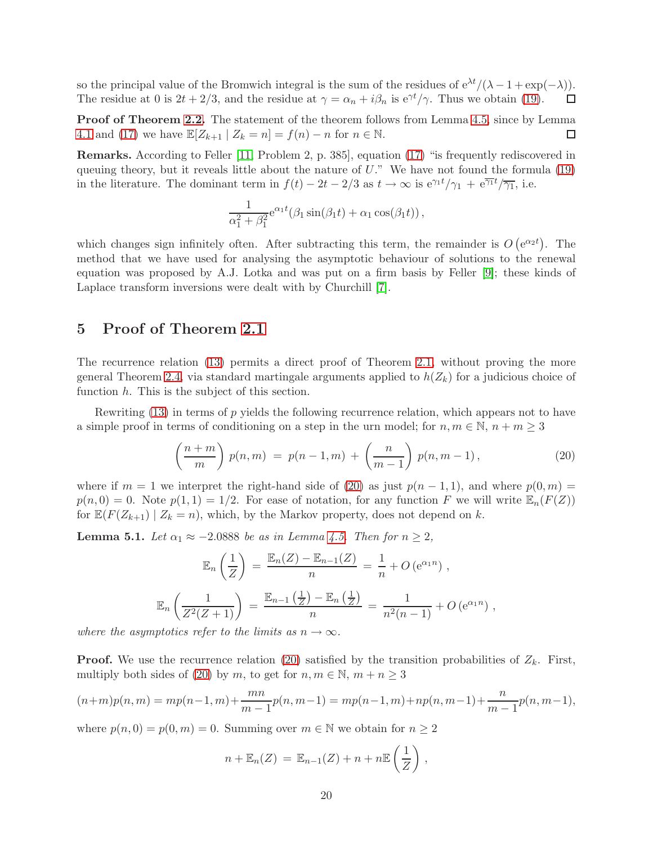so the principal value of the Bromwich integral is the sum of the residues of  $e^{\lambda t}/(\lambda - 1 + \exp(-\lambda))$ .<br>The residue at 0 is  $2t + 2/3$ , and the residue at  $\gamma = \alpha_n + i\beta_n$  is  $e^{\gamma t}/\gamma$ . Thus we obtain (19). The residue at 0 is  $2t + 2/3$ , and the residue at  $\gamma = \alpha_n + i\beta_n$  is  $e^{\gamma t}/\gamma$ . Thus we obtain [\(19\)](#page-19-2).

Proof of Theorem [2.2.](#page-4-2) The statement of the theorem follows from Lemma [4.5,](#page-19-0) since by Lemma [4.1](#page-17-1) and [\(17\)](#page-18-3) we have  $\mathbb{E}[Z_{k+1} | Z_k = n] = f(n) - n$  for  $n \in \mathbb{N}$ .  $\Box$ 

Remarks. According to Feller [\[11,](#page-46-12) Problem 2, p. 385], equation [\(17\)](#page-18-3) "is frequently rediscovered in queuing theory, but it reveals little about the nature of  $U$ ." We have not found the formula  $(19)$ in the literature. The dominant term in  $f(t) - 2t - 2/3$  as  $t \to \infty$  is  $e^{\gamma_1 t}/\gamma_1 + e^{\overline{\gamma_1}t}/\overline{\gamma_1}$ , i.e.

$$
\frac{1}{\alpha_1^2 + \beta_1^2} e^{\alpha_1 t} (\beta_1 \sin(\beta_1 t) + \alpha_1 \cos(\beta_1 t)),
$$

which changes sign infinitely often. After subtracting this term, the remainder is  $O(e^{\alpha_2 t})$ . The method that we have used for analysing the asymptotic behaviour of solutions to the renewal equation was proposed by A.J. Lotka and was put on a firm basis by Feller [\[9\]](#page-46-15); these kinds of Laplace transform inversions were dealt with by Churchill [\[7\]](#page-46-16).

### <span id="page-20-0"></span>5 Proof of Theorem [2.1](#page-4-1)

The recurrence relation [\(13\)](#page-16-0) permits a direct proof of Theorem [2.1,](#page-4-1) without proving the more general Theorem [2.4,](#page-6-0) via standard martingale arguments applied to  $h(Z_k)$  for a judicious choice of function  $h$ . This is the subject of this section.

Rewriting [\(13\)](#page-16-0) in terms of p yields the following recurrence relation, which appears not to have a simple proof in terms of conditioning on a step in the urn model; for  $n, m \in \mathbb{N}, n + m \geq 3$ 

<span id="page-20-1"></span>
$$
\left(\frac{n+m}{m}\right) p(n,m) = p(n-1,m) + \left(\frac{n}{m-1}\right) p(n,m-1), \tag{20}
$$

where if  $m = 1$  we interpret the right-hand side of [\(20\)](#page-20-1) as just  $p(n - 1, 1)$ , and where  $p(0, m) =$  $p(n, 0) = 0$ . Note  $p(1, 1) = 1/2$ . For ease of notation, for any function F we will write  $\mathbb{E}_n(F(Z))$ for  $\mathbb{E}(F(Z_{k+1}) | Z_k = n)$ , which, by the Markov property, does not depend on k.

<span id="page-20-2"></span>**Lemma 5.1.** Let  $\alpha_1 \approx -2.0888$  be as in Lemma [4.5.](#page-19-0) Then for  $n \geq 2$ ,

$$
\mathbb{E}_n\left(\frac{1}{Z}\right) = \frac{\mathbb{E}_n(Z) - \mathbb{E}_{n-1}(Z)}{n} = \frac{1}{n} + O\left(e^{\alpha_1 n}\right),
$$
  

$$
\mathbb{E}_n\left(\frac{1}{Z^2(Z+1)}\right) = \frac{\mathbb{E}_{n-1}\left(\frac{1}{Z}\right) - \mathbb{E}_n\left(\frac{1}{Z}\right)}{n} = \frac{1}{n^2(n-1)} + O\left(e^{\alpha_1 n}\right),
$$

where the asymptotics refer to the limits as  $n \to \infty$ .

**Proof.** We use the recurrence relation [\(20\)](#page-20-1) satisfied by the transition probabilities of  $Z_k$ . First, multiply both sides of [\(20\)](#page-20-1) by m, to get for  $n, m \in \mathbb{N}, m + n \geq 3$ 

$$
(n+m)p(n,m) = mp(n-1,m) + \frac{mn}{m-1}p(n,m-1) = mp(n-1,m) + np(n,m-1) + \frac{n}{m-1}p(n,m-1),
$$

where  $p(n, 0) = p(0, m) = 0$ . Summing over  $m \in \mathbb{N}$  we obtain for  $n \geq 2$ 

$$
n + \mathbb{E}_n(Z) = \mathbb{E}_{n-1}(Z) + n + n \mathbb{E}\left(\frac{1}{Z}\right),
$$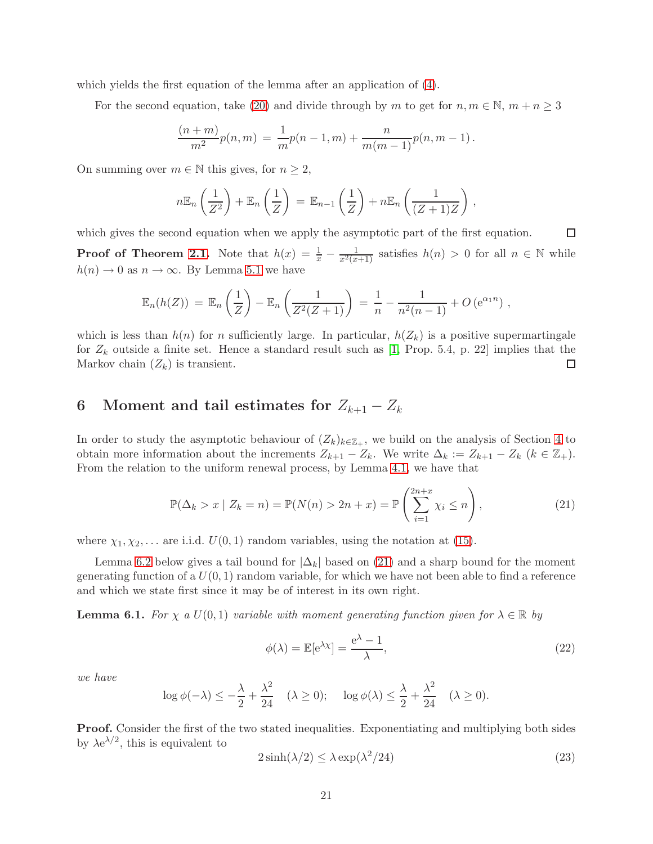which yields the first equation of the lemma after an application of [\(4\)](#page-4-0).

For the second equation, take [\(20\)](#page-20-1) and divide through by m to get for  $n, m \in \mathbb{N}, m + n \geq 3$ 

$$
\frac{(n+m)}{m^2}p(n,m) = \frac{1}{m}p(n-1,m) + \frac{n}{m(m-1)}p(n,m-1).
$$

On summing over  $m \in \mathbb{N}$  this gives, for  $n \geq 2$ ,

$$
n\mathbb{E}_n\left(\frac{1}{Z^2}\right)+\mathbb{E}_n\left(\frac{1}{Z}\right)=\mathbb{E}_{n-1}\left(\frac{1}{Z}\right)+n\mathbb{E}_n\left(\frac{1}{(Z+1)Z}\right),
$$

which gives the second equation when we apply the asymptotic part of the first equation.  $\Box$ **Proof of Theorem [2.1.](#page-4-1)** Note that  $h(x) = \frac{1}{x} - \frac{1}{x^2(x+1)}$  satisfies  $h(n) > 0$  for all  $n \in \mathbb{N}$  while  $h(n) \to 0$  as  $n \to \infty$ . By Lemma [5.1](#page-20-2) we have

$$
\mathbb{E}_n(h(Z)) = \mathbb{E}_n\left(\frac{1}{Z}\right) - \mathbb{E}_n\left(\frac{1}{Z^2(Z+1)}\right) = \frac{1}{n} - \frac{1}{n^2(n-1)} + O\left(e^{\alpha_1 n}\right),
$$

which is less than  $h(n)$  for n sufficiently large. In particular,  $h(Z_k)$  is a positive supermartingale for  $Z_k$  outside a finite set. Hence a standard result such as [\[1,](#page-45-2) Prop. 5.4, p. 22] implies that the Markov chain  $(Z_k)$  is transient.  $\Box$ 

# <span id="page-21-0"></span>6 Moment and tail estimates for  $Z_{k+1} - Z_k$

In order to study the asymptotic behaviour of  $(Z_k)_{k \in \mathbb{Z}_+}$ , we build on the analysis of Section [4](#page-17-0) to obtain more information about the increments  $Z_{k+1} - Z_k$ . We write  $\Delta_k := Z_{k+1} - Z_k$   $(k \in \mathbb{Z}_+).$ From the relation to the uniform renewal process, by Lemma [4.1,](#page-17-1) we have that

<span id="page-21-1"></span>
$$
\mathbb{P}(\Delta_k > x \mid Z_k = n) = \mathbb{P}(N(n) > 2n + x) = \mathbb{P}\left(\sum_{i=1}^{2n + x} \chi_i \le n\right),\tag{21}
$$

where  $\chi_1, \chi_2, \ldots$  are i.i.d.  $U(0, 1)$  random variables, using the notation at [\(15\)](#page-17-2).

Lemma [6.2](#page-22-0) below gives a tail bound for  $|\Delta_k|$  based on [\(21\)](#page-21-1) and a sharp bound for the moment generating function of a  $U(0, 1)$  random variable, for which we have not been able to find a reference and which we state first since it may be of interest in its own right.

<span id="page-21-4"></span>**Lemma 6.1.** For  $\chi$  a  $U(0,1)$  variable with moment generating function given for  $\lambda \in \mathbb{R}$  by

<span id="page-21-3"></span>
$$
\phi(\lambda) = \mathbb{E}[e^{\lambda \chi}] = \frac{e^{\lambda} - 1}{\lambda},\tag{22}
$$

we have

$$
\log \phi(-\lambda) \le -\frac{\lambda}{2} + \frac{\lambda^2}{24} \quad (\lambda \ge 0); \quad \log \phi(\lambda) \le \frac{\lambda}{2} + \frac{\lambda^2}{24} \quad (\lambda \ge 0).
$$

Proof. Consider the first of the two stated inequalities. Exponentiating and multiplying both sides by  $\lambda e^{\lambda/2}$ , this is equivalent to

<span id="page-21-2"></span>
$$
2\sinh(\lambda/2) \le \lambda \exp(\lambda^2/24)
$$
\n(23)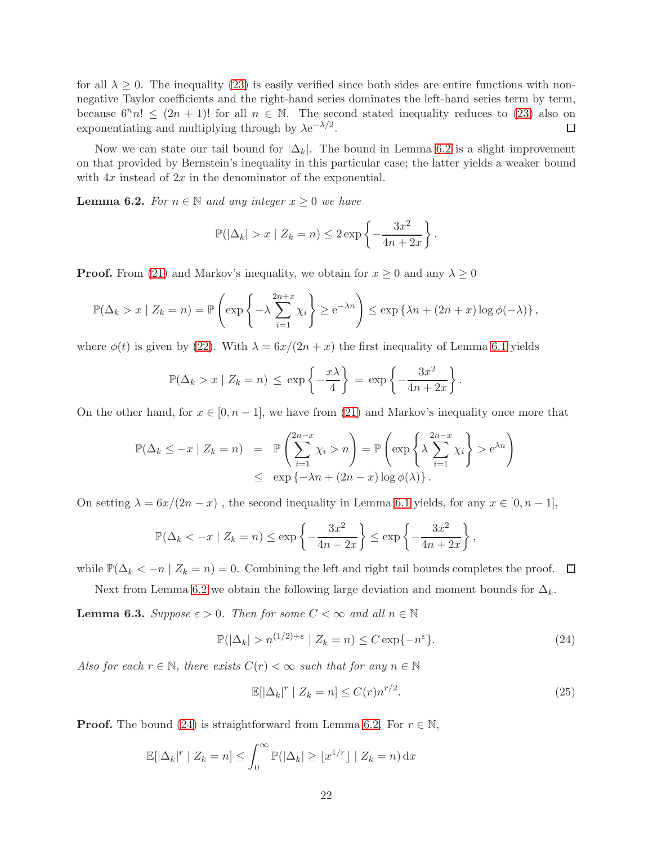for all  $\lambda \geq 0$ . The inequality [\(23\)](#page-21-2) is easily verified since both sides are entire functions with nonnegative Taylor coefficients and the right-hand series dominates the left-hand series term by term, because  $6^n n! \leq (2n + 1)!$  for all  $n \in \mathbb{N}$ . The second stated inequality reduces to [\(23\)](#page-21-2) also on exponentiating and multiplying through by  $\lambda e^{-\lambda/2}$ . exponentiating and multiplying through by  $\lambda e^{-\lambda/2}$ .

Now we can state our tail bound for  $|\Delta_k|$ . The bound in Lemma [6.2](#page-22-0) is a slight improvement on that provided by Bernstein's inequality in this particular case; the latter yields a weaker bound with  $4x$  instead of  $2x$  in the denominator of the exponential.

<span id="page-22-0"></span>**Lemma 6.2.** For  $n \in \mathbb{N}$  and any integer  $x \geq 0$  we have

$$
\mathbb{P}(|\Delta_k| > x \mid Z_k = n) \leq 2 \exp\left\{-\frac{3x^2}{4n+2x}\right\}.
$$

**Proof.** From [\(21\)](#page-21-1) and Markov's inequality, we obtain for  $x \ge 0$  and any  $\lambda \ge 0$ 

$$
\mathbb{P}(\Delta_k > x \mid Z_k = n) = \mathbb{P}\left(\exp\left\{-\lambda \sum_{i=1}^{2n+x} \chi_i\right\} \ge e^{-\lambda n}\right) \le \exp\left\{\lambda n + (2n+x)\log\phi(-\lambda)\right\},\
$$

where  $\phi(t)$  is given by [\(22\)](#page-21-3). With  $\lambda = 6x/(2n + x)$  the first inequality of Lemma [6.1](#page-21-4) yields

$$
\mathbb{P}(\Delta_k > x \mid Z_k = n) \le \exp\left\{-\frac{x\lambda}{4}\right\} = \exp\left\{-\frac{3x^2}{4n+2x}\right\}.
$$

On the other hand, for  $x \in [0, n-1]$ , we have from [\(21\)](#page-21-1) and Markov's inequality once more that

$$
\mathbb{P}(\Delta_k \leq -x \mid Z_k = n) = \mathbb{P}\left(\sum_{i=1}^{2n-x} \chi_i > n\right) = \mathbb{P}\left(\exp\left\{\lambda \sum_{i=1}^{2n-x} \chi_i\right\} > e^{\lambda n}\right)
$$
  

$$
\leq \exp\left\{-\lambda n + (2n-x)\log\phi(\lambda)\right\}.
$$

On setting  $\lambda = 6x/(2n - x)$ , the second inequality in Lemma [6.1](#page-21-4) yields, for any  $x \in [0, n - 1]$ ,

$$
\mathbb{P}(\Delta_k < -x \mid Z_k = n) \le \exp\left\{-\frac{3x^2}{4n-2x}\right\} \le \exp\left\{-\frac{3x^2}{4n+2x}\right\},\,
$$

while  $\mathbb{P}(\Delta_k < -n \mid Z_k = n) = 0$ . Combining the left and right tail bounds completes the proof.  $\Box$ 

Next from Lemma [6.2](#page-22-0) we obtain the following large deviation and moment bounds for  $\Delta_k$ .

<span id="page-22-3"></span>**Lemma 6.3.** Suppose  $\varepsilon > 0$ . Then for some  $C < \infty$  and all  $n \in \mathbb{N}$ 

<span id="page-22-1"></span>
$$
\mathbb{P}(|\Delta_k| > n^{(1/2)+\varepsilon} \mid Z_k = n) \le C \exp\{-n^{\varepsilon}\}.
$$
 (24)

Also for each  $r \in \mathbb{N}$ , there exists  $C(r) < \infty$  such that for any  $n \in \mathbb{N}$ 

<span id="page-22-2"></span>
$$
\mathbb{E}[\left|\Delta_k\right|^r \mid Z_k = n] \le C(r)n^{r/2}.\tag{25}
$$

**Proof.** The bound [\(24\)](#page-22-1) is straightforward from Lemma [6.2.](#page-22-0) For  $r \in \mathbb{N}$ ,

$$
\mathbb{E}[\left|\Delta_k\right|^r \mid Z_k = n] \le \int_0^\infty \mathbb{P}(\left|\Delta_k\right| \ge \lfloor x^{1/r} \rfloor \mid Z_k = n) \, \mathrm{d}x
$$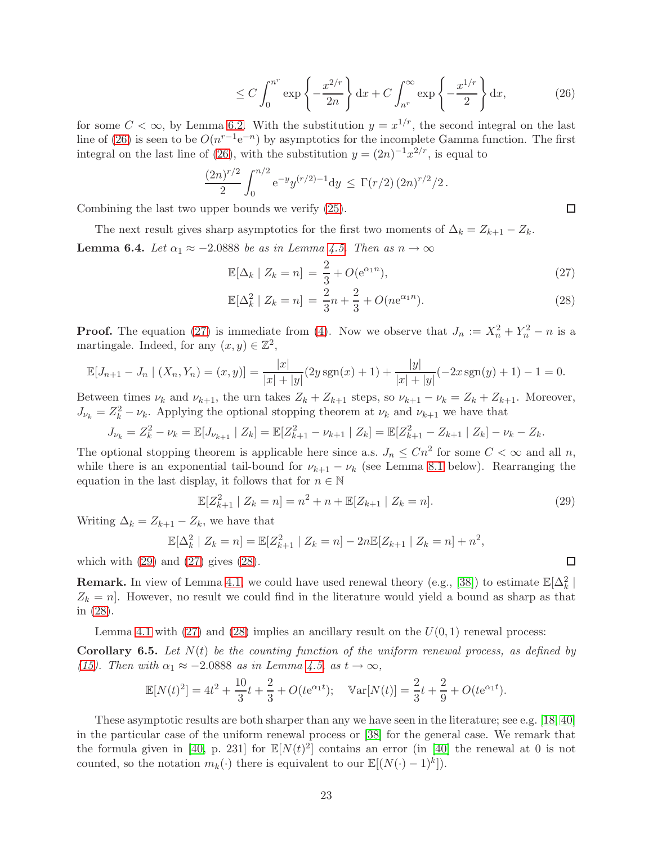$$
\leq C \int_0^{n^r} \exp\left\{-\frac{x^{2/r}}{2n}\right\} \mathrm{d}x + C \int_{n^r}^{\infty} \exp\left\{-\frac{x^{1/r}}{2}\right\} \mathrm{d}x,\tag{26}
$$

for some  $C < \infty$ , by Lemma [6.2.](#page-22-0) With the substitution  $y = x^{1/r}$ , the second integral on the last line of [\(26\)](#page-23-1) is seen to be  $O(n^{r-1}e^{-n})$  by asymptotics for the incomplete Gamma function. The first integral on the last line of [\(26\)](#page-23-1), with the substitution  $y = (2n)^{-1}x^{2/r}$ , is equal to

$$
\frac{(2n)^{r/2}}{2} \int_0^{n/2} e^{-y} y^{(r/2)-1} dy \le \Gamma(r/2) (2n)^{r/2}/2.
$$

Combining the last two upper bounds we verify [\(25\)](#page-22-2).

<span id="page-23-5"></span>The next result gives sharp asymptotics for the first two moments of  $\Delta_k = Z_{k+1} - Z_k$ . **Lemma 6.4.** Let  $\alpha_1 \approx -2.0888$  be as in Lemma [4.5.](#page-19-0) Then as  $n \to \infty$ 

$$
\mathbb{E}[\Delta_k \mid Z_k = n] = \frac{2}{3} + O(e^{\alpha_1 n}),\tag{27}
$$

$$
\mathbb{E}[\Delta_k^2 \mid Z_k = n] = \frac{2}{3}n + \frac{2}{3} + O(n\mathrm{e}^{\alpha_1 n}).\tag{28}
$$

**Proof.** The equation [\(27\)](#page-23-2) is immediate from [\(4\)](#page-4-0). Now we observe that  $J_n := X_n^2 + Y_n^2 - n$  is a martingale. Indeed, for any  $(x, y) \in \mathbb{Z}^2$ ,

$$
\mathbb{E}[J_{n+1} - J_n | (X_n, Y_n) = (x, y)] = \frac{|x|}{|x| + |y|} (2y \operatorname{sgn}(x) + 1) + \frac{|y|}{|x| + |y|} (-2x \operatorname{sgn}(y) + 1) - 1 = 0.
$$

Between times  $\nu_k$  and  $\nu_{k+1}$ , the urn takes  $Z_k + Z_{k+1}$  steps, so  $\nu_{k+1} - \nu_k = Z_k + Z_{k+1}$ . Moreover,  $J_{\nu_k} = Z_k^2 - \nu_k$ . Applying the optional stopping theorem at  $\nu_k$  and  $\nu_{k+1}$  we have that

$$
J_{\nu_k} = Z_k^2 - \nu_k = \mathbb{E}[J_{\nu_{k+1}} | Z_k] = \mathbb{E}[Z_{k+1}^2 - \nu_{k+1} | Z_k] = \mathbb{E}[Z_{k+1}^2 - Z_{k+1} | Z_k] - \nu_k - Z_k.
$$

The optional stopping theorem is applicable here since a.s.  $J_n \n\leq Cn^2$  for some  $C < \infty$  and all n, while there is an exponential tail-bound for  $\nu_{k+1} - \nu_k$  (see Lemma [8.1](#page-29-0) below). Rearranging the equation in the last display, it follows that for  $n \in \mathbb{N}$ 

<span id="page-23-3"></span>
$$
\mathbb{E}[Z_{k+1}^2 \mid Z_k = n] = n^2 + n + \mathbb{E}[Z_{k+1} \mid Z_k = n].
$$
\n(29)

Writing  $\Delta_k = Z_{k+1} - Z_k$ , we have that

$$
\mathbb{E}[\Delta_k^2 | Z_k = n] = \mathbb{E}[Z_{k+1}^2 | Z_k = n] - 2n \mathbb{E}[Z_{k+1} | Z_k = n] + n^2,
$$

which with  $(29)$  and  $(27)$  gives  $(28)$ .

**Remark.** In view of Lemma [4.1,](#page-17-1) we could have used renewal theory (e.g., [\[38\]](#page-47-10)) to estimate  $\mathbb{E}[\Delta_k^2 |$  $Z_k = n$ . However, no result we could find in the literature would yield a bound as sharp as that in [\(28\)](#page-23-4).

Lemma [4.1](#page-17-1) with  $(27)$  and  $(28)$  implies an ancillary result on the  $U(0, 1)$  renewal process:

<span id="page-23-0"></span>**Corollary 6.5.** Let  $N(t)$  be the counting function of the uniform renewal process, as defined by [\(15\)](#page-17-2). Then with  $\alpha_1 \approx -2.0888$  as in Lemma [4.5,](#page-19-0) as  $t \to \infty$ ,

$$
\mathbb{E}[N(t)^{2}] = 4t^{2} + \frac{10}{3}t + \frac{2}{3} + O(te^{\alpha_{1}t}); \quad \mathbb{V}\text{ar}[N(t)] = \frac{2}{3}t + \frac{2}{9} + O(te^{\alpha_{1}t}).
$$

These asymptotic results are both sharper than any we have seen in the literature; see e.g. [\[18,](#page-46-17) [40\]](#page-47-7) in the particular case of the uniform renewal process or [\[38\]](#page-47-10) for the general case. We remark that the formula given in [\[40,](#page-47-7) p. 231] for  $\mathbb{E}[N(t)^2]$  contains an error (in [\[40\]](#page-47-7) the renewal at 0 is not counted, so the notation  $m_k(\cdot)$  there is equivalent to our  $\mathbb{E}[(N(\cdot)-1)^k]).$ 

<span id="page-23-4"></span><span id="page-23-2"></span><span id="page-23-1"></span> $\Box$ 

 $\Box$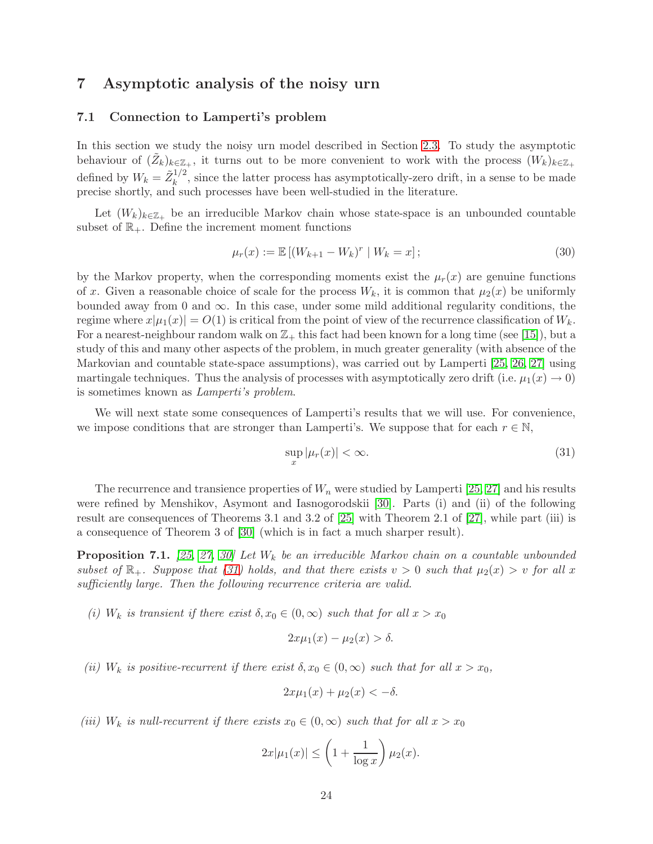## <span id="page-24-3"></span><span id="page-24-0"></span>7 Asymptotic analysis of the noisy urn

### 7.1 Connection to Lamperti's problem

In this section we study the noisy urn model described in Section [2.3.](#page-5-2) To study the asymptotic behaviour of  $(\tilde{Z}_k)_{k \in \mathbb{Z}_+}$ , it turns out to be more convenient to work with the process  $(W_k)_{k \in \mathbb{Z}_+}$ defined by  $W_k = \tilde{Z}_k^{1/2}$  $\frac{1}{k}$ , since the latter process has asymptotically-zero drift, in a sense to be made precise shortly, and such processes have been well-studied in the literature.

Let  $(W_k)_{k \in \mathbb{Z}_+}$  be an irreducible Markov chain whose state-space is an unbounded countable subset of  $\mathbb{R}_+$ . Define the increment moment functions

<span id="page-24-4"></span>
$$
\mu_r(x) := \mathbb{E} \left[ (W_{k+1} - W_k)^r \mid W_k = x \right];\tag{30}
$$

by the Markov property, when the corresponding moments exist the  $\mu_r(x)$  are genuine functions of x. Given a reasonable choice of scale for the process  $W_k$ , it is common that  $\mu_2(x)$  be uniformly bounded away from 0 and  $\infty$ . In this case, under some mild additional regularity conditions, the regime where  $x|\mu_1(x)| = O(1)$  is critical from the point of view of the recurrence classification of  $W_k$ . For a nearest-neighbour random walk on  $\mathbb{Z}_+$  this fact had been known for a long time (see [\[15\]](#page-46-18)), but a study of this and many other aspects of the problem, in much greater generality (with absence of the Markovian and countable state-space assumptions), was carried out by Lamperti [\[25,](#page-47-11) [26,](#page-47-12) [27\]](#page-47-13) using martingale techniques. Thus the analysis of processes with asymptotically zero drift (i.e.  $\mu_1(x) \to 0$ ) is sometimes known as Lamperti's problem.

We will next state some consequences of Lamperti's results that we will use. For convenience, we impose conditions that are stronger than Lamperti's. We suppose that for each  $r \in \mathbb{N}$ ,

<span id="page-24-1"></span>
$$
\sup_{x} |\mu_r(x)| < \infty. \tag{31}
$$

The recurrence and transience properties of  $W_n$  were studied by Lamperti [\[25,](#page-47-11) [27\]](#page-47-13) and his results were refined by Menshikov, Asymont and Iasnogorodskii [\[30\]](#page-47-14). Parts (i) and (ii) of the following result are consequences of Theorems 3.1 and 3.2 of [\[25\]](#page-47-11) with Theorem 2.1 of [\[27\]](#page-47-13), while part (iii) is a consequence of Theorem 3 of [\[30\]](#page-47-14) (which is in fact a much sharper result).

<span id="page-24-2"></span>**Proposition 7.1.** [\[25,](#page-47-11) [27,](#page-47-13) [30\]](#page-47-14) Let  $W_k$  be an irreducible Markov chain on a countable unbounded subset of  $\mathbb{R}_+$ . Suppose that [\(31\)](#page-24-1) holds, and that there exists  $v > 0$  such that  $\mu_2(x) > v$  for all x sufficiently large. Then the following recurrence criteria are valid.

(i)  $W_k$  is transient if there exist  $\delta, x_0 \in (0, \infty)$  such that for all  $x > x_0$ 

$$
2x\mu_1(x) - \mu_2(x) > \delta.
$$

(ii)  $W_k$  is positive-recurrent if there exist  $\delta, x_0 \in (0, \infty)$  such that for all  $x > x_0$ ,

$$
2x\mu_1(x) + \mu_2(x) < -\delta.
$$

(iii)  $W_k$  is null-recurrent if there exists  $x_0 \in (0,\infty)$  such that for all  $x > x_0$ 

$$
2x|\mu_1(x)| \le \left(1 + \frac{1}{\log x}\right)\mu_2(x).
$$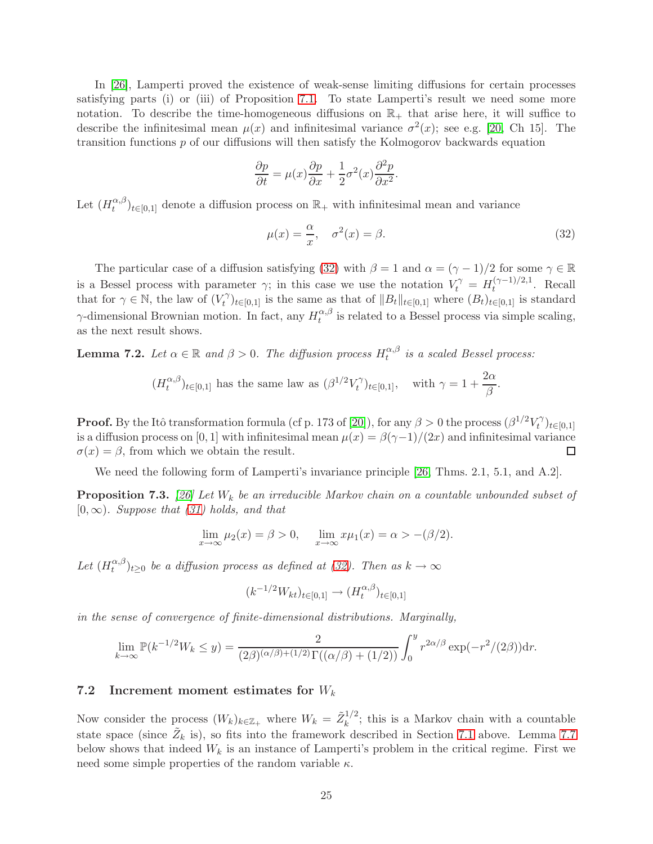In [\[26\]](#page-47-12), Lamperti proved the existence of weak-sense limiting diffusions for certain processes satisfying parts (i) or (iii) of Proposition [7.1.](#page-24-2) To state Lamperti's result we need some more notation. To describe the time-homogeneous diffusions on  $\mathbb{R}_+$  that arise here, it will suffice to describe the infinitesimal mean  $\mu(x)$  and infinitesimal variance  $\sigma^2(x)$ ; see e.g. [\[20,](#page-46-19) Ch 15]. The transition functions p of our diffusions will then satisfy the Kolmogorov backwards equation

$$
\frac{\partial p}{\partial t} = \mu(x)\frac{\partial p}{\partial x} + \frac{1}{2}\sigma^2(x)\frac{\partial^2 p}{\partial x^2}.
$$

Let  $(H_t^{\alpha,\beta}$  $\binom{\alpha,\beta}{t}$ <sub>t∈[0,1]</sub> denote a diffusion process on  $\mathbb{R}_+$  with infinitesimal mean and variance

<span id="page-25-0"></span>
$$
\mu(x) = \frac{\alpha}{x}, \quad \sigma^2(x) = \beta. \tag{32}
$$

The particular case of a diffusion satisfying [\(32\)](#page-25-0) with  $\beta = 1$  and  $\alpha = (\gamma - 1)/2$  for some  $\gamma \in \mathbb{R}$ is a Bessel process with parameter  $\gamma$ ; in this case we use the notation  $V_t^{\gamma} = H_t^{(\gamma-1)/2,1}$  $t^{(\gamma-1)/2,1}$ . Recall that for  $\gamma \in \mathbb{N}$ , the law of  $(V_t^{\gamma})$  $(t<sup>\gamma</sup>)_{t\in[0,1]}$  is the same as that of  $||B_t||_{t\in[0,1]}$  where  $(B_t)_{t\in[0,1]}$  is standard  $\gamma$ -dimensional Brownian motion. In fact, any  $H_t^{\alpha,\beta}$  $t_t^{\alpha,\beta}$  is related to a Bessel process via simple scaling, as the next result shows.

**Lemma 7.2.** Let  $\alpha \in \mathbb{R}$  and  $\beta > 0$ . The diffusion process  $H_t^{\alpha,\beta}$  $\hat{u}^{\alpha,\beta}_{t}$  is a scaled Bessel process:

$$
(H_t^{\alpha,\beta})_{t\in[0,1]}
$$
 has the same law as  $(\beta^{1/2}V_t^{\gamma})_{t\in[0,1]}$ , with  $\gamma = 1 + \frac{2\alpha}{\beta}$ .

**Proof.** By the Itô transformation formula (cf p. 173 of [\[20\]](#page-46-19)), for any  $\beta > 0$  the process  $(\beta^{1/2} V_t^{\gamma})$  $(t^{\gamma})_{t\in[0,1]}$ is a diffusion process on [0, 1] with infinitesimal mean  $\mu(x) = \beta(\gamma-1)/(2x)$  and infinitesimal variance  $\sigma(x) = \beta$ , from which we obtain the result.  $\sigma(x) = \beta$ , from which we obtain the result.

We need the following form of Lamperti's invariance principle [\[26,](#page-47-12) Thms. 2.1, 5.1, and A.2].

<span id="page-25-1"></span>**Proposition 7.3.** [\[26\]](#page-47-12) Let  $W_k$  be an irreducible Markov chain on a countable unbounded subset of  $[0, \infty)$ . Suppose that  $(31)$  holds, and that

$$
\lim_{x \to \infty} \mu_2(x) = \beta > 0, \quad \lim_{x \to \infty} x \mu_1(x) = \alpha > -(\beta/2).
$$

Let  $(H_t^{\alpha,\beta}$  $(t_t^{(\alpha,\beta)})_{t\geq 0}$  be a diffusion process as defined at [\(32\)](#page-25-0). Then as  $k\to\infty$ 

$$
(k^{-1/2}W_{kt})_{t\in[0,1]}\to (H_t^{\alpha,\beta})_{t\in[0,1]}
$$

in the sense of convergence of finite-dimensional distributions. Marginally,

$$
\lim_{k \to \infty} \mathbb{P}(k^{-1/2} W_k \le y) = \frac{2}{(2\beta)^{(\alpha/\beta)+(1/2)} \Gamma((\alpha/\beta)+(1/2))} \int_0^y r^{2\alpha/\beta} \exp(-r^2/(2\beta)) dr.
$$

#### 7.2 Increment moment estimates for  $W_k$

Now consider the process  $(W_k)_{k \in \mathbb{Z}_+}$  where  $W_k = \tilde{Z}_k^{1/2}$  $\frac{1}{k}$ ; this is a Markov chain with a countable state space (since  $\tilde{Z}_k$  is), so fits into the framework described in Section [7.1](#page-24-3) above. Lemma [7.7](#page-27-0) below shows that indeed  $W_k$  is an instance of Lamperti's problem in the critical regime. First we need some simple properties of the random variable  $\kappa$ .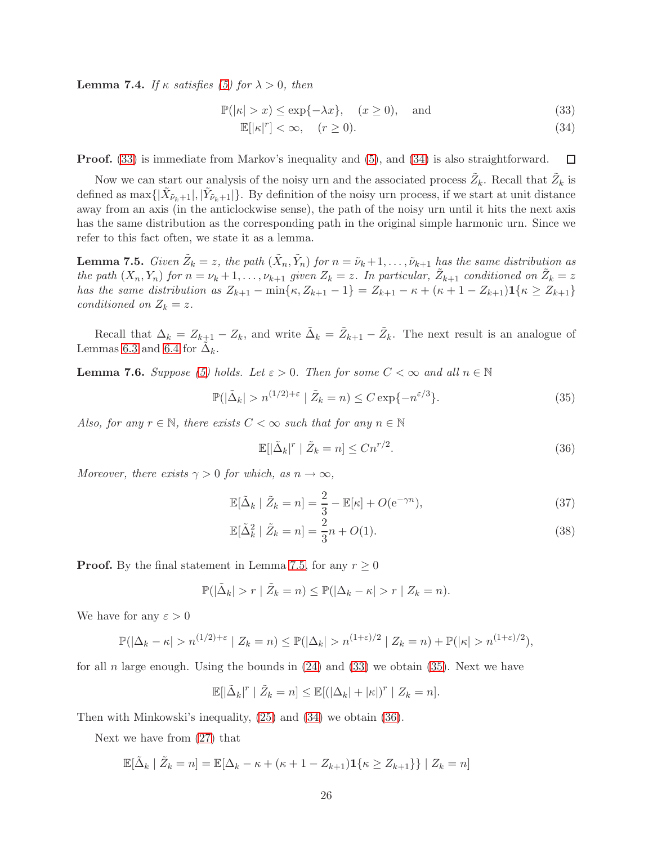**Lemma 7.4.** If  $\kappa$  satisfies [\(5\)](#page-5-1) for  $\lambda > 0$ , then

$$
\mathbb{P}(|\kappa| > x) \le \exp\{-\lambda x\}, \quad (x \ge 0), \quad \text{and} \tag{33}
$$

<span id="page-26-1"></span><span id="page-26-0"></span>
$$
\mathbb{E}[|\kappa|^r] < \infty, \quad (r \ge 0). \tag{34}
$$

Proof. [\(33\)](#page-26-0) is immediate from Markov's inequality and [\(5\)](#page-5-1), and [\(34\)](#page-26-1) is also straightforward.  $\Box$ 

Now we can start our analysis of the noisy urn and the associated process  $\tilde{Z}_k$ . Recall that  $\tilde{Z}_k$  is defined as  $\max\{|\tilde{X}_{\tilde{\nu}_k+1}|, |\tilde{Y}_{\tilde{\nu}_k+1}|\}$ . By definition of the noisy urn process, if we start at unit distance away from an axis (in the anticlockwise sense), the path of the noisy urn until it hits the next axis has the same distribution as the corresponding path in the original simple harmonic urn. Since we refer to this fact often, we state it as a lemma.

<span id="page-26-2"></span>**Lemma 7.5.** Given  $\tilde{Z}_k = z$ , the path  $(\tilde{X}_n, \tilde{Y}_n)$  for  $n = \tilde{\nu}_k + 1, \ldots, \tilde{\nu}_{k+1}$  has the same distribution as the path  $(X_n, Y_n)$  for  $n = \nu_k + 1, \ldots, \nu_{k+1}$  given  $Z_k = z$ . In particular,  $\tilde{Z}_{k+1}$  conditioned on  $\tilde{Z}_k = z$ has the same distribution as  $Z_{k+1} - \min\{\kappa, Z_{k+1} - 1\} = Z_{k+1} - \kappa + (\kappa + 1 - Z_{k+1})\mathbf{1}\{\kappa \geq Z_{k+1}\}\$ conditioned on  $Z_k = z$ .

Recall that  $\Delta_k = Z_{k+1} - Z_k$ , and write  $\tilde{\Delta}_k = \tilde{Z}_{k+1} - \tilde{Z}_k$ . The next result is an analogue of Lemmas [6.3](#page-22-3) and [6.4](#page-23-5) for  $\tilde{\Delta}_k$ .

**Lemma 7.6.** Suppose [\(5\)](#page-5-1) holds. Let  $\varepsilon > 0$ . Then for some  $C < \infty$  and all  $n \in \mathbb{N}$ 

<span id="page-26-3"></span>
$$
\mathbb{P}(|\tilde{\Delta}_k| > n^{(1/2)+\varepsilon} | \tilde{Z}_k = n) \le C \exp\{-n^{\varepsilon/3}\}.
$$
 (35)

Also, for any  $r \in \mathbb{N}$ , there exists  $C < \infty$  such that for any  $n \in \mathbb{N}$ 

<span id="page-26-6"></span><span id="page-26-5"></span><span id="page-26-4"></span>
$$
\mathbb{E}[\left|\tilde{\Delta}_k\right|^r \mid \tilde{Z}_k = n] \le Cn^{r/2}.\tag{36}
$$

Moreover, there exists  $\gamma > 0$  for which, as  $n \to \infty$ ,

$$
\mathbb{E}[\tilde{\Delta}_k \mid \tilde{Z}_k = n] = \frac{2}{3} - \mathbb{E}[\kappa] + O(e^{-\gamma n}),\tag{37}
$$

$$
\mathbb{E}[\tilde{\Delta}_k^2 \mid \tilde{Z}_k = n] = \frac{2}{3}n + O(1). \tag{38}
$$

**Proof.** By the final statement in Lemma [7.5,](#page-26-2) for any  $r > 0$ 

$$
\mathbb{P}(|\tilde{\Delta}_k| > r \mid \tilde{Z}_k = n) \le \mathbb{P}(|\Delta_k - \kappa| > r \mid Z_k = n).
$$

We have for any  $\varepsilon > 0$ 

$$
\mathbb{P}(|\Delta_k - \kappa| > n^{(1/2) + \varepsilon} \mid Z_k = n) \le \mathbb{P}(|\Delta_k| > n^{(1+\varepsilon)/2} \mid Z_k = n) + \mathbb{P}(|\kappa| > n^{(1+\varepsilon)/2}),
$$

for all n large enough. Using the bounds in  $(24)$  and  $(33)$  we obtain  $(35)$ . Next we have

$$
\mathbb{E}[|\tilde{\Delta}_k|^r \mid \tilde{Z}_k = n] \le \mathbb{E}[(|\Delta_k| + |\kappa|)^r \mid Z_k = n].
$$

Then with Minkowski's inequality, [\(25\)](#page-22-2) and [\(34\)](#page-26-1) we obtain [\(36\)](#page-26-4).

Next we have from [\(27\)](#page-23-2) that

$$
\mathbb{E}[\tilde{\Delta}_k \mid \tilde{Z}_k = n] = \mathbb{E}[\Delta_k - \kappa + (\kappa + 1 - Z_{k+1})\mathbf{1}\{\kappa \ge Z_{k+1}\}\mid Z_k = n]
$$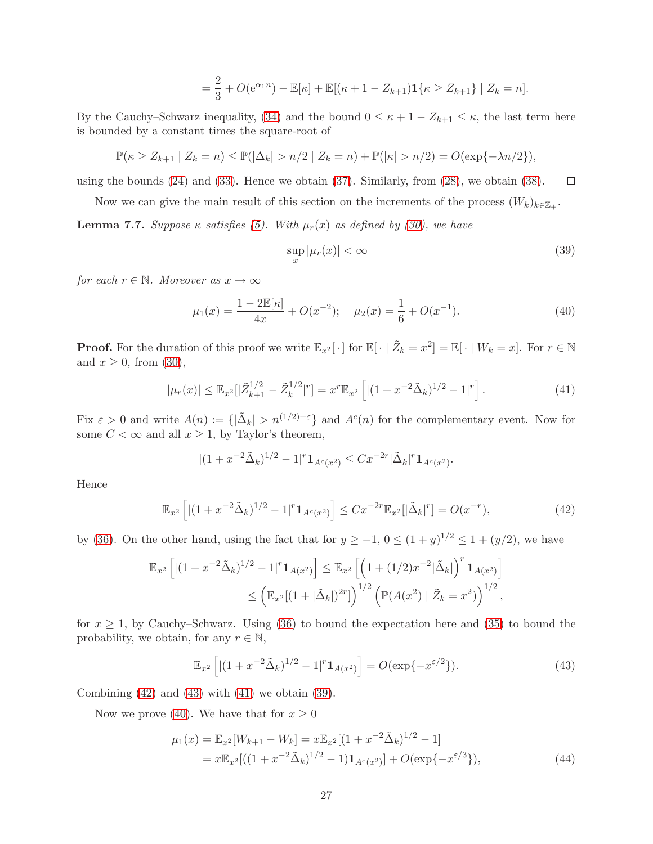$$
= \frac{2}{3} + O(e^{\alpha_1 n}) - \mathbb{E}[\kappa] + \mathbb{E}[(\kappa + 1 - Z_{k+1})\mathbf{1}\{\kappa \ge Z_{k+1}\} | Z_k = n].
$$

By the Cauchy–Schwarz inequality, [\(34\)](#page-26-1) and the bound  $0 \leq \kappa + 1 - Z_{k+1} \leq \kappa$ , the last term here is bounded by a constant times the square-root of

$$
\mathbb{P}(\kappa \ge Z_{k+1} | Z_k = n) \le \mathbb{P}(|\Delta_k| > n/2 | Z_k = n) + \mathbb{P}(|\kappa| > n/2) = O(\exp\{-\lambda n/2\}),
$$

using the bounds  $(24)$  and  $(33)$ . Hence we obtain  $(37)$ . Similarly, from  $(28)$ , we obtain  $(38)$ .  $\Box$ 

Now we can give the main result of this section on the increments of the process  $(W_k)_{k \in \mathbb{Z}_+}$ .

<span id="page-27-0"></span>**Lemma 7.7.** Suppose  $\kappa$  satisfies [\(5\)](#page-5-1). With  $\mu_r(x)$  as defined by [\(30\)](#page-24-4), we have

<span id="page-27-4"></span><span id="page-27-3"></span>
$$
\sup_{x} |\mu_r(x)| < \infty \tag{39}
$$

for each  $r \in \mathbb{N}$ . Moreover as  $x \to \infty$ 

<span id="page-27-5"></span>
$$
\mu_1(x) = \frac{1 - 2\mathbb{E}[\kappa]}{4x} + O(x^{-2}); \quad \mu_2(x) = \frac{1}{6} + O(x^{-1}).\tag{40}
$$

**Proof.** For the duration of this proof we write  $\mathbb{E}_{x^2}[\cdot]$  for  $\mathbb{E}[\cdot | \tilde{Z}_k = x^2] = \mathbb{E}[\cdot | W_k = x]$ . For  $r \in \mathbb{N}$ and  $x \geq 0$ , from [\(30\)](#page-24-4),

$$
|\mu_r(x)| \le \mathbb{E}_{x^2} [|\tilde{Z}_{k+1}^{1/2} - \tilde{Z}_k^{1/2}|^r] = x^r \mathbb{E}_{x^2} \left[ |(1 + x^{-2} \tilde{\Delta}_k)^{1/2} - 1|^r \right]. \tag{41}
$$

Fix  $\varepsilon > 0$  and write  $A(n) := \{ |\tilde{\Delta}_k| > n^{(1/2)+\varepsilon} \}$  and  $A^c(n)$  for the complementary event. Now for some  $C < \infty$  and all  $x \geq 1$ , by Taylor's theorem,

<span id="page-27-1"></span>
$$
|(1+x^{-2}\tilde{\Delta}_k)^{1/2}-1|^r\mathbf{1}_{A^c(x^2)}\leq Cx^{-2r}|\tilde{\Delta}_k|^r\mathbf{1}_{A^c(x^2)}.
$$

Hence

$$
\mathbb{E}_{x^2} \left[ | (1 + x^{-2} \tilde{\Delta}_k)^{1/2} - 1 |^{r} \mathbf{1}_{A^c(x^2)} \right] \le C x^{-2r} \mathbb{E}_{x^2} [|\tilde{\Delta}_k|^r] = O(x^{-r}), \tag{42}
$$

by [\(36\)](#page-26-4). On the other hand, using the fact that for  $y \ge -1$ ,  $0 \le (1 + y)^{1/2} \le 1 + (y/2)$ , we have

$$
\mathbb{E}_{x^2} \left[ |(1+x^{-2}\tilde{\Delta}_k)^{1/2} - 1|^r \mathbf{1}_{A(x^2)} \right] \leq \mathbb{E}_{x^2} \left[ \left( 1 + (1/2)x^{-2}|\tilde{\Delta}_k| \right)^r \mathbf{1}_{A(x^2)} \right]
$$
  

$$
\leq \left( \mathbb{E}_{x^2} [(1+|\tilde{\Delta}_k|)^{2r}] \right)^{1/2} \left( \mathbb{P}(A(x^2) | \tilde{Z}_k = x^2) \right)^{1/2},
$$

for  $x \geq 1$ , by Cauchy–Schwarz. Using [\(36\)](#page-26-4) to bound the expectation here and [\(35\)](#page-26-3) to bound the probability, we obtain, for any  $r \in \mathbb{N}$ ,

<span id="page-27-6"></span><span id="page-27-2"></span>
$$
\mathbb{E}_{x^2} \left[ | (1 + x^{-2} \tilde{\Delta}_k)^{1/2} - 1 |^{r} \mathbf{1}_{A(x^2)} \right] = O(\exp\{-x^{\varepsilon/2}\}). \tag{43}
$$

Combining  $(42)$  and  $(43)$  with  $(41)$  we obtain  $(39)$ .

Now we prove [\(40\)](#page-27-5). We have that for  $x \geq 0$ 

$$
\mu_1(x) = \mathbb{E}_{x^2}[W_{k+1} - W_k] = x \mathbb{E}_{x^2}[(1 + x^{-2}\tilde{\Delta}_k)^{1/2} - 1]
$$
  
=  $x \mathbb{E}_{x^2}[((1 + x^{-2}\tilde{\Delta}_k)^{1/2} - 1)\mathbf{1}_{A^c(x^2)}] + O(\exp\{-x^{\epsilon/3}\}),$  (44)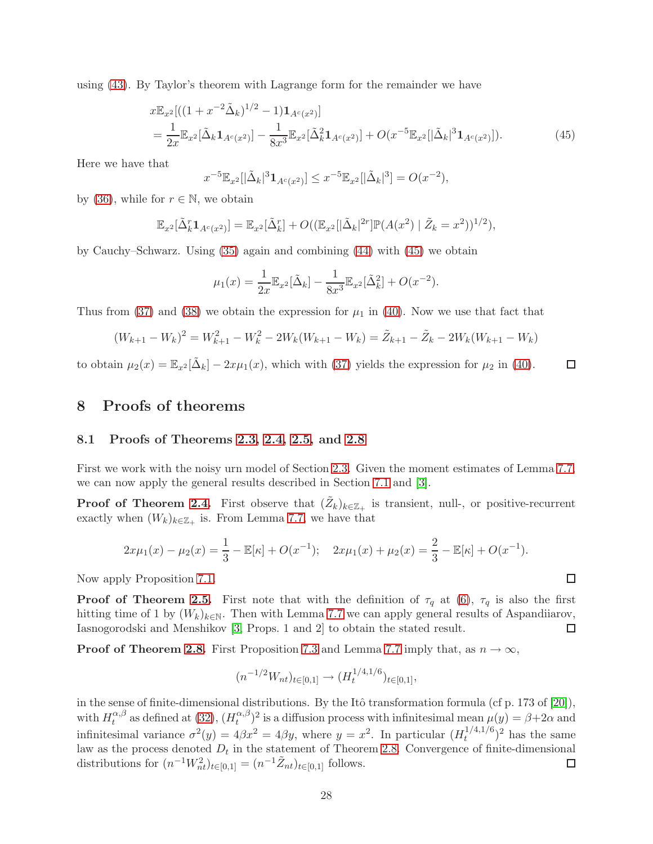using [\(43\)](#page-27-2). By Taylor's theorem with Lagrange form for the remainder we have

$$
x\mathbb{E}_{x^2}[( (1+x^{-2}\tilde{\Delta}_k)^{1/2} - 1)\mathbf{1}_{A^c(x^2)}]
$$
  
= 
$$
\frac{1}{2x}\mathbb{E}_{x^2}[\tilde{\Delta}_k\mathbf{1}_{A^c(x^2)}] - \frac{1}{8x^3}\mathbb{E}_{x^2}[\tilde{\Delta}_k^2\mathbf{1}_{A^c(x^2)}] + O(x^{-5}\mathbb{E}_{x^2}[|\tilde{\Delta}_k|^3\mathbf{1}_{A^c(x^2)}]).
$$
 (45)

Here we have that

<span id="page-28-1"></span>
$$
x^{-5} \mathbb{E}_{x^2} [|\tilde{\Delta}_k|^3 \mathbf{1}_{A^c(x^2)}] \leq x^{-5} \mathbb{E}_{x^2} [|\tilde{\Delta}_k|^3] = O(x^{-2}),
$$

by [\(36\)](#page-26-4), while for  $r \in \mathbb{N}$ , we obtain

$$
\mathbb{E}_{x^2}[\tilde{\Delta}_k^r \mathbf{1}_{A^c(x^2)}] = \mathbb{E}_{x^2}[\tilde{\Delta}_k^r] + O((\mathbb{E}_{x^2}[|\tilde{\Delta}_k|^{2r}]\mathbb{P}(A(x^2) | \tilde{Z}_k = x^2))^{1/2}),
$$

by Cauchy–Schwarz. Using [\(35\)](#page-26-3) again and combining [\(44\)](#page-27-6) with [\(45\)](#page-28-1) we obtain

$$
\mu_1(x) = \frac{1}{2x} \mathbb{E}_{x^2} [\tilde{\Delta}_k] - \frac{1}{8x^3} \mathbb{E}_{x^2} [\tilde{\Delta}_k^2] + O(x^{-2}).
$$

Thus from [\(37\)](#page-26-5) and [\(38\)](#page-26-6) we obtain the expression for  $\mu_1$  in [\(40\)](#page-27-5). Now we use that fact that

$$
(W_{k+1} - W_k)^2 = W_{k+1}^2 - W_k^2 - 2W_k(W_{k+1} - W_k) = \tilde{Z}_{k+1} - \tilde{Z}_k - 2W_k(W_{k+1} - W_k)
$$

<span id="page-28-0"></span>to obtain  $\mu_2(x) = \mathbb{E}_{x^2}[\tilde{\Delta}_k] - 2x\mu_1(x)$ , which with [\(37\)](#page-26-5) yields the expression for  $\mu_2$  in [\(40\)](#page-27-5).  $\Box$ 

### 8 Proofs of theorems

#### 8.1 Proofs of Theorems [2.3,](#page-5-0) [2.4,](#page-6-0) [2.5,](#page-7-1) and [2.8](#page-7-3)

First we work with the noisy urn model of Section [2.3.](#page-5-2) Given the moment estimates of Lemma [7.7,](#page-27-0) we can now apply the general results described in Section [7.1](#page-24-3) and [\[3\]](#page-45-1).

**Proof of Theorem [2.4.](#page-6-0)** First observe that  $(\tilde{Z}_k)_{k \in \mathbb{Z}_+}$  is transient, null-, or positive-recurrent exactly when  $(W_k)_{k \in \mathbb{Z}_+}$  is. From Lemma [7.7,](#page-27-0) we have that

$$
2x\mu_1(x) - \mu_2(x) = \frac{1}{3} - \mathbb{E}[\kappa] + O(x^{-1}); \quad 2x\mu_1(x) + \mu_2(x) = \frac{2}{3} - \mathbb{E}[\kappa] + O(x^{-1}).
$$

Now apply Proposition [7.1.](#page-24-2)

**Proof of Theorem [2.5.](#page-7-1)** First note that with the definition of  $\tau_q$  at [\(6\)](#page-6-1),  $\tau_q$  is also the first hitting time of 1 by  $(W_k)_{k\in\mathbb{N}}$ . Then with Lemma [7.7](#page-27-0) we can apply general results of Aspandiiarov, Iasnogorodski and Menshikov [\[3,](#page-45-1) Props. 1 and 2] to obtain the stated result.  $\Box$ 

**Proof of Theorem [2.8.](#page-7-3)** First Proposition [7.3](#page-25-1) and Lemma [7.7](#page-27-0) imply that, as  $n \to \infty$ ,

$$
(n^{-1/2}W_{nt})_{t\in[0,1]}\to (H_t^{1/4,1/6})_{t\in[0,1]},
$$

1/4,1/6

in the sense of finite-dimensional distributions. By the Itô transformation formula (cf p. 173 of  $[20]$ ), with  $H_t^{\alpha,\beta}$  $t_t^{\alpha,\beta}$  as defined at [\(32\)](#page-25-0),  $(H_t^{\alpha,\beta})$  $\mu_t^{(\alpha,\beta)}$  is a diffusion process with infinitesimal mean  $\mu(y) = \beta + 2\alpha$  and infinitesimal variance  $\sigma^2(y) = 4\beta x^2 = 4\beta y$ , where  $y = x^2$ . In particular  $(H_t^{1/4,1/6})$  $(t^{1/4,1/6})^2$  has the same law as the process denoted  $D_t$  in the statement of Theorem [2.8.](#page-7-3) Convergence of finite-dimensional distributions for  $(n^{-1}W_{nt}^2)_{t \in [0,1]} = (n^{-1}\tilde{Z}_{nt})_{t \in [0,1]}$  follows.  $\Box$ 

 $\Box$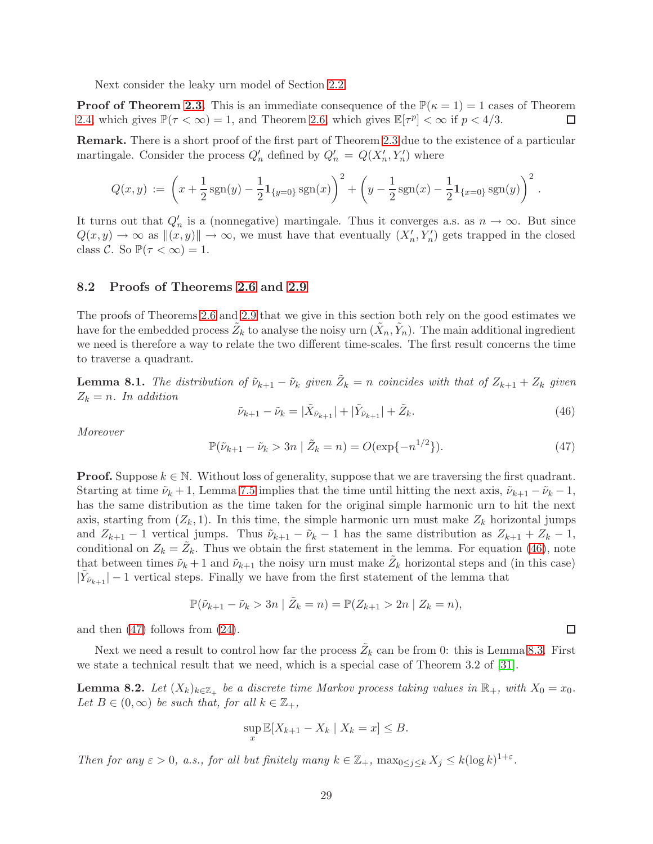Next consider the leaky urn model of Section [2.2.](#page-4-3)

**Proof of Theorem [2.3.](#page-5-0)** This is an immediate consequence of the  $\mathbb{P}(\kappa = 1) = 1$  cases of Theorem [2.4,](#page-6-0) which gives  $\mathbb{P}(\tau < \infty) = 1$ , and Theorem [2.6,](#page-7-2) which gives  $\mathbb{E}[\tau^p] < \infty$  if  $p < 4/3$ . □

Remark. There is a short proof of the first part of Theorem [2.3](#page-5-0) due to the existence of a particular martingale. Consider the process  $Q'_n$  defined by  $Q'_n = Q(X'_n, Y'_n)$  where

$$
Q(x,y) := \left(x + \frac{1}{2}\operatorname{sgn}(y) - \frac{1}{2}\mathbf{1}_{\{y=0\}}\operatorname{sgn}(x)\right)^2 + \left(y - \frac{1}{2}\operatorname{sgn}(x) - \frac{1}{2}\mathbf{1}_{\{x=0\}}\operatorname{sgn}(y)\right)^2.
$$

It turns out that  $Q'_n$  is a (nonnegative) martingale. Thus it converges a.s. as  $n \to \infty$ . But since  $Q(x, y) \to \infty$  as  $||(x, y)|| \to \infty$ , we must have that eventually  $(X'_n, Y'_n)$  gets trapped in the closed class C. So  $\mathbb{P}(\tau < \infty) = 1$ .

### 8.2 Proofs of Theorems [2.6](#page-7-2) and [2.9](#page-8-2)

The proofs of Theorems [2.6](#page-7-2) and [2.9](#page-8-2) that we give in this section both rely on the good estimates we have for the embedded process  $\tilde{Z}_k$  to analyse the noisy urn  $(\tilde{X}_n, \tilde{Y}_n)$ . The main additional ingredient we need is therefore a way to relate the two different time-scales. The first result concerns the time to traverse a quadrant.

<span id="page-29-0"></span>**Lemma 8.1.** The distribution of  $\tilde{\nu}_{k+1} - \tilde{\nu}_k$  given  $\tilde{Z}_k = n$  coincides with that of  $Z_{k+1} + Z_k$  given  $Z_k = n$ . In addition

<span id="page-29-1"></span>
$$
\tilde{\nu}_{k+1} - \tilde{\nu}_k = |\tilde{X}_{\tilde{\nu}_{k+1}}| + |\tilde{Y}_{\tilde{\nu}_{k+1}}| + \tilde{Z}_k.
$$
\n(46)

Moreover

<span id="page-29-2"></span>
$$
\mathbb{P}(\tilde{\nu}_{k+1} - \tilde{\nu}_k > 3n \mid \tilde{Z}_k = n) = O(\exp\{-n^{1/2}\}).\tag{47}
$$

**Proof.** Suppose  $k \in \mathbb{N}$ . Without loss of generality, suppose that we are traversing the first quadrant. Starting at time  $\tilde{\nu}_k + 1$ , Lemma [7.5](#page-26-2) implies that the time until hitting the next axis,  $\tilde{\nu}_{k+1} - \tilde{\nu}_k - 1$ , has the same distribution as the time taken for the original simple harmonic urn to hit the next axis, starting from  $(Z_k, 1)$ . In this time, the simple harmonic urn must make  $Z_k$  horizontal jumps and  $Z_{k+1} - 1$  vertical jumps. Thus  $\tilde{\nu}_{k+1} - \tilde{\nu}_k - 1$  has the same distribution as  $Z_{k+1} + Z_k - 1$ , conditional on  $Z_k = \tilde{Z}_k$ . Thus we obtain the first statement in the lemma. For equation [\(46\)](#page-29-1), note that between times  $\tilde{\nu}_k + 1$  and  $\tilde{\nu}_{k+1}$  the noisy urn must make  $\tilde{Z}_k$  horizontal steps and (in this case)  $|\tilde{Y}_{\tilde{\nu}_{k+1}}| - 1$  vertical steps. Finally we have from the first statement of the lemma that

$$
\mathbb{P}(\tilde{\nu}_{k+1} - \tilde{\nu}_k > 3n \mid \tilde{Z}_k = n) = \mathbb{P}(Z_{k+1} > 2n \mid Z_k = n),
$$

and then [\(47\)](#page-29-2) follows from [\(24\)](#page-22-1).

Next we need a result to control how far the process  $\tilde{Z}_k$  can be from 0: this is Lemma [8.3.](#page-30-0) First we state a technical result that we need, which is a special case of Theorem 3.2 of [\[31\]](#page-47-15).

<span id="page-29-3"></span>**Lemma 8.2.** Let  $(X_k)_{k \in \mathbb{Z}_+}$  be a discrete time Markov process taking values in  $\mathbb{R}_+$ , with  $X_0 = x_0$ . Let  $B \in (0,\infty)$  be such that, for all  $k \in \mathbb{Z}_+$ ,

$$
\sup_x \mathbb{E}[X_{k+1} - X_k \mid X_k = x] \leq B.
$$

Then for any  $\varepsilon > 0$ , a.s., for all but finitely many  $k \in \mathbb{Z}_+$ ,  $\max_{0 \le j \le k} X_j \le k(\log k)^{1+\varepsilon}$ .

 $\Box$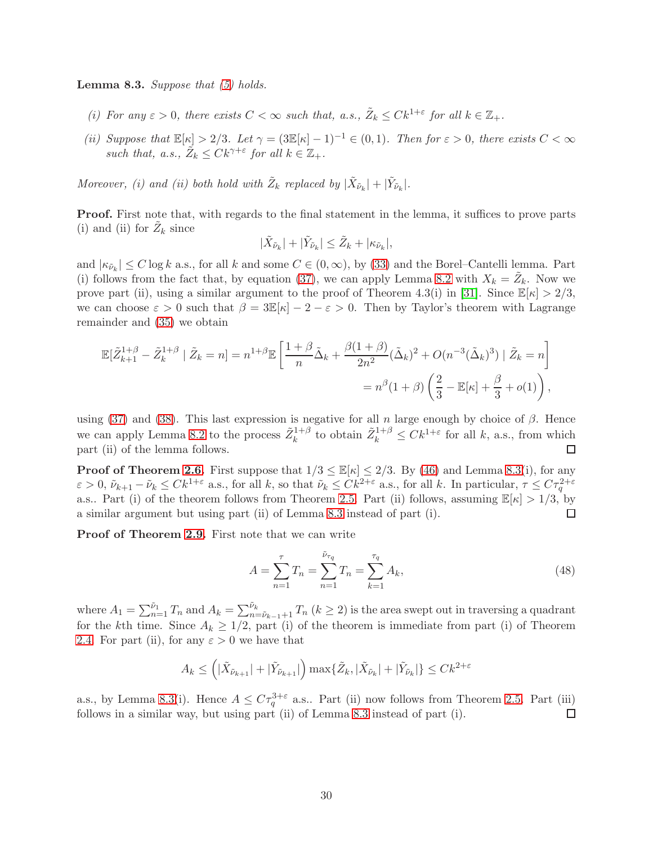<span id="page-30-0"></span>**Lemma 8.3.** Suppose that  $(5)$  holds.

- (i) For any  $\varepsilon > 0$ , there exists  $C < \infty$  such that, a.s.,  $\tilde{Z}_k \leq C k^{1+\varepsilon}$  for all  $k \in \mathbb{Z}_+$ .
- (ii) Suppose that  $\mathbb{E}[\kappa] > 2/3$ . Let  $\gamma = (3\mathbb{E}[\kappa] 1)^{-1} \in (0, 1)$ . Then for  $\varepsilon > 0$ , there exists  $C < \infty$ such that, a.s.,  $\tilde{Z}_k \leq C k^{\gamma+\varepsilon}$  for all  $k \in \mathbb{Z}_+$ .

Moreover, (i) and (ii) both hold with  $\tilde{Z}_k$  replaced by  $|\tilde{X}_{\tilde{\nu}_k}| + |\tilde{Y}_{\tilde{\nu}_k}|$ .

**Proof.** First note that, with regards to the final statement in the lemma, it suffices to prove parts (i) and (ii) for  $\tilde{Z}_k$  since

$$
|\tilde{X}_{\tilde{\nu}_k}|+|\tilde{Y}_{\tilde{\nu}_k}|\leq \tilde{Z}_k+|\kappa_{\tilde{\nu}_k}|,
$$

and  $|\kappa_{\tilde{\nu}_k}| \leq C \log k$  a.s., for all k and some  $C \in (0,\infty)$ , by [\(33\)](#page-26-0) and the Borel–Cantelli lemma. Part (i) follows from the fact that, by equation [\(37\)](#page-26-5), we can apply Lemma [8.2](#page-29-3) with  $X_k = \tilde{Z}_k$ . Now we prove part (ii), using a similar argument to the proof of Theorem 4.3(i) in [\[31\]](#page-47-15). Since  $\mathbb{E}[\kappa] > 2/3$ , we can choose  $\varepsilon > 0$  such that  $\beta = 3\mathbb{E}[\kappa] - 2 - \varepsilon > 0$ . Then by Taylor's theorem with Lagrange remainder and [\(35\)](#page-26-3) we obtain

$$
\mathbb{E}[\tilde{Z}_{k+1}^{1+\beta} - \tilde{Z}_k^{1+\beta} | \tilde{Z}_k = n] = n^{1+\beta} \mathbb{E}\left[\frac{1+\beta}{n}\tilde{\Delta}_k + \frac{\beta(1+\beta)}{2n^2}(\tilde{\Delta}_k)^2 + O(n^{-3}(\tilde{\Delta}_k)^3) | \tilde{Z}_k = n\right]
$$

$$
= n^{\beta}(1+\beta)\left(\frac{2}{3} - \mathbb{E}[\kappa] + \frac{\beta}{3} + o(1)\right),
$$

using [\(37\)](#page-26-5) and [\(38\)](#page-26-6). This last expression is negative for all n large enough by choice of  $\beta$ . Hence we can apply Lemma [8.2](#page-29-3) to the process  $\tilde{Z}_k^{1+\beta}$  to obtain  $\tilde{Z}_k^{1+\beta} \leq C k^{1+\varepsilon}$  for all k, a.s., from which part (ii) of the lemma follows.  $\Box$ 

**Proof of Theorem [2.6.](#page-7-2)** First suppose that  $1/3 \leq \mathbb{E}[\kappa] \leq 2/3$ . By [\(46\)](#page-29-1) and Lemma [8.3\(](#page-30-0)i), for any  $\varepsilon > 0$ ,  $\tilde{\nu}_{k+1} - \tilde{\nu}_k \leq C k^{1+\varepsilon}$  a.s., for all k, so that  $\tilde{\nu}_k \leq C k^{2+\varepsilon}$  a.s., for all k. In particular,  $\tau \leq C \tau_q^{2+\varepsilon}$ a.s.. Part (i) of the theorem follows from Theorem [2.5.](#page-7-1) Part (ii) follows, assuming  $\mathbb{E}[\kappa] > 1/3$ , by a similar argument but using part (ii) of Lemma [8.3](#page-30-0) instead of part (i).  $\Box$ 

Proof of Theorem [2.9.](#page-8-2) First note that we can write

<span id="page-30-1"></span>
$$
A = \sum_{n=1}^{\tau} T_n = \sum_{n=1}^{\tilde{\nu}_{\tau_q}} T_n = \sum_{k=1}^{\tau_q} A_k,
$$
\n(48)

where  $A_1 = \sum_{n=1}^{\tilde{\nu}_1} T_n$  and  $A_k = \sum_{n=\tilde{\nu}_{k-1}+1}^{\tilde{\nu}_k} T_n$   $(k \geq 2)$  is the area swept out in traversing a quadrant for the kth time. Since  $A_k \geq 1/2$ , part (i) of the theorem is immediate from part (i) of Theorem [2.4.](#page-6-0) For part (ii), for any  $\varepsilon > 0$  we have that

$$
A_k \leq \left( |\tilde{X}_{\tilde{\nu}_{k+1}}| + |\tilde{Y}_{\tilde{\nu}_{k+1}}| \right) \max \{ \tilde{Z}_k, |\tilde{X}_{\tilde{\nu}_k}| + |\tilde{Y}_{\tilde{\nu}_k}| \} \leq C k^{2+\varepsilon}
$$

a.s., by Lemma [8.3\(](#page-30-0)i). Hence  $A \leq C\tau_q^{3+\varepsilon}$  a.s.. Part (ii) now follows from Theorem [2.5.](#page-7-1) Part (iii) follows in a similar way, but using part (ii) of Lemma [8.3](#page-30-0) instead of part (i).  $\Box$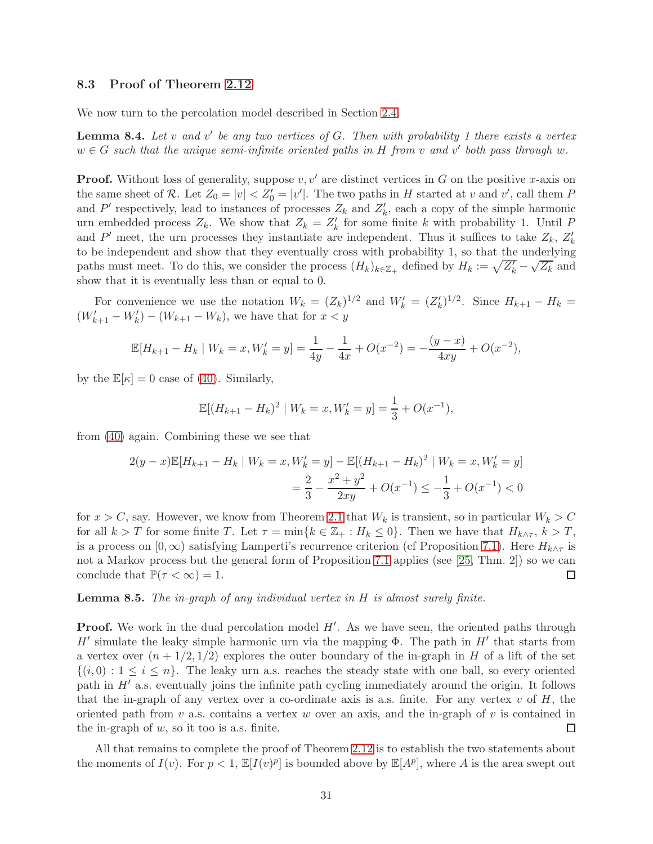### 8.3 Proof of Theorem [2.12](#page-10-0)

We now turn to the percolation model described in Section [2.4.](#page-8-0)

**Lemma 8.4.** Let v and v' be any two vertices of  $G$ . Then with probability 1 there exists a vertex  $w \in G$  such that the unique semi-infinite oriented paths in H from v and v' both pass through w.

**Proof.** Without loss of generality, suppose  $v, v'$  are distinct vertices in G on the positive x-axis on the same sheet of R. Let  $Z_0 = |v| < Z'_0 = |v'|$ . The two paths in H started at v and v', call them P and P' respectively, lead to instances of processes  $Z_k$  and  $Z'_k$ , each a copy of the simple harmonic urn embedded process  $Z_k$ . We show that  $Z_k = Z'_k$  for some finite k with probability 1. Until P and P' meet, the urn processes they instantiate are independent. Thus it suffices to take  $Z_k$ ,  $Z'_k$ to be independent and show that they eventually cross with probability 1, so that the underlying paths must meet. To do this, we consider the process  $(H_k)_{k \in \mathbb{Z}_+}$  defined by  $H_k := \sqrt{Z'_k} \sqrt{Z_k}$  and show that it is eventually less than or equal to 0.

For convenience we use the notation  $W_k = (Z_k)^{1/2}$  and  $W'_k = (Z'_k)^{1/2}$ . Since  $H_{k+1} - H_k =$  $(W'_{k+1} - W'_{k}) - (W_{k+1} - W_{k}),$  we have that for  $x < y$ 

$$
\mathbb{E}[H_{k+1} - H_k \mid W_k = x, W'_k = y] = \frac{1}{4y} - \frac{1}{4x} + O(x^{-2}) = -\frac{(y-x)}{4xy} + O(x^{-2}),
$$

by the  $\mathbb{E}[\kappa] = 0$  case of [\(40\)](#page-27-5). Similarly,

$$
\mathbb{E}[(H_{k+1} - H_k)^2 \mid W_k = x, W'_k = y] = \frac{1}{3} + O(x^{-1}),
$$

from [\(40\)](#page-27-5) again. Combining these we see that

$$
2(y - x)\mathbb{E}[H_{k+1} - H_k \mid W_k = x, W'_k = y] - \mathbb{E}[(H_{k+1} - H_k)^2 \mid W_k = x, W'_k = y]
$$
  
=  $\frac{2}{3} - \frac{x^2 + y^2}{2xy} + O(x^{-1}) \le -\frac{1}{3} + O(x^{-1}) < 0$ 

for  $x > C$ , say. However, we know from Theorem [2.1](#page-4-1) that  $W_k$  is transient, so in particular  $W_k > C$ for all  $k > T$  for some finite T. Let  $\tau = \min\{k \in \mathbb{Z}_+ : H_k \leq 0\}$ . Then we have that  $H_{k \wedge \tau}$ ,  $k > T$ , is a process on  $[0,\infty)$  satisfying Lamperti's recurrence criterion (cf Proposition [7.1\)](#page-24-2). Here  $H_{k\wedge\tau}$  is not a Markov process but the general form of Proposition [7.1](#page-24-2) applies (see [\[25,](#page-47-11) Thm. 2]) so we can conclude that  $\mathbb{P}(\tau < \infty) = 1$ . □

**Lemma 8.5.** The in-graph of any individual vertex in  $H$  is almost surely finite.

**Proof.** We work in the dual percolation model  $H'$ . As we have seen, the oriented paths through H' simulate the leaky simple harmonic urn via the mapping  $\Phi$ . The path in H' that starts from a vertex over  $(n + 1/2, 1/2)$  explores the outer boundary of the in-graph in H of a lift of the set  $\{(i, 0): 1 \leq i \leq n\}$ . The leaky urn a.s. reaches the steady state with one ball, so every oriented path in  $H'$  a.s. eventually joins the infinite path cycling immediately around the origin. It follows that the in-graph of any vertex over a co-ordinate axis is a.s. finite. For any vertex  $v$  of  $H$ , the oriented path from  $v$  a.s. contains a vertex  $w$  over an axis, and the in-graph of  $v$  is contained in the in-graph of  $w$ , so it too is a.s. finite.  $\Box$ 

All that remains to complete the proof of Theorem [2.12](#page-10-0) is to establish the two statements about the moments of  $I(v)$ . For  $p < 1$ ,  $\mathbb{E}[I(v)^p]$  is bounded above by  $\mathbb{E}[A^p]$ , where A is the area swept out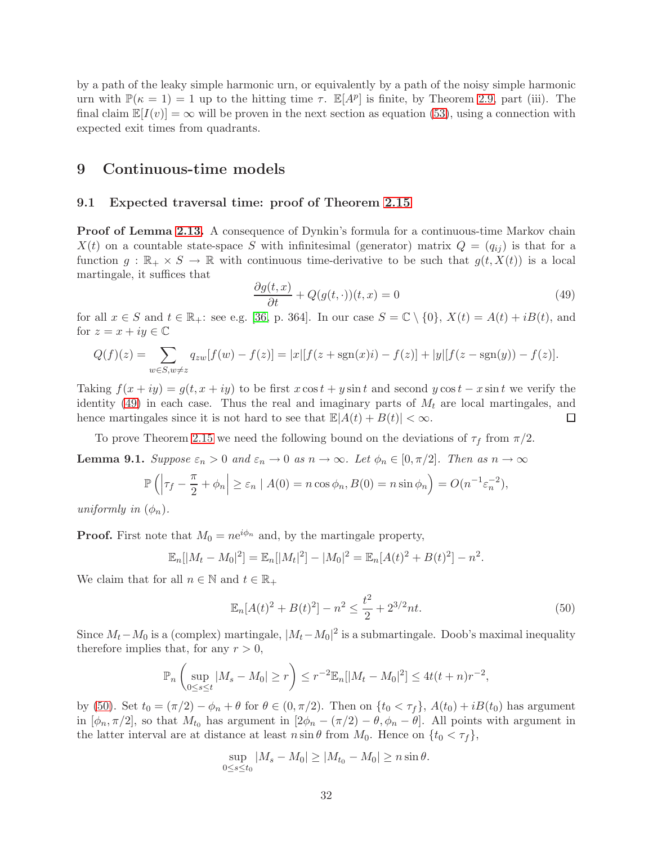by a path of the leaky simple harmonic urn, or equivalently by a path of the noisy simple harmonic urn with  $\mathbb{P}(\kappa = 1) = 1$  up to the hitting time  $\tau$ .  $\mathbb{E}[A^p]$  is finite, by Theorem [2.9,](#page-8-2) part (iii). The final claim  $\mathbb{E}[I(v)] = \infty$  will be proven in the next section as equation [\(53\)](#page-35-0), using a connection with expected exit times from quadrants.

### <span id="page-32-1"></span><span id="page-32-0"></span>9 Continuous-time models

### 9.1 Expected traversal time: proof of Theorem [2.15](#page-11-1)

Proof of Lemma [2.13.](#page-11-2) A consequence of Dynkin's formula for a continuous-time Markov chain  $X(t)$  on a countable state-space S with infinitesimal (generator) matrix  $Q = (q_{ij})$  is that for a function  $g : \mathbb{R}_+ \times S \to \mathbb{R}$  with continuous time-derivative to be such that  $g(t, X(t))$  is a local martingale, it suffices that

<span id="page-32-2"></span>
$$
\frac{\partial g(t,x)}{\partial t} + Q(g(t,\cdot))(t,x) = 0\tag{49}
$$

for all  $x \in S$  and  $t \in \mathbb{R}_+$ : see e.g. [\[36,](#page-47-16) p. 364]. In our case  $S = \mathbb{C} \setminus \{0\}$ ,  $X(t) = A(t) + iB(t)$ , and for  $z = x + iy \in \mathbb{C}$ 

$$
Q(f)(z) = \sum_{w \in S, w \neq z} q_{zw}[f(w) - f(z)] = |x|[f(z + \text{sgn}(x)i) - f(z)] + |y|[f(z - \text{sgn}(y)) - f(z)].
$$

Taking  $f(x+iy) = g(t, x+iy)$  to be first  $x \cos t + y \sin t$  and second  $y \cos t - x \sin t$  we verify the identity [\(49\)](#page-32-2) in each case. Thus the real and imaginary parts of  $M_t$  are local martingales, and hence martingales since it is not hard to see that  $\mathbb{E}|A(t) + B(t)| < \infty$ . □

To prove Theorem [2.15](#page-11-1) we need the following bound on the deviations of  $\tau_f$  from  $\pi/2$ .

<span id="page-32-4"></span>**Lemma 9.1.** Suppose  $\varepsilon_n > 0$  and  $\varepsilon_n \to 0$  as  $n \to \infty$ . Let  $\phi_n \in [0, \pi/2]$ . Then as  $n \to \infty$ 

$$
\mathbb{P}\left(\left|\tau_f - \frac{\pi}{2} + \phi_n\right| \ge \varepsilon_n \mid A(0) = n\cos\phi_n, B(0) = n\sin\phi_n\right) = O(n^{-1}\varepsilon_n^{-2}),
$$

uniformly in  $(\phi_n)$ .

**Proof.** First note that  $M_0 = ne^{i\phi_n}$  and, by the martingale property,

$$
\mathbb{E}_n[|M_t - M_0|^2] = \mathbb{E}_n[|M_t|^2] - |M_0|^2 = \mathbb{E}_n[A(t)^2 + B(t)^2] - n^2.
$$

We claim that for all  $n \in \mathbb{N}$  and  $t \in \mathbb{R}_+$ 

<span id="page-32-3"></span>
$$
\mathbb{E}_n[A(t)^2 + B(t)^2] - n^2 \le \frac{t^2}{2} + 2^{3/2}nt.
$$
\n(50)

Since  $M_t - M_0$  is a (complex) martingale,  $|M_t - M_0|^2$  is a submartingale. Doob's maximal inequality therefore implies that, for any  $r > 0$ ,

$$
\mathbb{P}_n\left(\sup_{0\leq s\leq t}|M_s-M_0|\geq r\right)\leq r^{-2}\mathbb{E}_n[|M_t-M_0|^2]\leq 4t(t+n)r^{-2},
$$

by [\(50\)](#page-32-3). Set  $t_0 = (\pi/2) - \phi_n + \theta$  for  $\theta \in (0, \pi/2)$ . Then on  $\{t_0 < \tau_f\}$ ,  $A(t_0) + iB(t_0)$  has argument in  $[\phi_n, \pi/2]$ , so that  $M_{t_0}$  has argument in  $[2\phi_n - (\pi/2) - \theta, \phi_n - \theta]$ . All points with argument in the latter interval are at distance at least  $n \sin \theta$  from  $M_0$ . Hence on  $\{t_0 < \tau_f\}$ ,

$$
\sup_{0\leq s\leq t_0}|M_s-M_0|\geq |M_{t_0}-M_0|\geq n\sin\theta.
$$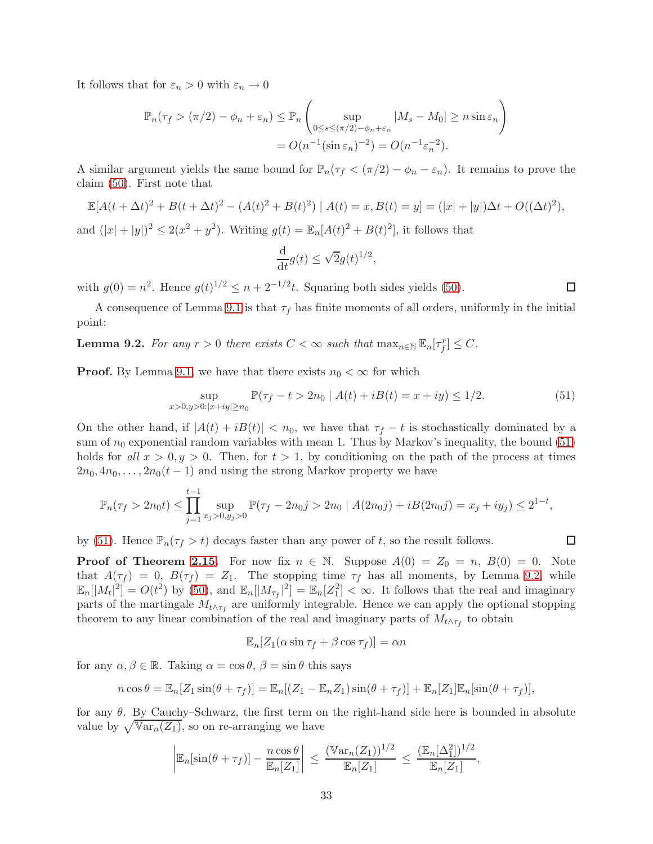It follows that for  $\varepsilon_n > 0$  with  $\varepsilon_n \to 0$ 

$$
\mathbb{P}_n(\tau_f > (\pi/2) - \phi_n + \varepsilon_n) \le \mathbb{P}_n \left( \sup_{0 \le s \le (\pi/2) - \phi_n + \varepsilon_n} |M_s - M_0| \ge n \sin \varepsilon_n \right)
$$
  
=  $O(n^{-1}(\sin \varepsilon_n)^{-2}) = O(n^{-1} \varepsilon_n^{-2}).$ 

A similar argument yields the same bound for  $\mathbb{P}_n(\tau_f < (\pi/2) - \phi_n - \varepsilon_n)$ . It remains to prove the claim [\(50\)](#page-32-3). First note that

$$
\mathbb{E}[A(t + \Delta t)^2 + B(t + \Delta t)^2 - (A(t)^2 + B(t)^2) | A(t) = x, B(t) = y] = (|x| + |y|)\Delta t + O((\Delta t)^2),
$$

and  $(|x| + |y|)^2 \le 2(x^2 + y^2)$ . Writing  $g(t) = \mathbb{E}_n[A(t)^2 + B(t)^2]$ , it follows that

$$
\frac{\mathrm{d}}{\mathrm{d}t}g(t) \le \sqrt{2}g(t)^{1/2},
$$

with  $g(0) = n^2$ . Hence  $g(t)^{1/2} \le n + 2^{-1/2}t$ . Squaring both sides yields [\(50\)](#page-32-3).

A consequence of Lemma [9.1](#page-32-4) is that  $\tau_f$  has finite moments of all orders, uniformly in the initial point:

<span id="page-33-1"></span>**Lemma 9.2.** For any  $r > 0$  there exists  $C < \infty$  such that  $\max_{n \in \mathbb{N}} \mathbb{E}_n[\tau_f^r] \leq C$ .

**Proof.** By Lemma [9.1,](#page-32-4) we have that there exists  $n_0 < \infty$  for which

<span id="page-33-0"></span>
$$
\sup_{x>0,y>0:|x+iy|\ge n_0} \mathbb{P}(\tau_f - t > 2n_0 \mid A(t) + iB(t) = x + iy) \le 1/2.
$$
 (51)

On the other hand, if  $|A(t) + iB(t)| < n_0$ , we have that  $\tau_f - t$  is stochastically dominated by a sum of  $n_0$  exponential random variables with mean 1. Thus by Markov's inequality, the bound [\(51\)](#page-33-0) holds for all  $x > 0, y > 0$ . Then, for  $t > 1$ , by conditioning on the path of the process at times  $2n_0, 4n_0, \ldots, 2n_0(t-1)$  and using the strong Markov property we have

$$
\mathbb{P}_n(\tau_f > 2n_0 t) \le \prod_{j=1}^{t-1} \sup_{x_j > 0, y_j > 0} \mathbb{P}(\tau_f - 2n_0 j > 2n_0 \mid A(2n_0 j) + iB(2n_0 j) = x_j + iy_j) \le 2^{1-t},
$$

by [\(51\)](#page-33-0). Hence  $\mathbb{P}_n(\tau_f > t)$  decays faster than any power of t, so the result follows.

**Proof of Theorem [2.15.](#page-11-1)** For now fix  $n \in \mathbb{N}$ . Suppose  $A(0) = Z_0 = n$ ,  $B(0) = 0$ . Note that  $A(\tau_f) = 0$ ,  $B(\tau_f) = Z_1$ . The stopping time  $\tau_f$  has all moments, by Lemma [9.2,](#page-33-1) while  $\mathbb{E}_n[|M_t|^2] = O(t^2)$  by [\(50\)](#page-32-3), and  $\mathbb{E}_n[|M_{\tau_f}|^2] = \mathbb{E}_n[Z_1^2] < \infty$ . It follows that the real and imaginary parts of the martingale  $M_{t \wedge \tau_f}$  are uniformly integrable. Hence we can apply the optional stopping theorem to any linear combination of the real and imaginary parts of  $M_{t \wedge \tau_f}$  to obtain

$$
\mathbb{E}_n[Z_1(\alpha \sin \tau_f + \beta \cos \tau_f)] = \alpha n
$$

for any  $\alpha, \beta \in \mathbb{R}$ . Taking  $\alpha = \cos \theta$ ,  $\beta = \sin \theta$  this says

$$
n\cos\theta = \mathbb{E}_n[Z_1\sin(\theta + \tau_f)] = \mathbb{E}_n[(Z_1 - \mathbb{E}_n Z_1)\sin(\theta + \tau_f)] + \mathbb{E}_n[Z_1]\mathbb{E}_n[\sin(\theta + \tau_f)],
$$

for any  $\theta$ . By Cauchy–Schwarz, the first term on the right-hand side here is bounded in absolute value by  $\sqrt{\mathbb{V}\text{ar}_n(Z_1)}$ , so on re-arranging we have

$$
\left|\mathbb{E}_n[\sin(\theta+\tau_f)]-\frac{n\cos\theta}{\mathbb{E}_n[Z_1]}\right|\,\leq\,\frac{(\mathbb{V}\mathrm{ar}_n(Z_1))^{1/2}}{\mathbb{E}_n[Z_1]}\,\leq\,\frac{(\mathbb{E}_n[\Delta_1^2])^{1/2}}{\mathbb{E}_n[Z_1]},
$$

 $\Box$ 

 $\Box$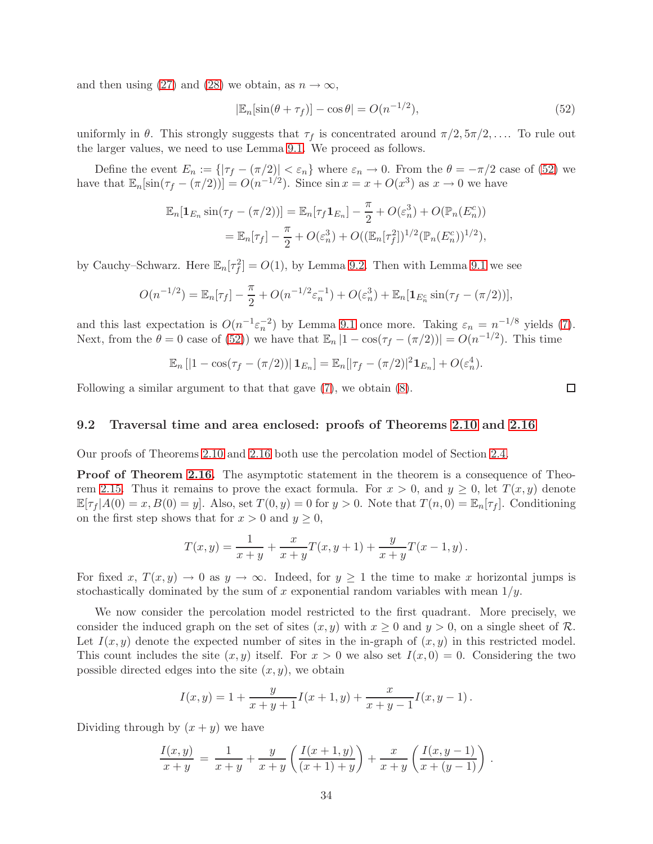and then using [\(27\)](#page-23-2) and [\(28\)](#page-23-4) we obtain, as  $n \to \infty$ ,

<span id="page-34-1"></span>
$$
|\mathbb{E}_n[\sin(\theta + \tau_f)] - \cos \theta| = O(n^{-1/2}),\tag{52}
$$

uniformly in  $\theta$ . This strongly suggests that  $\tau_f$  is concentrated around  $\pi/2, 5\pi/2, \ldots$ . To rule out the larger values, we need to use Lemma [9.1.](#page-32-4) We proceed as follows.

Define the event  $E_n := \{|\tau_f - (\pi/2)| < \varepsilon_n\}$  where  $\varepsilon_n \to 0$ . From the  $\theta = -\pi/2$  case of [\(52\)](#page-34-1) we have that  $\mathbb{E}_n[\sin(\tau_f - (\pi/2))] = O(n^{-1/2})$ . Since  $\sin x = x + O(x^3)$  as  $x \to 0$  we have

$$
\mathbb{E}_n[\mathbf{1}_{E_n} \sin(\tau_f - (\pi/2))] = \mathbb{E}_n[\tau_f \mathbf{1}_{E_n}] - \frac{\pi}{2} + O(\varepsilon_n^3) + O(\mathbb{P}_n(E_n^c))
$$
  
= 
$$
\mathbb{E}_n[\tau_f] - \frac{\pi}{2} + O(\varepsilon_n^3) + O((\mathbb{E}_n[\tau_f^2])^{1/2}(\mathbb{P}_n(E_n^c))^{1/2}),
$$

by Cauchy–Schwarz. Here  $\mathbb{E}_n[\tau_f^2] = O(1)$ , by Lemma [9.2.](#page-33-1) Then with Lemma [9.1](#page-32-4) we see

$$
O(n^{-1/2}) = \mathbb{E}_n[\tau_f] - \frac{\pi}{2} + O(n^{-1/2}\varepsilon_n^{-1}) + O(\varepsilon_n^3) + \mathbb{E}_n[\mathbf{1}_{E_n^c} \sin(\tau_f - (\pi/2))],
$$

and this last expectation is  $O(n^{-1} \varepsilon_n^{-2})$  by Lemma [9.1](#page-32-4) once more. Taking  $\varepsilon_n = n^{-1/8}$  yields [\(7\)](#page-11-3). Next, from the  $\theta = 0$  case of [\(52\)](#page-34-1)) we have that  $\mathbb{E}_n |1 - \cos(\tau_f - (\pi/2))| = O(n^{-1/2})$ . This time

$$
\mathbb{E}_n[|1-\cos(\tau_f - (\pi/2))| \mathbf{1}_{E_n}] = \mathbb{E}_n[|\tau_f - (\pi/2)|^2 \mathbf{1}_{E_n}] + O(\varepsilon_n^4).
$$

<span id="page-34-0"></span>Following a similar argument to that that gave [\(7\)](#page-11-3), we obtain [\(8\)](#page-11-4).

#### 9.2 Traversal time and area enclosed: proofs of Theorems [2.10](#page-8-3) and [2.16](#page-12-0)

Our proofs of Theorems [2.10](#page-8-3) and [2.16](#page-12-0) both use the percolation model of Section [2.4.](#page-8-0)

**Proof of Theorem [2.16.](#page-12-0)** The asymptotic statement in the theorem is a consequence of Theo-rem [2.15.](#page-11-1) Thus it remains to prove the exact formula. For  $x > 0$ , and  $y \ge 0$ , let  $T(x, y)$  denote  $\mathbb{E}[\tau_f | A(0) = x, B(0) = y]$ . Also, set  $T(0, y) = 0$  for  $y > 0$ . Note that  $T(n, 0) = \mathbb{E}_n[\tau_f]$ . Conditioning on the first step shows that for  $x > 0$  and  $y \ge 0$ ,

$$
T(x,y) = \frac{1}{x+y} + \frac{x}{x+y}T(x,y+1) + \frac{y}{x+y}T(x-1,y).
$$

For fixed x,  $T(x,y) \to 0$  as  $y \to \infty$ . Indeed, for  $y \ge 1$  the time to make x horizontal jumps is stochastically dominated by the sum of x exponential random variables with mean  $1/y$ .

We now consider the percolation model restricted to the first quadrant. More precisely, we consider the induced graph on the set of sites  $(x, y)$  with  $x \ge 0$  and  $y > 0$ , on a single sheet of R. Let  $I(x, y)$  denote the expected number of sites in the in-graph of  $(x, y)$  in this restricted model. This count includes the site  $(x, y)$  itself. For  $x > 0$  we also set  $I(x, 0) = 0$ . Considering the two possible directed edges into the site  $(x, y)$ , we obtain

$$
I(x,y) = 1 + \frac{y}{x+y+1}I(x+1,y) + \frac{x}{x+y-1}I(x,y-1).
$$

Dividing through by  $(x + y)$  we have

$$
\frac{I(x,y)}{x+y} = \frac{1}{x+y} + \frac{y}{x+y} \left( \frac{I(x+1,y)}{(x+1)+y} \right) + \frac{x}{x+y} \left( \frac{I(x,y-1)}{x+(y-1)} \right).
$$

 $\Box$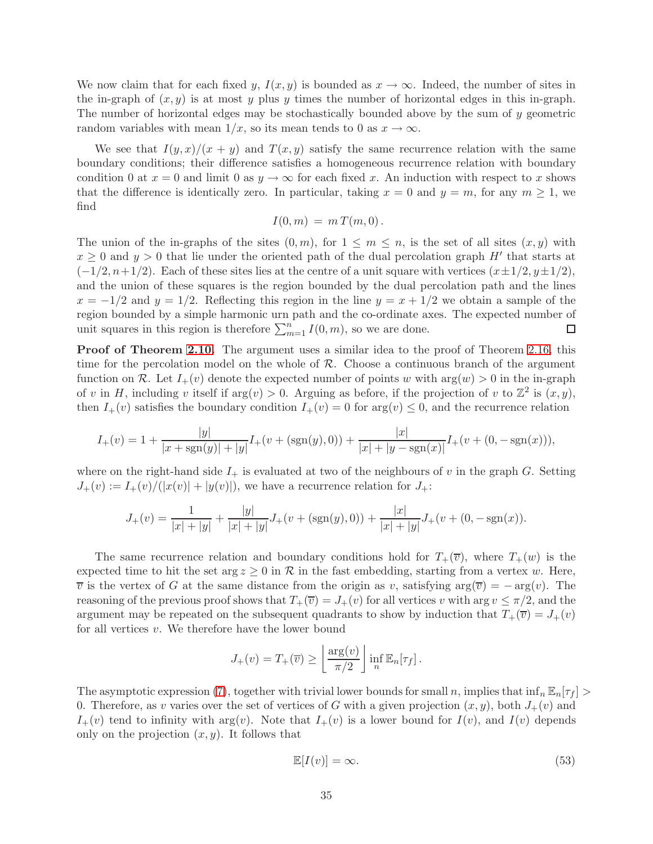We now claim that for each fixed y,  $I(x,y)$  is bounded as  $x \to \infty$ . Indeed, the number of sites in the in-graph of  $(x, y)$  is at most y plus y times the number of horizontal edges in this in-graph. The number of horizontal edges may be stochastically bounded above by the sum of y geometric random variables with mean  $1/x$ , so its mean tends to 0 as  $x \to \infty$ .

We see that  $I(y,x)/(x+y)$  and  $T(x,y)$  satisfy the same recurrence relation with the same boundary conditions; their difference satisfies a homogeneous recurrence relation with boundary condition 0 at  $x = 0$  and limit 0 as  $y \to \infty$  for each fixed x. An induction with respect to x shows that the difference is identically zero. In particular, taking  $x = 0$  and  $y = m$ , for any  $m \ge 1$ , we find

$$
I(0,m) = m T(m,0).
$$

The union of the in-graphs of the sites  $(0, m)$ , for  $1 \leq m \leq n$ , is the set of all sites  $(x, y)$  with  $x \geq 0$  and  $y > 0$  that lie under the oriented path of the dual percolation graph  $H'$  that starts at  $(-1/2, n+1/2)$ . Each of these sites lies at the centre of a unit square with vertices  $(x\pm 1/2, y\pm 1/2)$ , and the union of these squares is the region bounded by the dual percolation path and the lines  $x = -1/2$  and  $y = 1/2$ . Reflecting this region in the line  $y = x + 1/2$  we obtain a sample of the region bounded by a simple harmonic urn path and the co-ordinate axes. The expected number of unit squares in this region is therefore  $\sum_{m=1}^{n} I(0, m)$ , so we are done. □

**Proof of Theorem [2.10.](#page-8-3)** The argument uses a similar idea to the proof of Theorem [2.16,](#page-12-0) this time for the percolation model on the whole of  $R$ . Choose a continuous branch of the argument function on R. Let  $I_+(v)$  denote the expected number of points w with  $arg(w) > 0$  in the in-graph of v in H, including v itself if  $arg(v) > 0$ . Arguing as before, if the projection of v to  $\mathbb{Z}^2$  is  $(x, y)$ , then  $I_+(v)$  satisfies the boundary condition  $I_+(v) = 0$  for  $\arg(v) \leq 0$ , and the recurrence relation

$$
I_{+}(v) = 1 + \frac{|y|}{|x + \text{sgn}(y)| + |y|} I_{+}(v + (\text{sgn}(y), 0)) + \frac{|x|}{|x| + |y - \text{sgn}(x)|} I_{+}(v + (0, -\text{sgn}(x))),
$$

where on the right-hand side  $I_+$  is evaluated at two of the neighbours of v in the graph G. Setting  $J_+(v) := I_+(v)/(|x(v)| + |y(v)|)$ , we have a recurrence relation for  $J_+$ :

$$
J_{+}(v) = \frac{1}{|x|+|y|} + \frac{|y|}{|x|+|y|} J_{+}(v + (\text{sgn}(y), 0)) + \frac{|x|}{|x|+|y|} J_{+}(v + (0, -\text{sgn}(x))).
$$

The same recurrence relation and boundary conditions hold for  $T_+(\overline{v})$ , where  $T_+(w)$  is the expected time to hit the set  $\arg z \geq 0$  in R in the fast embedding, starting from a vertex w. Here,  $\overline{v}$  is the vertex of G at the same distance from the origin as v, satisfying  $\arg(\overline{v}) = -\arg(v)$ . The reasoning of the previous proof shows that  $T_+(\overline{v}) = J_+(v)$  for all vertices v with arg  $v \leq \pi/2$ , and the argument may be repeated on the subsequent quadrants to show by induction that  $T_+(\overline{v}) = J_+(v)$ for all vertices  $v$ . We therefore have the lower bound

$$
J_{+}(v) = T_{+}(\overline{v}) \geq \left\lfloor \frac{\arg(v)}{\pi/2} \right\rfloor \inf_{n} \mathbb{E}_{n}[\tau_{f}].
$$

The asymptotic expression [\(7\)](#page-11-3), together with trivial lower bounds for small n, implies that  $\inf_n \mathbb{E}_n[\tau_f] >$ 0. Therefore, as v varies over the set of vertices of G with a given projection  $(x, y)$ , both  $J_+(v)$  and  $I_+(v)$  tend to infinity with  $arg(v)$ . Note that  $I_+(v)$  is a lower bound for  $I(v)$ , and  $I(v)$  depends only on the projection  $(x, y)$ . It follows that

<span id="page-35-0"></span>
$$
\mathbb{E}[I(v)] = \infty. \tag{53}
$$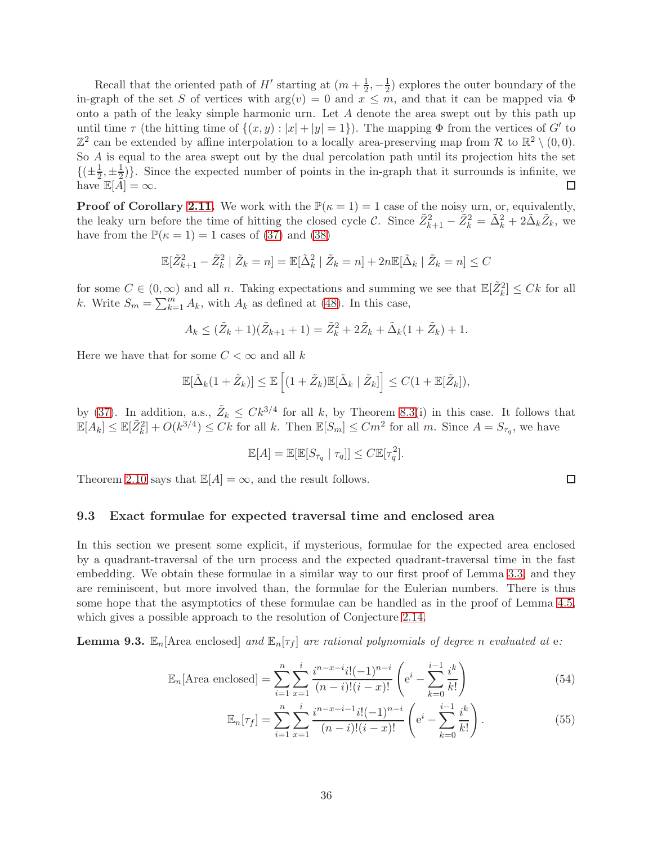Recall that the oriented path of  $H'$  starting at  $(m + \frac{1}{2}, -\frac{1}{2})$  explores the outer boundary of the in-graph of the set S of vertices with  $arg(v) = 0$  and  $x \leq m$ , and that it can be mapped via  $\Phi$ onto a path of the leaky simple harmonic urn. Let  $A$  denote the area swept out by this path up until time  $\tau$  (the hitting time of  $\{(x, y) : |x| + |y| = 1\}$ ). The mapping  $\Phi$  from the vertices of  $G'$  to  $\mathbb{Z}^2$  can be extended by affine interpolation to a locally area-preserving map from R to  $\mathbb{R}^2 \setminus (0,0)$ . So A is equal to the area swept out by the dual percolation path until its projection hits the set  $\left\{ \left( \pm \frac{1}{2} \right)$  $\frac{1}{2}, \pm \frac{1}{2}$  $\frac{1}{2}$ . Since the expected number of points in the in-graph that it surrounds is infinite, we have  $\mathbb{E}[A] = \infty$ .

**Proof of Corollary [2.11.](#page-8-1)** We work with the  $\mathbb{P}(\kappa = 1) = 1$  case of the noisy urn, or, equivalently, the leaky urn before the time of hitting the closed cycle C. Since  $\tilde{Z}_{k+1}^2 - \tilde{Z}_k^2 = \tilde{\Delta}_k^2 + 2\tilde{\Delta}_k \tilde{Z}_k$ , we have from the  $\mathbb{P}(\kappa = 1) = 1$  cases of [\(37\)](#page-26-5) and [\(38\)](#page-26-6)

$$
\mathbb{E}[\tilde{Z}_{k+1}^2 - \tilde{Z}_k^2 \mid \tilde{Z}_k = n] = \mathbb{E}[\tilde{\Delta}_k^2 \mid \tilde{Z}_k = n] + 2n \mathbb{E}[\tilde{\Delta}_k \mid \tilde{Z}_k = n] \le C
$$

for some  $C \in (0,\infty)$  and all n. Taking expectations and summing we see that  $\mathbb{E}[\tilde{Z}_k^2] \leq Ck$  for all k. Write  $S_m = \sum_{k=1}^m A_k$ , with  $A_k$  as defined at [\(48\)](#page-30-1). In this case,

$$
A_k \leq (\tilde{Z}_k + 1)(\tilde{Z}_{k+1} + 1) = \tilde{Z}_k^2 + 2\tilde{Z}_k + \tilde{\Delta}_k(1 + \tilde{Z}_k) + 1.
$$

Here we have that for some  $C < \infty$  and all k

$$
\mathbb{E}[\tilde{\Delta}_k(1+\tilde{Z}_k)] \leq \mathbb{E}\left[(1+\tilde{Z}_k)\mathbb{E}[\tilde{\Delta}_k \mid \tilde{Z}_k]\right] \leq C(1+\mathbb{E}[\tilde{Z}_k]),
$$

by [\(37\)](#page-26-5). In addition, a.s.,  $\tilde{Z}_k \leq C k^{3/4}$  for all k, by Theorem [8.3\(](#page-30-0)i) in this case. It follows that  $\mathbb{E}[A_k] \leq \mathbb{E}[\tilde{Z}_k^2] + O(k^{3/4}) \leq Ck$  for all k. Then  $\mathbb{E}[S_m] \leq Cm^2$  for all m. Since  $A = S_{\tau_q}$ , we have

$$
\mathbb{E}[A] = \mathbb{E}[\mathbb{E}[S_{\tau_q} | \tau_q]] \leq C \mathbb{E}[\tau_q^2].
$$

<span id="page-36-0"></span>Theorem [2.10](#page-8-3) says that  $\mathbb{E}[A] = \infty$ , and the result follows.

#### 9.3 Exact formulae for expected traversal time and enclosed area

In this section we present some explicit, if mysterious, formulae for the expected area enclosed by a quadrant-traversal of the urn process and the expected quadrant-traversal time in the fast embedding. We obtain these formulae in a similar way to our first proof of Lemma [3.3,](#page-14-0) and they are reminiscent, but more involved than, the formulae for the Eulerian numbers. There is thus some hope that the asymptotics of these formulae can be handled as in the proof of Lemma [4.5,](#page-19-0) which gives a possible approach to the resolution of Conjecture [2.14.](#page-11-0)

**Lemma 9.3.**  $\mathbb{E}_n$  [Area enclosed] and  $\mathbb{E}_n[\tau_f]$  are rational polynomials of degree n evaluated at e:

$$
\mathbb{E}_n[\text{Area enclosed}] = \sum_{i=1}^n \sum_{x=1}^i \frac{i^{n-x-i}i!(-1)^{n-i}}{(n-i)!(i-x)!} \left(e^i - \sum_{k=0}^{i-1} \frac{i^k}{k!}\right)
$$
(54)

$$
\mathbb{E}_n[\tau_f] = \sum_{i=1}^n \sum_{x=1}^i \frac{i^{n-x-i-1}i!(-1)^{n-i}}{(n-i)!(i-x)!} \left(e^i - \sum_{k=0}^{i-1} \frac{i^k}{k!}\right).
$$
 (55)

<span id="page-36-2"></span><span id="page-36-1"></span>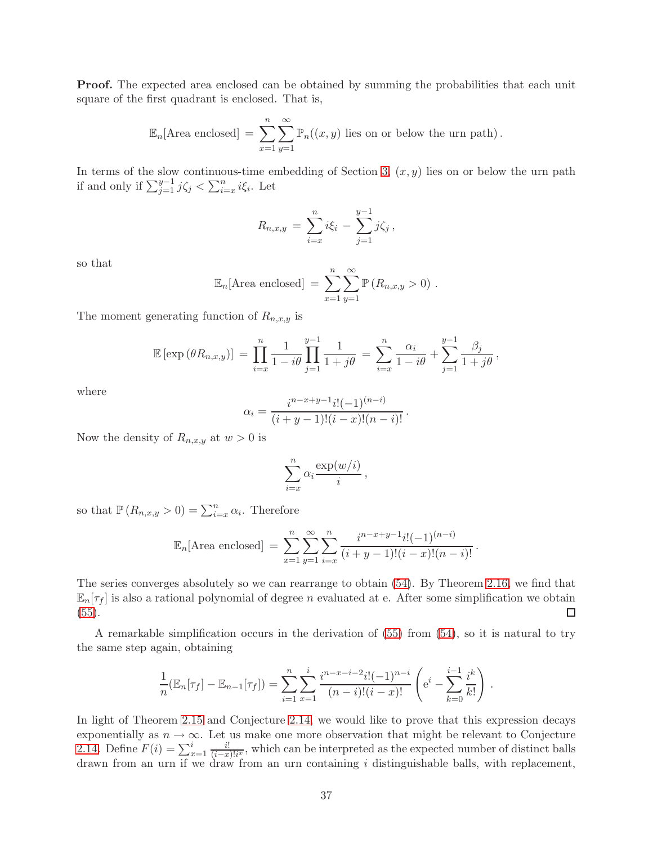**Proof.** The expected area enclosed can be obtained by summing the probabilities that each unit square of the first quadrant is enclosed. That is,

$$
\mathbb{E}_n[\text{Area enclosed}] = \sum_{x=1}^n \sum_{y=1}^\infty \mathbb{P}_n((x, y) \text{ lies on or below the urn path}).
$$

In terms of the slow continuous-time embedding of Section [3,](#page-13-0)  $(x, y)$  lies on or below the urn path if and only if  $\sum_{j=1}^{y-1} j\zeta_j < \sum_{i=x}^n i\xi_i$ . Let

$$
R_{n,x,y} = \sum_{i=x}^{n} i\xi_i - \sum_{j=1}^{y-1} j\zeta_j,
$$

so that

$$
\mathbb{E}_n[\text{Area enclosed}] = \sum_{x=1}^n \sum_{y=1}^\infty \mathbb{P}\left(R_{n,x,y} > 0\right).
$$

The moment generating function of  $R_{n,x,y}$  is

$$
\mathbb{E} [\exp (\theta R_{n,x,y})] = \prod_{i=x}^n \frac{1}{1-i\theta} \prod_{j=1}^{y-1} \frac{1}{1+j\theta} = \sum_{i=x}^n \frac{\alpha_i}{1-i\theta} + \sum_{j=1}^{y-1} \frac{\beta_j}{1+j\theta},
$$

where

$$
\alpha_i = \frac{i^{n-x+y-1}i!(-1)^{(n-i)}}{(i+y-1)!(i-x)!(n-i)!}.
$$

Now the density of  $R_{n,x,y}$  at  $w > 0$  is

$$
\sum_{i=x}^{n} \alpha_i \frac{\exp(w/i)}{i},
$$

so that  $\mathbb{P}(R_{n,x,y} > 0) = \sum_{i=x}^{n} \alpha_i$ . Therefore

$$
\mathbb{E}_n[\text{Area enclosed}] = \sum_{x=1}^n \sum_{y=1}^\infty \sum_{i=x}^n \frac{i^{n-x+y-1}i!(-1)^{(n-i)}}{(i+y-1)!(i-x)!(n-i)!}.
$$

The series converges absolutely so we can rearrange to obtain [\(54\)](#page-36-1). By Theorem [2.16,](#page-12-0) we find that  $\mathbb{E}_n[\tau_f]$  is also a rational polynomial of degree n evaluated at e. After some simplification we obtain [\(55\)](#page-36-2).  $\Box$ 

A remarkable simplification occurs in the derivation of [\(55\)](#page-36-2) from [\(54\)](#page-36-1), so it is natural to try the same step again, obtaining

$$
\frac{1}{n}(\mathbb{E}_n[\tau_f] - \mathbb{E}_{n-1}[\tau_f]) = \sum_{i=1}^n \sum_{x=1}^i \frac{i^{n-x-i-2}i!(-1)^{n-i}}{(n-i)!(i-x)!} \left(e^i - \sum_{k=0}^{i-1} \frac{i^k}{k!}\right).
$$

In light of Theorem [2.15](#page-11-1) and Conjecture [2.14,](#page-11-0) we would like to prove that this expression decays exponentially as  $n \to \infty$ . Let us make one more observation that might be relevant to Conjecture [2.14.](#page-11-0) Define  $F(i) = \sum_{x=1}^{i} \frac{i!}{(i-x_i)^2}$  $\frac{i!}{(i-x)!i^x}$ , which can be interpreted as the expected number of distinct balls drawn from an urn if we draw from an urn containing i distinguishable balls, with replacement,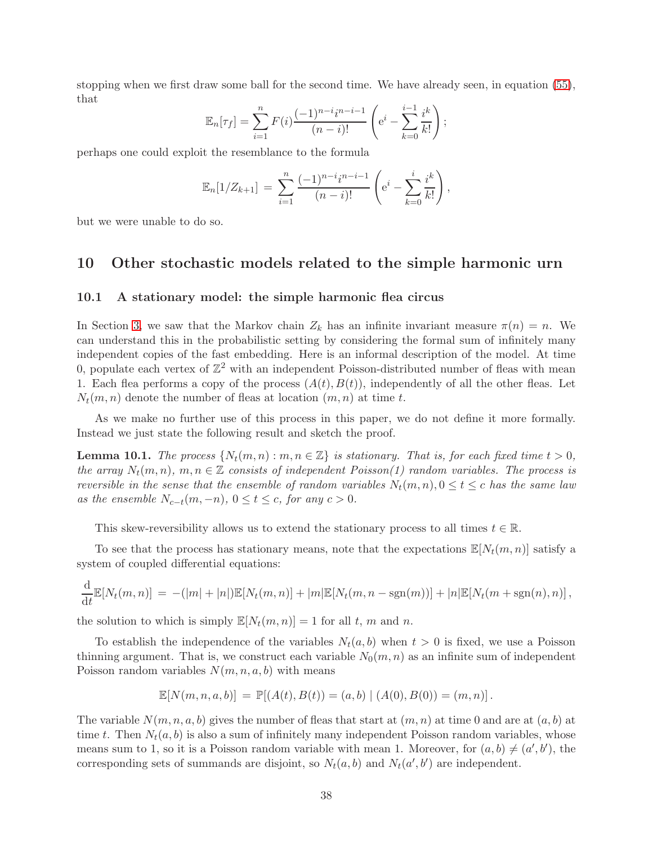stopping when we first draw some ball for the second time. We have already seen, in equation [\(55\)](#page-36-2), that

$$
\mathbb{E}_n[\tau_f] = \sum_{i=1}^n F(i) \frac{(-1)^{n-i} i^{n-i-1}}{(n-i)!} \left( e^i - \sum_{k=0}^{i-1} \frac{i^k}{k!} \right);
$$

perhaps one could exploit the resemblance to the formula

$$
\mathbb{E}_n[1/Z_{k+1}] = \sum_{i=1}^n \frac{(-1)^{n-i} i^{n-i-1}}{(n-i)!} \left( e^i - \sum_{k=0}^i \frac{i^k}{k!} \right),
$$

<span id="page-38-1"></span>but we were unable to do so.

### <span id="page-38-0"></span>10 Other stochastic models related to the simple harmonic urn

#### 10.1 A stationary model: the simple harmonic flea circus

In Section [3,](#page-13-0) we saw that the Markov chain  $Z_k$  has an infinite invariant measure  $\pi(n) = n$ . We can understand this in the probabilistic setting by considering the formal sum of infinitely many independent copies of the fast embedding. Here is an informal description of the model. At time 0, populate each vertex of  $\mathbb{Z}^2$  with an independent Poisson-distributed number of fleas with mean 1. Each flea performs a copy of the process  $(A(t),B(t))$ , independently of all the other fleas. Let  $N_t(m,n)$  denote the number of fleas at location  $(m,n)$  at time t.

As we make no further use of this process in this paper, we do not define it more formally. Instead we just state the following result and sketch the proof.

**Lemma 10.1.** The process  $\{N_t(m,n): m,n \in \mathbb{Z}\}\$ is stationary. That is, for each fixed time  $t > 0$ , the array  $N_t(m,n)$ ,  $m,n \in \mathbb{Z}$  consists of independent Poisson(1) random variables. The process is reversible in the sense that the ensemble of random variables  $N_t(m,n)$ ,  $0 \le t \le c$  has the same law as the ensemble  $N_{c-t}(m, -n)$ ,  $0 \le t \le c$ , for any  $c > 0$ .

This skew-reversibility allows us to extend the stationary process to all times  $t \in \mathbb{R}$ .

To see that the process has stationary means, note that the expectations  $\mathbb{E}[N_t(m,n)]$  satisfy a system of coupled differential equations:

$$
\frac{d}{dt}\mathbb{E}[N_t(m,n)] = -(|m|+|n|)\mathbb{E}[N_t(m,n)] + |m|\mathbb{E}[N_t(m,n-\text{sgn}(m))] + |n|\mathbb{E}[N_t(m+\text{sgn}(n),n)],
$$

the solution to which is simply  $\mathbb{E}[N_t(m,n)] = 1$  for all t, m and n.

To establish the independence of the variables  $N_t(a,b)$  when  $t > 0$  is fixed, we use a Poisson thinning argument. That is, we construct each variable  $N_0(m,n)$  as an infinite sum of independent Poisson random variables  $N(m,n,a,b)$  with means

$$
\mathbb{E}[N(m,n,a,b)] = \mathbb{P}[(A(t),B(t)) = (a,b) | (A(0),B(0)) = (m,n)].
$$

The variable  $N(m,n,a,b)$  gives the number of fleas that start at  $(m,n)$  at time 0 and are at  $(a,b)$  at time t. Then  $N_t(a,b)$  is also a sum of infinitely many independent Poisson random variables, whose means sum to 1, so it is a Poisson random variable with mean 1. Moreover, for  $(a, b) \neq (a', b')$ , the corresponding sets of summands are disjoint, so  $N_t(a, b)$  and  $N_t(a', b')$  are independent.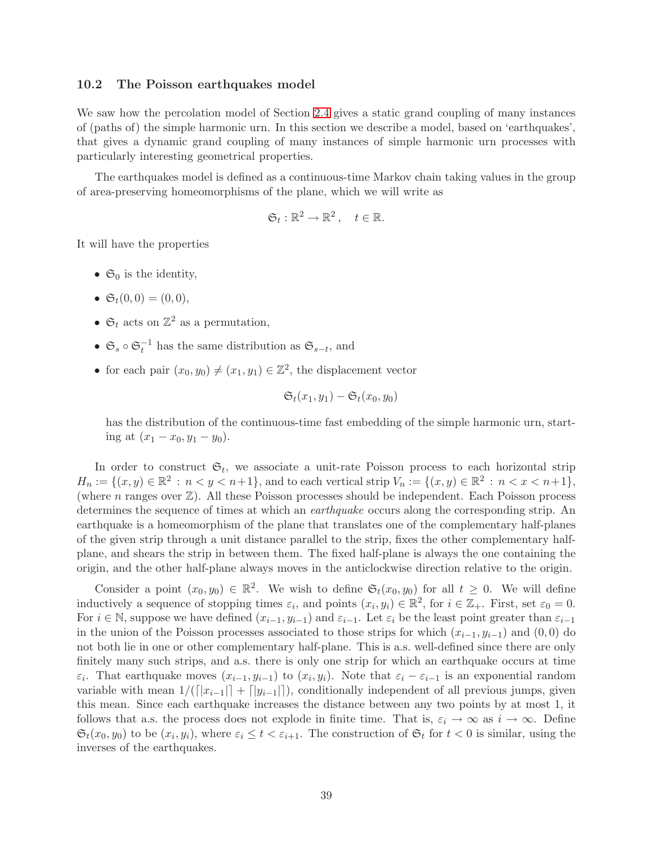### 10.2 The Poisson earthquakes model

We saw how the percolation model of Section [2.4](#page-8-0) gives a static grand coupling of many instances of (paths of) the simple harmonic urn. In this section we describe a model, based on 'earthquakes', that gives a dynamic grand coupling of many instances of simple harmonic urn processes with particularly interesting geometrical properties.

The earthquakes model is defined as a continuous-time Markov chain taking values in the group of area-preserving homeomorphisms of the plane, which we will write as

$$
\mathfrak{S}_t:\mathbb{R}^2\to\mathbb{R}^2\,,\quad t\in\mathbb{R}.
$$

It will have the properties

- $\mathfrak{S}_0$  is the identity,
- $\mathfrak{S}_t(0,0) = (0,0),$
- $\mathfrak{S}_t$  acts on  $\mathbb{Z}^2$  as a permutation,
- $\mathfrak{S}_s \circ \mathfrak{S}_t^{-1}$  has the same distribution as  $\mathfrak{S}_{s-t}$ , and
- for each pair  $(x_0, y_0) \neq (x_1, y_1) \in \mathbb{Z}^2$ , the displacement vector

$$
\mathfrak{S}_t(x_1,y_1)-\mathfrak{S}_t(x_0,y_0)
$$

has the distribution of the continuous-time fast embedding of the simple harmonic urn, starting at  $(x_1 - x_0, y_1 - y_0)$ .

In order to construct  $\mathfrak{S}_t$ , we associate a unit-rate Poisson process to each horizontal strip  $H_n := \{(x, y) \in \mathbb{R}^2 : n < y < n+1\}$ , and to each vertical strip  $V_n := \{(x, y) \in \mathbb{R}^2 : n < x < n+1\}$ , (where  $n$  ranges over  $\mathbb{Z}$ ). All these Poisson processes should be independent. Each Poisson process determines the sequence of times at which an earthquake occurs along the corresponding strip. An earthquake is a homeomorphism of the plane that translates one of the complementary half-planes of the given strip through a unit distance parallel to the strip, fixes the other complementary halfplane, and shears the strip in between them. The fixed half-plane is always the one containing the origin, and the other half-plane always moves in the anticlockwise direction relative to the origin.

Consider a point  $(x_0, y_0) \in \mathbb{R}^2$ . We wish to define  $\mathfrak{S}_t(x_0, y_0)$  for all  $t \geq 0$ . We will define inductively a sequence of stopping times  $\varepsilon_i$ , and points  $(x_i, y_i) \in \mathbb{R}^2$ , for  $i \in \mathbb{Z}_+$ . First, set  $\varepsilon_0 = 0$ . For  $i \in \mathbb{N}$ , suppose we have defined  $(x_{i-1}, y_{i-1})$  and  $\varepsilon_{i-1}$ . Let  $\varepsilon_i$  be the least point greater than  $\varepsilon_{i-1}$ in the union of the Poisson processes associated to those strips for which  $(x_{i-1}, y_{i-1})$  and  $(0, 0)$  do not both lie in one or other complementary half-plane. This is a.s. well-defined since there are only finitely many such strips, and a.s. there is only one strip for which an earthquake occurs at time  $\varepsilon_i$ . That earthquake moves  $(x_{i-1}, y_{i-1})$  to  $(x_i, y_i)$ . Note that  $\varepsilon_i - \varepsilon_{i-1}$  is an exponential random variable with mean  $1/([x_{i-1}]] + [y_{i-1}]]$ , conditionally independent of all previous jumps, given this mean. Since each earthquake increases the distance between any two points by at most 1, it follows that a.s. the process does not explode in finite time. That is,  $\varepsilon_i \to \infty$  as  $i \to \infty$ . Define  $\mathfrak{S}_t(x_0, y_0)$  to be  $(x_i, y_i)$ , where  $\varepsilon_i \leq t < \varepsilon_{i+1}$ . The construction of  $\mathfrak{S}_t$  for  $t < 0$  is similar, using the inverses of the earthquakes.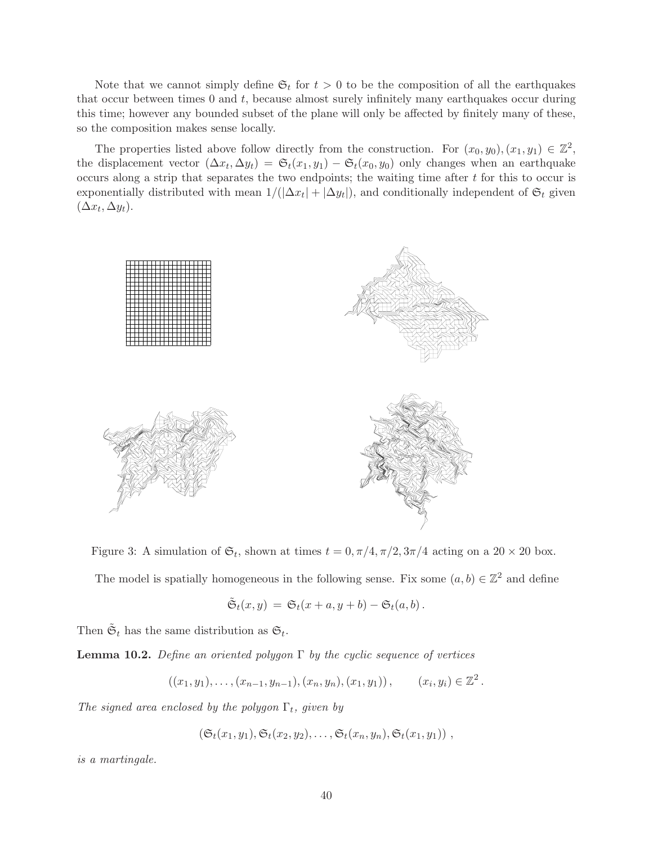Note that we cannot simply define  $\mathfrak{S}_t$  for  $t > 0$  to be the composition of all the earthquakes that occur between times  $0$  and  $t$ , because almost surely infinitely many earthquakes occur during this time; however any bounded subset of the plane will only be affected by finitely many of these, so the composition makes sense locally.

The properties listed above follow directly from the construction. For  $(x_0, y_0), (x_1, y_1) \in \mathbb{Z}^2$ , the displacement vector  $(\Delta x_t, \Delta y_t) = \mathfrak{S}_t(x_1, y_1) - \mathfrak{S}_t(x_0, y_0)$  only changes when an earthquake occurs along a strip that separates the two endpoints; the waiting time after t for this to occur is exponentially distributed with mean  $1/(|\Delta x_t| + |\Delta y_t|)$ , and conditionally independent of  $\mathfrak{S}_t$  given  $(\Delta x_t, \Delta y_t).$ 



Figure 3: A simulation of  $\mathfrak{S}_t$ , shown at times  $t = 0, \pi/4, \pi/2, 3\pi/4$  acting on a  $20 \times 20$  box.

The model is spatially homogeneous in the following sense. Fix some  $(a, b) \in \mathbb{Z}^2$  and define

$$
\tilde{\mathfrak{S}}_t(x,y) = \mathfrak{S}_t(x+a,y+b) - \mathfrak{S}_t(a,b).
$$

Then  $\tilde{\mathfrak{S}}_t$  has the same distribution as  $\mathfrak{S}_t$ .

**Lemma 10.2.** Define an oriented polygon  $\Gamma$  by the cyclic sequence of vertices

$$
((x_1, y_1), \ldots, (x_{n-1}, y_{n-1}), (x_n, y_n), (x_1, y_1)), \qquad (x_i, y_i) \in \mathbb{Z}^2.
$$

The signed area enclosed by the polygon  $\Gamma_t$ , given by

 $(\mathfrak{S}_t(x_1,y_1), \mathfrak{S}_t(x_2,y_2), \ldots, \mathfrak{S}_t(x_n,y_n), \mathfrak{S}_t(x_1,y_1))$ ,

is a martingale.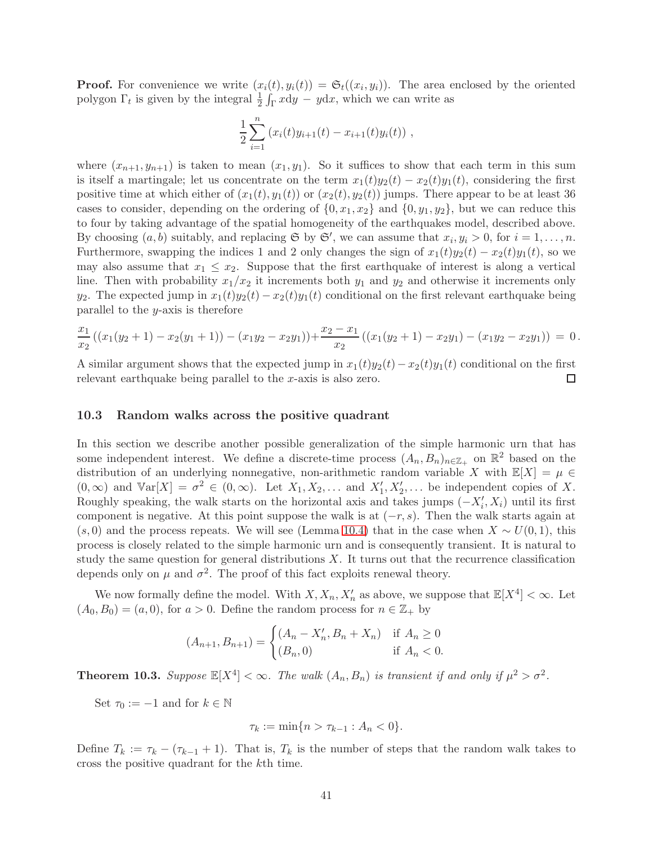**Proof.** For convenience we write  $(x_i(t), y_i(t)) = \mathfrak{S}_t((x_i, y_i))$ . The area enclosed by the oriented polygon  $\Gamma_t$  is given by the integral  $\frac{1}{2} \int_{\Gamma} x \mathrm{d}y - y \mathrm{d}x$ , which we can write as

$$
\frac{1}{2}\sum_{i=1}^n (x_i(t)y_{i+1}(t) - x_{i+1}(t)y_i(t)),
$$

where  $(x_{n+1},y_{n+1})$  is taken to mean  $(x_1,y_1)$ . So it suffices to show that each term in this sum is itself a martingale; let us concentrate on the term  $x_1(t)y_2(t) - x_2(t)y_1(t)$ , considering the first positive time at which either of  $(x_1(t), y_1(t))$  or  $(x_2(t), y_2(t))$  jumps. There appear to be at least 36 cases to consider, depending on the ordering of  $\{0, x_1, x_2\}$  and  $\{0, y_1, y_2\}$ , but we can reduce this to four by taking advantage of the spatial homogeneity of the earthquakes model, described above. By choosing  $(a, b)$  suitably, and replacing  $\mathfrak{S}$  by  $\mathfrak{S}'$ , we can assume that  $x_i, y_i > 0$ , for  $i = 1, \ldots, n$ . Furthermore, swapping the indices 1 and 2 only changes the sign of  $x_1(t)y_2(t) - x_2(t)y_1(t)$ , so we may also assume that  $x_1 \leq x_2$ . Suppose that the first earthquake of interest is along a vertical line. Then with probability  $x_1/x_2$  it increments both  $y_1$  and  $y_2$  and otherwise it increments only  $y_2$ . The expected jump in  $x_1(t)y_2(t) - x_2(t)y_1(t)$  conditional on the first relevant earthquake being parallel to the  $y$ -axis is therefore

$$
\frac{x_1}{x_2}((x_1(y_2+1)-x_2(y_1+1))-(x_1y_2-x_2y_1))+\frac{x_2-x_1}{x_2}((x_1(y_2+1)-x_2y_1)-(x_1y_2-x_2y_1))=0.
$$

A similar argument shows that the expected jump in  $x_1(t)y_2(t)-x_2(t)y_1(t)$  conditional on the first relevant earthquake being parallel to the x-axis is also zero. relevant earthquake being parallel to the x-axis is also zero.

### 10.3 Random walks across the positive quadrant

In this section we describe another possible generalization of the simple harmonic urn that has some independent interest. We define a discrete-time process  $(A_n, B_n)_{n \in \mathbb{Z}_+}$  on  $\mathbb{R}^2$  based on the distribution of an underlying nonnegative, non-arithmetic random variable X with  $\mathbb{E}[X] = \mu \in$  $(0, \infty)$  and  $\mathbb{V}\text{ar}[X] = \sigma^2 \in (0, \infty)$ . Let  $X_1, X_2, \ldots$  and  $X'_1, X'_2, \ldots$  be independent copies of X. Roughly speaking, the walk starts on the horizontal axis and takes jumps  $(-X'_i, X_i)$  until its first component is negative. At this point suppose the walk is at  $(-r, s)$ . Then the walk starts again at  $(s, 0)$  and the process repeats. We will see (Lemma [10.4\)](#page-42-0) that in the case when  $X \sim U(0, 1)$ , this process is closely related to the simple harmonic urn and is consequently transient. It is natural to study the same question for general distributions  $X$ . It turns out that the recurrence classification depends only on  $\mu$  and  $\sigma^2$ . The proof of this fact exploits renewal theory.

We now formally define the model. With  $X, X_n, X'_n$  as above, we suppose that  $\mathbb{E}[X^4] < \infty$ . Let  $(A_0, B_0) = (a, 0)$ , for  $a > 0$ . Define the random process for  $n \in \mathbb{Z}_+$  by

$$
(A_{n+1}, B_{n+1}) = \begin{cases} (A_n - X'_n, B_n + X_n) & \text{if } A_n \ge 0\\ (B_n, 0) & \text{if } A_n < 0. \end{cases}
$$

<span id="page-41-0"></span>**Theorem 10.3.** Suppose  $\mathbb{E}[X^4] < \infty$ . The walk  $(A_n, B_n)$  is transient if and only if  $\mu^2 > \sigma^2$ .

Set  $\tau_0 := -1$  and for  $k \in \mathbb{N}$ 

$$
\tau_k := \min\{n > \tau_{k-1} : A_n < 0\}.
$$

Define  $T_k := \tau_k - (\tau_{k-1} + 1)$ . That is,  $T_k$  is the number of steps that the random walk takes to cross the positive quadrant for the kth time.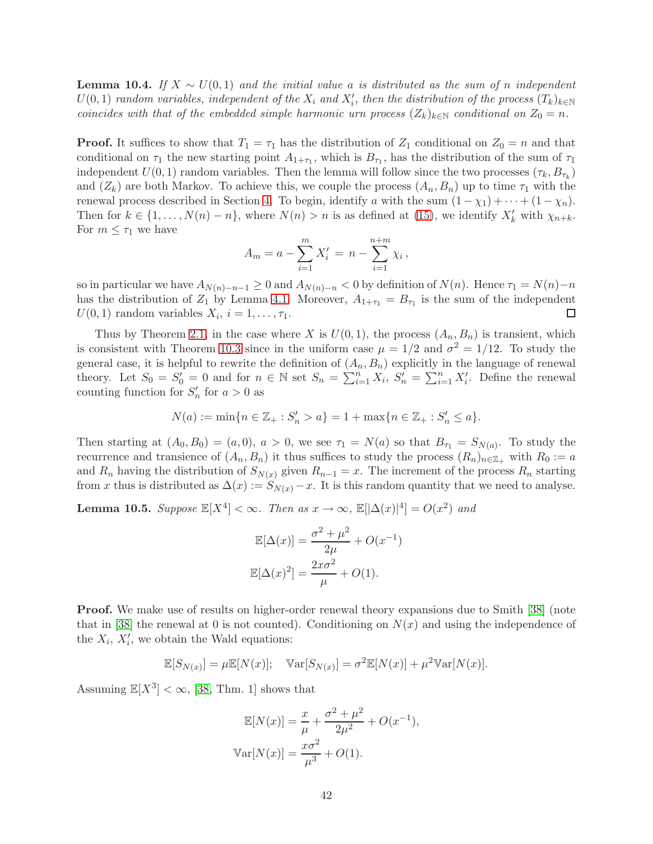<span id="page-42-0"></span>**Lemma 10.4.** If  $X \sim U(0,1)$  and the initial value a is distributed as the sum of n independent  $U(0, 1)$  random variables, independent of the  $X_i$  and  $X'_i$ , then the distribution of the process  $(T_k)_{k \in \mathbb{N}}$ coincides with that of the embedded simple harmonic urn process  $(Z_k)_{k\in\mathbb{N}}$  conditional on  $Z_0 = n$ .

**Proof.** It suffices to show that  $T_1 = \tau_1$  has the distribution of  $Z_1$  conditional on  $Z_0 = n$  and that conditional on  $\tau_1$  the new starting point  $A_{1+\tau_1}$ , which is  $B_{\tau_1}$ , has the distribution of the sum of  $\tau_1$ independent  $U(0, 1)$  random variables. Then the lemma will follow since the two processes  $(\tau_k, B_{\tau_k})$ and  $(Z_k)$  are both Markov. To achieve this, we couple the process  $(A_n, B_n)$  up to time  $\tau_1$  with the renewal process described in Section [4.](#page-17-0) To begin, identify a with the sum  $(1 - \chi_1) + \cdots + (1 - \chi_n)$ . Then for  $k \in \{1, ..., N(n) - n\}$ , where  $N(n) > n$  is as defined at [\(15\)](#page-17-2), we identify  $X'_{k}$  with  $\chi_{n+k}$ . For  $m \leq \tau_1$  we have

$$
A_m = a - \sum_{i=1}^{m} X'_i = n - \sum_{i=1}^{n+m} \chi_i,
$$

so in particular we have  $A_{N(n)-n-1} \geq 0$  and  $A_{N(n)-n} < 0$  by definition of  $N(n)$ . Hence  $\tau_1 = N(n)-n$ has the distribution of  $Z_1$  by Lemma [4.1.](#page-17-1) Moreover,  $A_{1+\tau_1} = B_{\tau_1}$  is the sum of the independent  $U(0,1)$  random variables  $X_i$ ,  $i=1,\ldots,\tau_1$ .  $\Box$ 

Thus by Theorem [2.1,](#page-4-1) in the case where X is  $U(0, 1)$ , the process  $(A_n, B_n)$  is transient, which is consistent with Theorem [10.3](#page-41-0) since in the uniform case  $\mu = 1/2$  and  $\sigma^2 = 1/12$ . To study the general case, it is helpful to rewrite the definition of  $(A_n, B_n)$  explicitly in the language of renewal theory. Let  $S_0 = S'_0 = 0$  and for  $n \in \mathbb{N}$  set  $S_n = \sum_{i=1}^n X_i$ ,  $S'_n = \sum_{i=1}^n X'_i$ . Define the renewal counting function for  $S'_n$  for  $a > 0$  as

$$
N(a) := \min\{n \in \mathbb{Z}_+ : S'_n > a\} = 1 + \max\{n \in \mathbb{Z}_+ : S'_n \le a\}.
$$

Then starting at  $(A_0, B_0) = (a, 0), a > 0$ , we see  $\tau_1 = N(a)$  so that  $B_{\tau_1} = S_{N(a)}$ . To study the recurrence and transience of  $(A_n, B_n)$  it thus suffices to study the process  $(R_n)_{n \in \mathbb{Z}_+}$  with  $R_0 := a$ and R<sub>n</sub> having the distribution of  $S_{N(x)}$  given  $R_{n-1} = x$ . The increment of the process R<sub>n</sub> starting from x thus is distributed as  $\Delta(x) := S_{N(x)} - x$ . It is this random quantity that we need to analyse.

<span id="page-42-1"></span>**Lemma 10.5.** Suppose  $\mathbb{E}[X^4] < \infty$ . Then as  $x \to \infty$ ,  $\mathbb{E}[|\Delta(x)|^4] = O(x^2)$  and

$$
\mathbb{E}[\Delta(x)] = \frac{\sigma^2 + \mu^2}{2\mu} + O(x^{-1})
$$

$$
\mathbb{E}[\Delta(x)^2] = \frac{2x\sigma^2}{\mu} + O(1).
$$

**Proof.** We make use of results on higher-order renewal theory expansions due to Smith [\[38\]](#page-47-10) (note that in [\[38\]](#page-47-10) the renewal at 0 is not counted). Conditioning on  $N(x)$  and using the independence of the  $X_i$ ,  $X'_i$ , we obtain the Wald equations:

$$
\mathbb{E}[S_{N(x)}] = \mu \mathbb{E}[N(x)]; \quad \mathbb{V}\text{ar}[S_{N(x)}] = \sigma^2 \mathbb{E}[N(x)] + \mu^2 \mathbb{V}\text{ar}[N(x)].
$$

Assuming  $\mathbb{E}[X^3] < \infty$ , [\[38,](#page-47-10) Thm. 1] shows that

$$
\mathbb{E}[N(x)] = \frac{x}{\mu} + \frac{\sigma^2 + \mu^2}{2\mu^2} + O(x^{-1}),
$$
  
 
$$
\mathbb{V}\text{ar}[N(x)] = \frac{x\sigma^2}{\mu^3} + O(1).
$$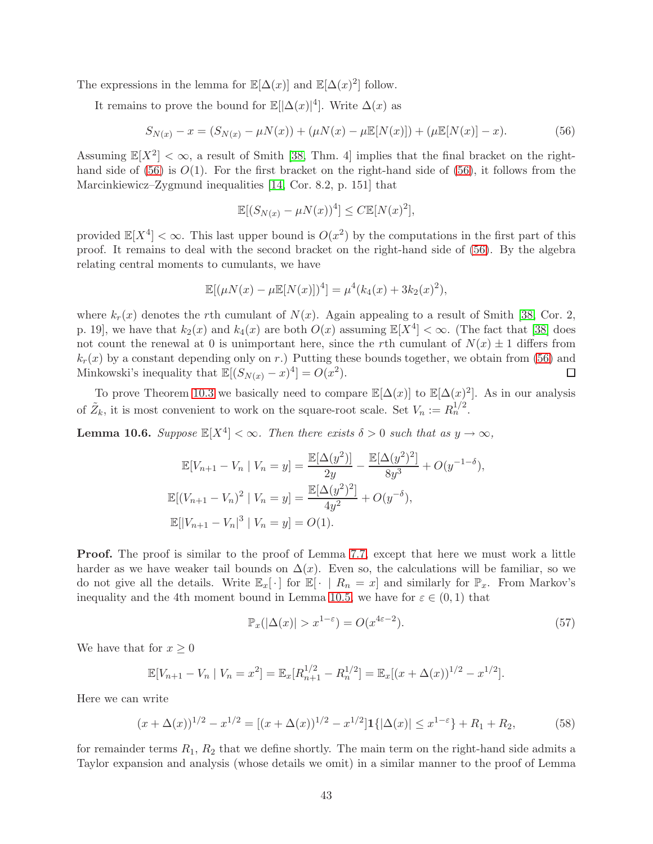The expressions in the lemma for  $\mathbb{E}[\Delta(x)]$  and  $\mathbb{E}[\Delta(x)^2]$  follow.

It remains to prove the bound for  $\mathbb{E}[\Delta(x)|^4]$ . Write  $\Delta(x)$  as

<span id="page-43-0"></span>
$$
S_{N(x)} - x = (S_{N(x)} - \mu N(x)) + (\mu N(x) - \mu \mathbb{E}[N(x)]) + (\mu \mathbb{E}[N(x)] - x).
$$
 (56)

Assuming  $\mathbb{E}[X^2] < \infty$ , a result of Smith [\[38,](#page-47-10) Thm. 4] implies that the final bracket on the right-hand side of [\(56\)](#page-43-0) is  $O(1)$ . For the first bracket on the right-hand side of (56), it follows from the Marcinkiewicz–Zygmund inequalities [\[14,](#page-46-20) Cor. 8.2, p. 151] that

$$
\mathbb{E}[(S_{N(x)} - \mu N(x))^4] \le C \mathbb{E}[N(x)^2],
$$

provided  $\mathbb{E}[X^4] < \infty$ . This last upper bound is  $O(x^2)$  by the computations in the first part of this proof. It remains to deal with the second bracket on the right-hand side of [\(56\)](#page-43-0). By the algebra relating central moments to cumulants, we have

$$
\mathbb{E}[(\mu N(x) - \mu \mathbb{E}[N(x)])^4] = \mu^4(k_4(x) + 3k_2(x)^2),
$$

where  $k_r(x)$  denotes the rth cumulant of  $N(x)$ . Again appealing to a result of Smith [\[38,](#page-47-10) Cor. 2, p. 19], we have that  $k_2(x)$  and  $k_4(x)$  are both  $O(x)$  assuming  $\mathbb{E}[X^4] < \infty$ . (The fact that [\[38\]](#page-47-10) does not count the renewal at 0 is unimportant here, since the rth cumulant of  $N(x) \pm 1$  differs from  $k_r(x)$  by a constant depending only on r.) Putting these bounds together, we obtain from [\(56\)](#page-43-0) and Minkowski's inequality that  $\mathbb{E}[(S_{N(x)} - x)^4] = O(x^2)$ . □

To prove Theorem [10.3](#page-41-0) we basically need to compare  $\mathbb{E}[\Delta(x)]$  to  $\mathbb{E}[\Delta(x)^2]$ . As in our analysis of  $\tilde{Z}_k$ , it is most convenient to work on the square-root scale. Set  $V_n := R_n^{1/2}$ .

<span id="page-43-3"></span>**Lemma 10.6.** Suppose  $\mathbb{E}[X^4] < \infty$ . Then there exists  $\delta > 0$  such that as  $y \to \infty$ ,

$$
\mathbb{E}[V_{n+1} - V_n | V_n = y] = \frac{\mathbb{E}[\Delta(y^2)]}{2y} - \frac{\mathbb{E}[\Delta(y^2)^2]}{8y^3} + O(y^{-1-\delta}),
$$
  

$$
\mathbb{E}[(V_{n+1} - V_n)^2 | V_n = y] = \frac{\mathbb{E}[\Delta(y^2)^2]}{4y^2} + O(y^{-\delta}),
$$
  

$$
\mathbb{E}[|V_{n+1} - V_n|^3 | V_n = y] = O(1).
$$

Proof. The proof is similar to the proof of Lemma [7.7,](#page-27-0) except that here we must work a little harder as we have weaker tail bounds on  $\Delta(x)$ . Even so, the calculations will be familiar, so we do not give all the details. Write  $\mathbb{E}_x[\cdot]$  for  $\mathbb{E}[\cdot \mid R_n = x]$  and similarly for  $\mathbb{P}_x$ . From Markov's inequality and the 4th moment bound in Lemma [10.5,](#page-42-1) we have for  $\varepsilon \in (0,1)$  that

<span id="page-43-2"></span>
$$
\mathbb{P}_x(|\Delta(x)| > x^{1-\varepsilon}) = O(x^{4\varepsilon - 2}).\tag{57}
$$

We have that for  $x \geq 0$ 

$$
\mathbb{E}[V_{n+1} - V_n | V_n = x^2] = \mathbb{E}_x[R_{n+1}^{1/2} - R_n^{1/2}] = \mathbb{E}_x[(x + \Delta(x))^{1/2} - x^{1/2}].
$$

Here we can write

<span id="page-43-1"></span>
$$
(x + \Delta(x))^{1/2} - x^{1/2} = [(x + \Delta(x))^{1/2} - x^{1/2}] \mathbf{1}\{|\Delta(x)| \le x^{1-\varepsilon}\} + R_1 + R_2,\tag{58}
$$

for remainder terms  $R_1, R_2$  that we define shortly. The main term on the right-hand side admits a Taylor expansion and analysis (whose details we omit) in a similar manner to the proof of Lemma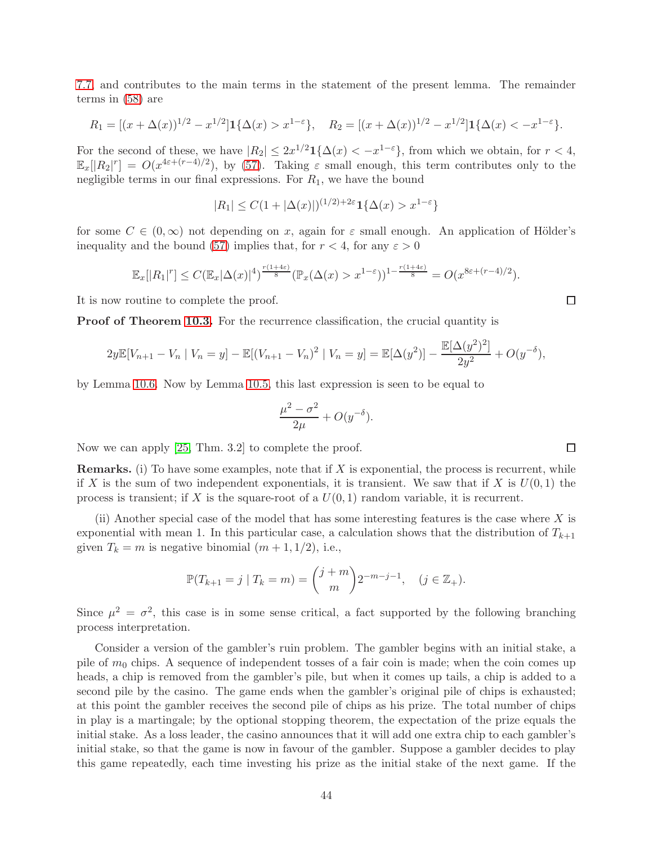[7.7,](#page-27-0) and contributes to the main terms in the statement of the present lemma. The remainder terms in [\(58\)](#page-43-1) are

$$
R_1 = [(x + \Delta(x))^{1/2} - x^{1/2}] \mathbf{1}_{\{\Delta(x) > x^{1-\varepsilon}\}, \quad R_2 = [(x + \Delta(x))^{1/2} - x^{1/2}] \mathbf{1}_{\{\Delta(x) < -x^{1-\varepsilon}\}.
$$

For the second of these, we have  $|R_2| \leq 2x^{1/2} \mathbf{1}_{\{\Delta(x) < -x^{1-\varepsilon}\}\$ , from which we obtain, for  $r < 4$ ,  $\mathbb{E}_x[|R_2|^r] = O(x^{4\varepsilon + (r-4)/2})$ , by [\(57\)](#page-43-2). Taking  $\varepsilon$  small enough, this term contributes only to the negligible terms in our final expressions. For  $R_1$ , we have the bound

$$
|R_1| \le C(1 + |\Delta(x)|)^{(1/2) + 2\varepsilon} \mathbf{1}\{\Delta(x) > x^{1-\varepsilon}\}
$$

for some  $C \in (0,\infty)$  not depending on x, again for  $\varepsilon$  small enough. An application of Hölder's inequality and the bound [\(57\)](#page-43-2) implies that, for  $r < 4$ , for any  $\varepsilon > 0$ 

$$
\mathbb{E}_x[|R_1|^r] \leq C (\mathbb{E}_x|\Delta(x)|^4)^{\frac{r(1+4\varepsilon)}{8}} (\mathbb{P}_x(\Delta(x)>x^{1-\varepsilon}))^{1-\frac{r(1+4\varepsilon)}{8}} = O(x^{8\varepsilon + (r-4)/2}).
$$

It is now routine to complete the proof.

**Proof of Theorem [10.3.](#page-41-0)** For the recurrence classification, the crucial quantity is

$$
2y\mathbb{E}[V_{n+1} - V_n \mid V_n = y] - \mathbb{E}[(V_{n+1} - V_n)^2 \mid V_n = y] = \mathbb{E}[\Delta(y^2)] - \frac{\mathbb{E}[\Delta(y^2)^2]}{2y^2} + O(y^{-\delta}),
$$

by Lemma [10.6.](#page-43-3) Now by Lemma [10.5,](#page-42-1) this last expression is seen to be equal to

$$
\frac{\mu^2 - \sigma^2}{2\mu} + O(y^{-\delta}).
$$

Now we can apply [\[25,](#page-47-11) Thm. 3.2] to complete the proof.

**Remarks.** (i) To have some examples, note that if  $X$  is exponential, the process is recurrent, while if X is the sum of two independent exponentials, it is transient. We saw that if X is  $U(0,1)$  the process is transient; if X is the square-root of a  $U(0, 1)$  random variable, it is recurrent.

(ii) Another special case of the model that has some interesting features is the case where  $X$  is exponential with mean 1. In this particular case, a calculation shows that the distribution of  $T_{k+1}$ given  $T_k = m$  is negative binomial  $(m + 1, 1/2)$ , i.e.,

$$
\mathbb{P}(T_{k+1} = j \mid T_k = m) = \binom{j+m}{m} 2^{-m-j-1}, \quad (j \in \mathbb{Z}_+).
$$

Since  $\mu^2 = \sigma^2$ , this case is in some sense critical, a fact supported by the following branching process interpretation.

Consider a version of the gambler's ruin problem. The gambler begins with an initial stake, a pile of  $m_0$  chips. A sequence of independent tosses of a fair coin is made; when the coin comes up heads, a chip is removed from the gambler's pile, but when it comes up tails, a chip is added to a second pile by the casino. The game ends when the gambler's original pile of chips is exhausted; at this point the gambler receives the second pile of chips as his prize. The total number of chips in play is a martingale; by the optional stopping theorem, the expectation of the prize equals the initial stake. As a loss leader, the casino announces that it will add one extra chip to each gambler's initial stake, so that the game is now in favour of the gambler. Suppose a gambler decides to play this game repeatedly, each time investing his prize as the initial stake of the next game. If the

 $\Box$ 

 $\Box$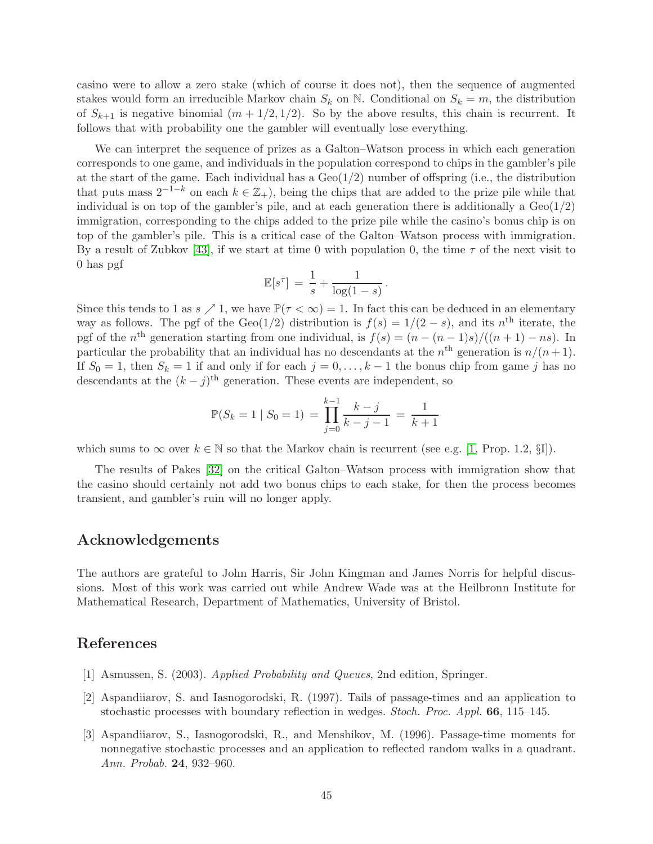casino were to allow a zero stake (which of course it does not), then the sequence of augmented stakes would form an irreducible Markov chain  $S_k$  on N. Conditional on  $S_k = m$ , the distribution of  $S_{k+1}$  is negative binomial  $(m + 1/2, 1/2)$ . So by the above results, this chain is recurrent. It follows that with probability one the gambler will eventually lose everything.

We can interpret the sequence of prizes as a Galton–Watson process in which each generation corresponds to one game, and individuals in the population correspond to chips in the gambler's pile at the start of the game. Each individual has a  $Geo(1/2)$  number of offspring (i.e., the distribution that puts mass  $2^{-1-k}$  on each  $k \in \mathbb{Z}_+$ ), being the chips that are added to the prize pile while that individual is on top of the gambler's pile, and at each generation there is additionally a  $Geo(1/2)$ immigration, corresponding to the chips added to the prize pile while the casino's bonus chip is on top of the gambler's pile. This is a critical case of the Galton–Watson process with immigration. By a result of Zubkov [\[43\]](#page-47-17), if we start at time 0 with population 0, the time  $\tau$  of the next visit to 0 has pgf

$$
\mathbb{E}[s^{\tau}] = \frac{1}{s} + \frac{1}{\log(1-s)}.
$$

Since this tends to 1 as  $s \nearrow 1$ , we have  $\mathbb{P}(\tau < \infty) = 1$ . In fact this can be deduced in an elementary way as follows. The pgf of the Geo(1/2) distribution is  $f(s) = 1/(2 - s)$ , and its n<sup>th</sup> iterate, the pgf of the  $n^{\text{th}}$  generation starting from one individual, is  $f(s) = (n - (n-1)s)/((n+1) - ns)$ . In particular the probability that an individual has no descendants at the  $n<sup>th</sup>$  generation is  $n/(n+1)$ . If  $S_0 = 1$ , then  $S_k = 1$  if and only if for each  $j = 0, \ldots, k - 1$  the bonus chip from game j has no descendants at the  $(k - j)$ <sup>th</sup> generation. These events are independent, so

$$
\mathbb{P}(S_k = 1 \mid S_0 = 1) = \prod_{j=0}^{k-1} \frac{k-j}{k-j-1} = \frac{1}{k+1}
$$

which sums to  $\infty$  over  $k \in \mathbb{N}$  so that the Markov chain is recurrent (see e.g. [\[1,](#page-45-2) Prop. 1.2, §I]).

The results of Pakes [\[32\]](#page-47-18) on the critical Galton–Watson process with immigration show that the casino should certainly not add two bonus chips to each stake, for then the process becomes transient, and gambler's ruin will no longer apply.

### Acknowledgements

The authors are grateful to John Harris, Sir John Kingman and James Norris for helpful discussions. Most of this work was carried out while Andrew Wade was at the Heilbronn Institute for Mathematical Research, Department of Mathematics, University of Bristol.

### <span id="page-45-2"></span>References

- <span id="page-45-0"></span>[1] Asmussen, S. (2003). Applied Probability and Queues, 2nd edition, Springer.
- <span id="page-45-1"></span>[2] Aspandiiarov, S. and Iasnogorodski, R. (1997). Tails of passage-times and an application to stochastic processes with boundary reflection in wedges. Stoch. Proc. Appl. 66, 115–145.
- [3] Aspandiiarov, S., Iasnogorodski, R., and Menshikov, M. (1996). Passage-time moments for nonnegative stochastic processes and an application to reflected random walks in a quadrant. Ann. Probab. 24, 932–960.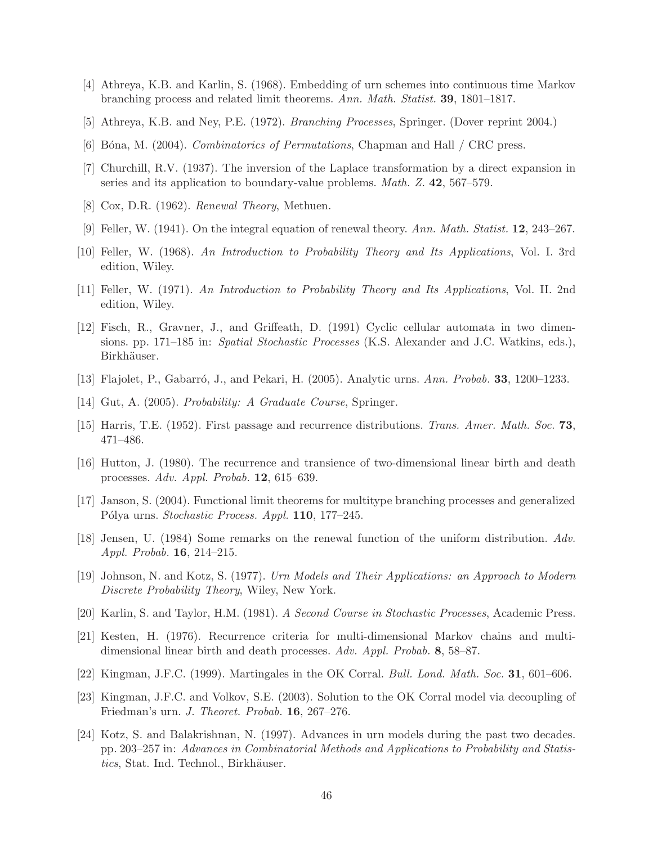- <span id="page-46-5"></span><span id="page-46-4"></span>[4] Athreya, K.B. and Karlin, S. (1968). Embedding of urn schemes into continuous time Markov branching process and related limit theorems. Ann. Math. Statist. 39, 1801–1817.
- <span id="page-46-11"></span>[5] Athreya, K.B. and Ney, P.E. (1972). Branching Processes, Springer. (Dover reprint 2004.)
- <span id="page-46-16"></span>[6] B´ona, M. (2004). Combinatorics of Permutations, Chapman and Hall / CRC press.
- <span id="page-46-13"></span>[7] Churchill, R.V. (1937). The inversion of the Laplace transformation by a direct expansion in series and its application to boundary-value problems. Math. Z. 42, 567–579.
- <span id="page-46-15"></span>[8] Cox, D.R. (1962). Renewal Theory, Methuen.
- <span id="page-46-14"></span>[9] Feller, W. (1941). On the integral equation of renewal theory. Ann. Math. Statist. 12, 243–267.
- <span id="page-46-12"></span>[10] Feller, W. (1968). An Introduction to Probability Theory and Its Applications, Vol. I. 3rd edition, Wiley.
- <span id="page-46-10"></span>[11] Feller, W. (1971). An Introduction to Probability Theory and Its Applications, Vol. II. 2nd edition, Wiley.
- [12] Fisch, R., Gravner, J., and Griffeath, D. (1991) Cyclic cellular automata in two dimensions. pp. 171–185 in: Spatial Stochastic Processes (K.S. Alexander and J.C. Watkins, eds.), Birkhäuser.
- <span id="page-46-20"></span><span id="page-46-3"></span>[13] Flajolet, P., Gabarró, J., and Pekari, H. (2005). Analytic urns. Ann. Probab. **33**, 1200–1233.
- <span id="page-46-18"></span>[14] Gut, A. (2005). Probability: A Graduate Course, Springer.
- <span id="page-46-9"></span>[15] Harris, T.E. (1952). First passage and recurrence distributions. Trans. Amer. Math. Soc. 73, 471–486.
- <span id="page-46-2"></span>[16] Hutton, J. (1980). The recurrence and transience of two-dimensional linear birth and death processes. Adv. Appl. Probab. 12, 615–639.
- <span id="page-46-17"></span>[17] Janson, S. (2004). Functional limit theorems for multitype branching processes and generalized Pólya urns. Stochastic Process. Appl. 110, 177–245.
- <span id="page-46-0"></span>[18] Jensen, U. (1984) Some remarks on the renewal function of the uniform distribution. Adv. Appl. Probab. 16, 214–215.
- <span id="page-46-19"></span>[19] Johnson, N. and Kotz, S. (1977). Urn Models and Their Applications: an Approach to Modern Discrete Probability Theory, Wiley, New York.
- <span id="page-46-8"></span>[20] Karlin, S. and Taylor, H.M. (1981). A Second Course in Stochastic Processes, Academic Press.
- <span id="page-46-6"></span>[21] Kesten, H. (1976). Recurrence criteria for multi-dimensional Markov chains and multidimensional linear birth and death processes. Adv. Appl. Probab. 8, 58–87.
- <span id="page-46-7"></span>[22] Kingman, J.F.C. (1999). Martingales in the OK Corral. Bull. Lond. Math. Soc. 31, 601–606.
- <span id="page-46-1"></span>[23] Kingman, J.F.C. and Volkov, S.E. (2003). Solution to the OK Corral model via decoupling of Friedman's urn. J. Theoret. Probab. 16, 267–276.
- [24] Kotz, S. and Balakrishnan, N. (1997). Advances in urn models during the past two decades. pp. 203–257 in: Advances in Combinatorial Methods and Applications to Probability and Statistics, Stat. Ind. Technol., Birkhäuser.